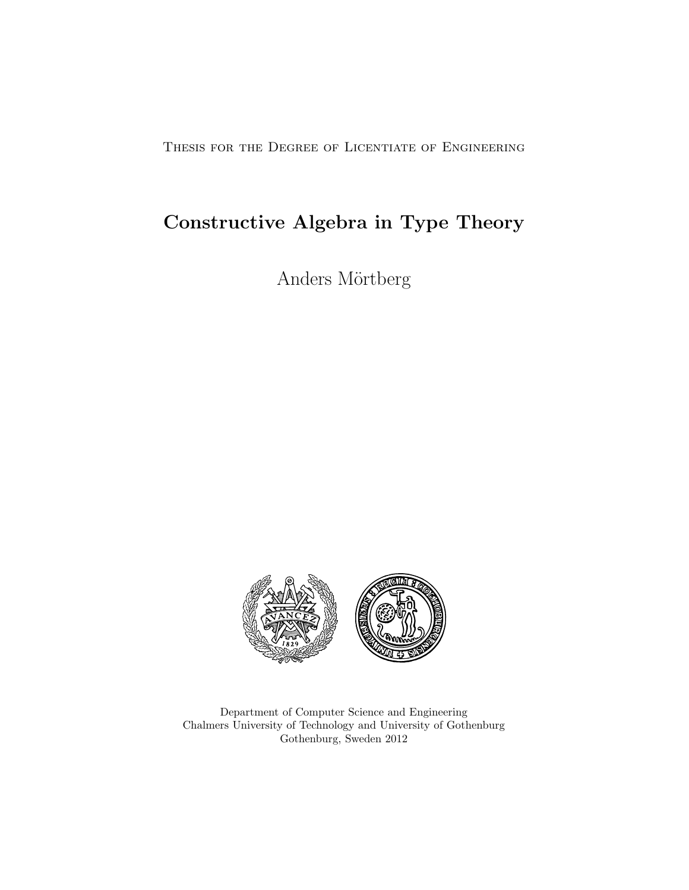Thesis for the Degree of Licentiate of Engineering

# Constructive Algebra in Type Theory

Anders Mörtberg



Department of Computer Science and Engineering Chalmers University of Technology and University of Gothenburg Gothenburg, Sweden 2012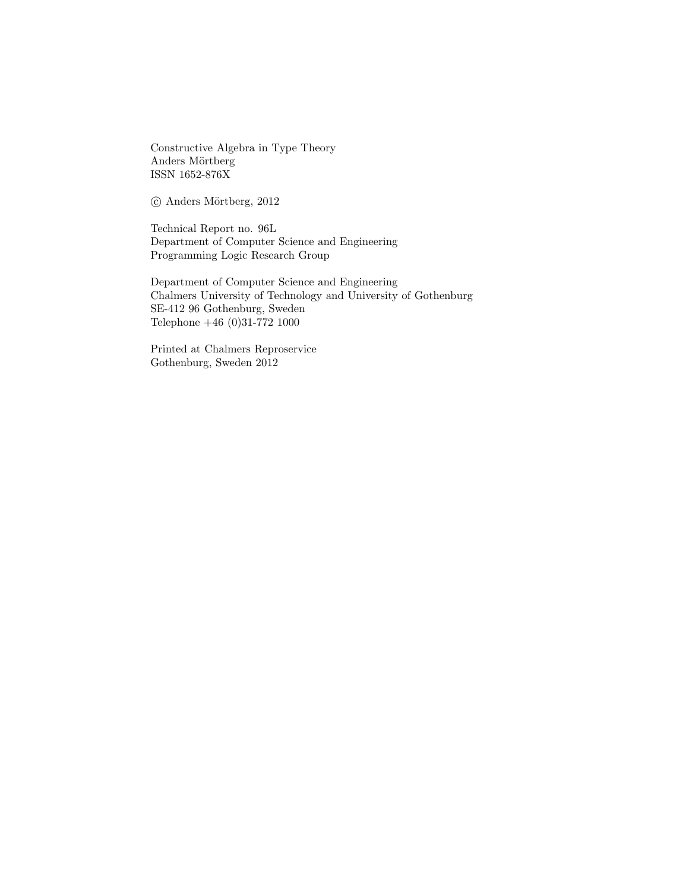Constructive Algebra in Type Theory Anders Mörtberg ISSN 1652-876X

c Anders M¨ortberg, 2012

Technical Report no. 96L Department of Computer Science and Engineering Programming Logic Research Group

Department of Computer Science and Engineering Chalmers University of Technology and University of Gothenburg SE-412 96 Gothenburg, Sweden Telephone +46 (0)31-772 1000

Printed at Chalmers Reproservice Gothenburg, Sweden 2012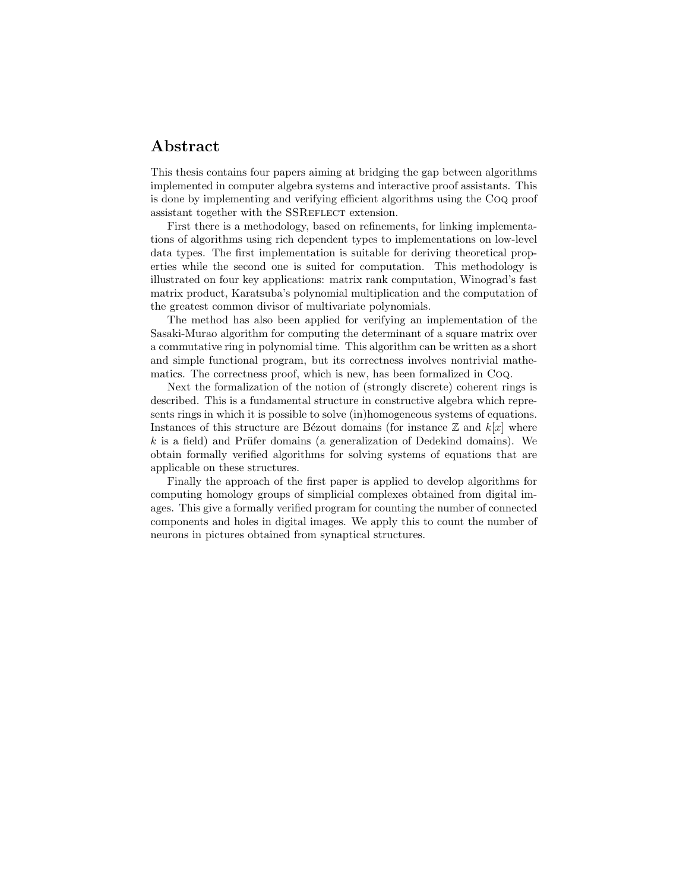# Abstract

This thesis contains four papers aiming at bridging the gap between algorithms implemented in computer algebra systems and interactive proof assistants. This is done by implementing and verifying efficient algorithms using the Coq proof assistant together with the SSREFLECT extension.

First there is a methodology, based on refinements, for linking implementations of algorithms using rich dependent types to implementations on low-level data types. The first implementation is suitable for deriving theoretical properties while the second one is suited for computation. This methodology is illustrated on four key applications: matrix rank computation, Winograd's fast matrix product, Karatsuba's polynomial multiplication and the computation of the greatest common divisor of multivariate polynomials.

The method has also been applied for verifying an implementation of the Sasaki-Murao algorithm for computing the determinant of a square matrix over a commutative ring in polynomial time. This algorithm can be written as a short and simple functional program, but its correctness involves nontrivial mathematics. The correctness proof, which is new, has been formalized in Coq.

Next the formalization of the notion of (strongly discrete) coherent rings is described. This is a fundamental structure in constructive algebra which represents rings in which it is possible to solve (in)homogeneous systems of equations. Instances of this structure are Bézout domains (for instance  $\mathbb Z$  and  $k[x]$  where  $k$  is a field) and Prüfer domains (a generalization of Dedekind domains). We obtain formally verified algorithms for solving systems of equations that are applicable on these structures.

Finally the approach of the first paper is applied to develop algorithms for computing homology groups of simplicial complexes obtained from digital images. This give a formally verified program for counting the number of connected components and holes in digital images. We apply this to count the number of neurons in pictures obtained from synaptical structures.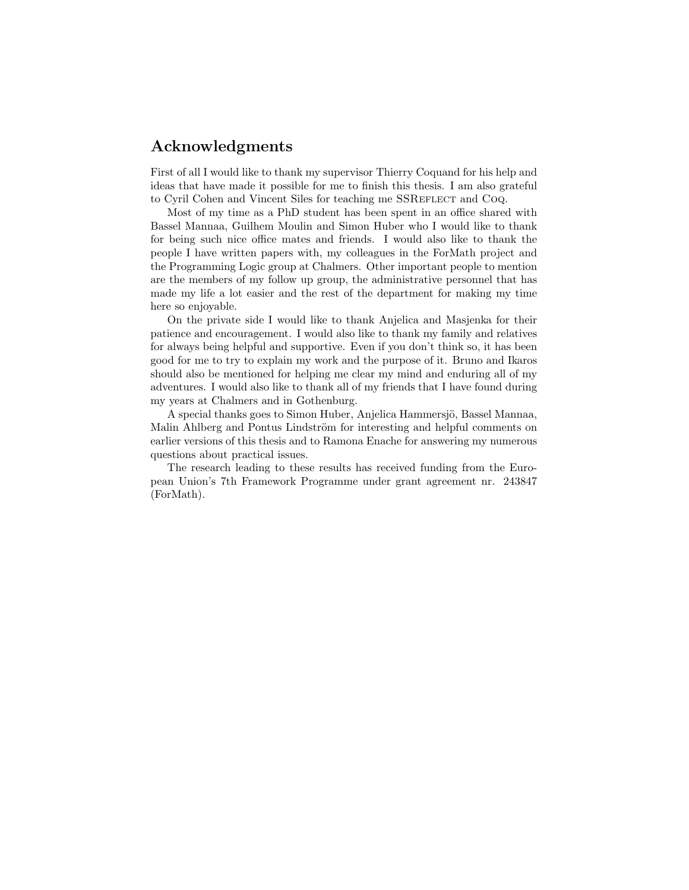# Acknowledgments

First of all I would like to thank my supervisor Thierry Coquand for his help and ideas that have made it possible for me to finish this thesis. I am also grateful to Cyril Cohen and Vincent Siles for teaching me SSREFLECT and CoQ.

Most of my time as a PhD student has been spent in an office shared with Bassel Mannaa, Guilhem Moulin and Simon Huber who I would like to thank for being such nice office mates and friends. I would also like to thank the people I have written papers with, my colleagues in the ForMath project and the Programming Logic group at Chalmers. Other important people to mention are the members of my follow up group, the administrative personnel that has made my life a lot easier and the rest of the department for making my time here so enjoyable.

On the private side I would like to thank Anjelica and Masjenka for their patience and encouragement. I would also like to thank my family and relatives for always being helpful and supportive. Even if you don't think so, it has been good for me to try to explain my work and the purpose of it. Bruno and Ikaros should also be mentioned for helping me clear my mind and enduring all of my adventures. I would also like to thank all of my friends that I have found during my years at Chalmers and in Gothenburg.

A special thanks goes to Simon Huber, Anjelica Hammersjö, Bassel Mannaa, Malin Ahlberg and Pontus Lindström for interesting and helpful comments on earlier versions of this thesis and to Ramona Enache for answering my numerous questions about practical issues.

The research leading to these results has received funding from the European Union's 7th Framework Programme under grant agreement nr. 243847 (ForMath).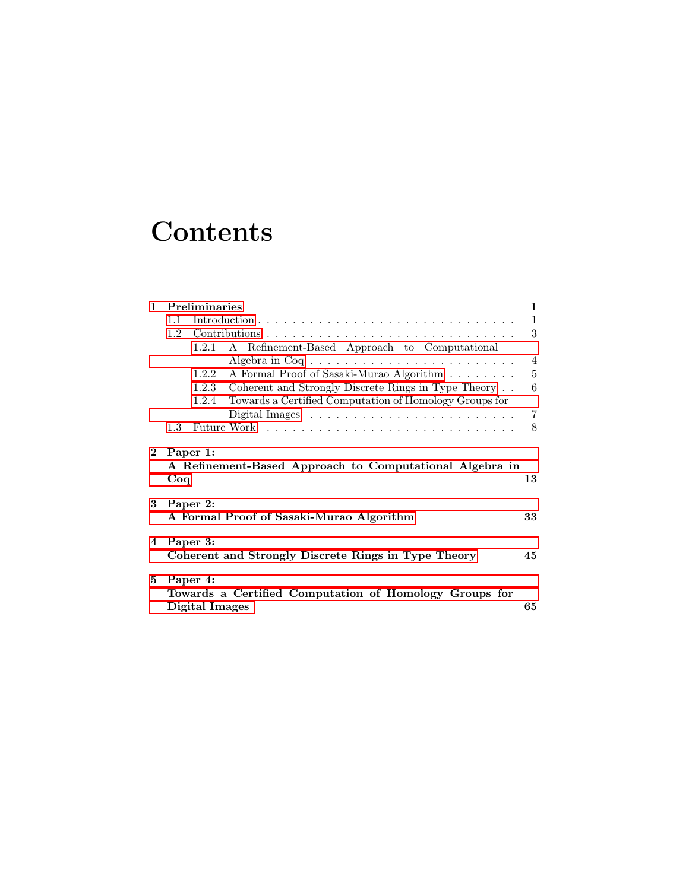# **Contents**

|              | <b>Preliminaries</b>                                                       |          |                                                              | $\mathbf{1}$   |
|--------------|----------------------------------------------------------------------------|----------|--------------------------------------------------------------|----------------|
|              | 1.1                                                                        |          |                                                              | $\mathbf{1}$   |
|              | 1.2                                                                        |          |                                                              | 3              |
|              |                                                                            | 1.2.1    | A Refinement-Based Approach to Computational                 |                |
|              |                                                                            |          |                                                              | $\overline{4}$ |
|              |                                                                            | 1.2.2    | A Formal Proof of Sasaki-Murao Algorithm                     | $\overline{5}$ |
|              |                                                                            |          | 1.2.3 Coherent and Strongly Discrete Rings in Type Theory    | 6              |
|              |                                                                            |          | 1.2.4 Towards a Certified Computation of Homology Groups for |                |
|              |                                                                            |          |                                                              | $\overline{7}$ |
|              | 1.3                                                                        |          |                                                              | 8              |
| $\mathbf{2}$ | Paper 1:<br>A Refinement-Based Approach to Computational Algebra in<br>Coq |          |                                                              |                |
|              |                                                                            |          |                                                              | 13             |
| 3            |                                                                            | Paper 2: | A Formal Proof of Sasaki-Murao Algorithm                     | 33             |
| 4            |                                                                            | Paper 3: | Coherent and Strongly Discrete Rings in Type Theory          | 45             |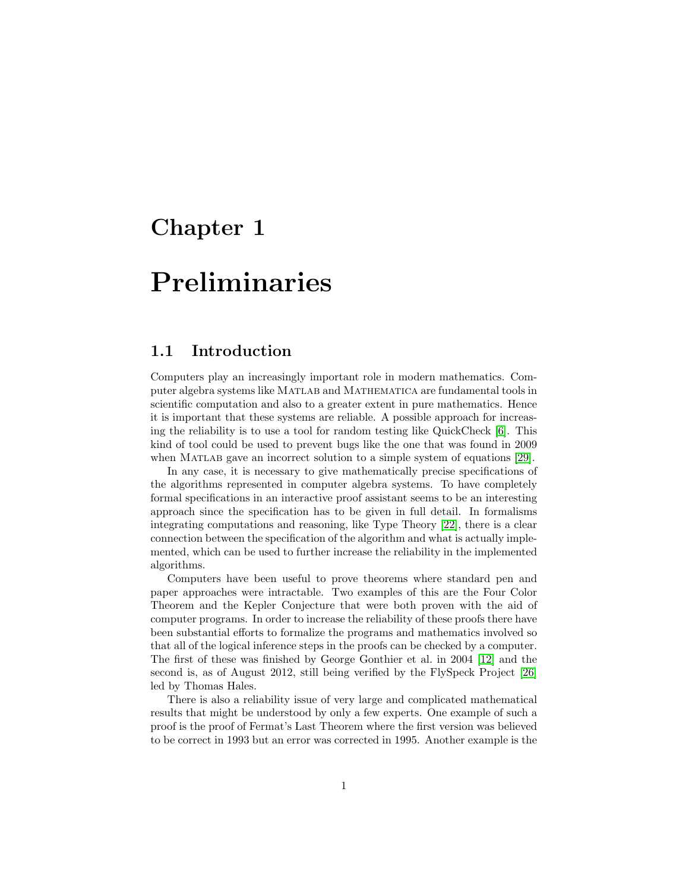# <span id="page-6-0"></span>Chapter 1

# Preliminaries

# <span id="page-6-1"></span>1.1 Introduction

Computers play an increasingly important role in modern mathematics. Computer algebra systems like Matlab and Mathematica are fundamental tools in scientific computation and also to a greater extent in pure mathematics. Hence it is important that these systems are reliable. A possible approach for increasing the reliability is to use a tool for random testing like QuickCheck [\[6\]](#page-15-0). This kind of tool could be used to prevent bugs like the one that was found in 2009 when MATLAB gave an incorrect solution to a simple system of equations [\[29\]](#page-17-0).

In any case, it is necessary to give mathematically precise specifications of the algorithms represented in computer algebra systems. To have completely formal specifications in an interactive proof assistant seems to be an interesting approach since the specification has to be given in full detail. In formalisms integrating computations and reasoning, like Type Theory [\[22\]](#page-16-0), there is a clear connection between the specification of the algorithm and what is actually implemented, which can be used to further increase the reliability in the implemented algorithms.

Computers have been useful to prove theorems where standard pen and paper approaches were intractable. Two examples of this are the Four Color Theorem and the Kepler Conjecture that were both proven with the aid of computer programs. In order to increase the reliability of these proofs there have been substantial efforts to formalize the programs and mathematics involved so that all of the logical inference steps in the proofs can be checked by a computer. The first of these was finished by George Gonthier et al. in 2004 [\[12\]](#page-16-1) and the second is, as of August 2012, still being verified by the FlySpeck Project [\[26\]](#page-17-1) led by Thomas Hales.

There is also a reliability issue of very large and complicated mathematical results that might be understood by only a few experts. One example of such a proof is the proof of Fermat's Last Theorem where the first version was believed to be correct in 1993 but an error was corrected in 1995. Another example is the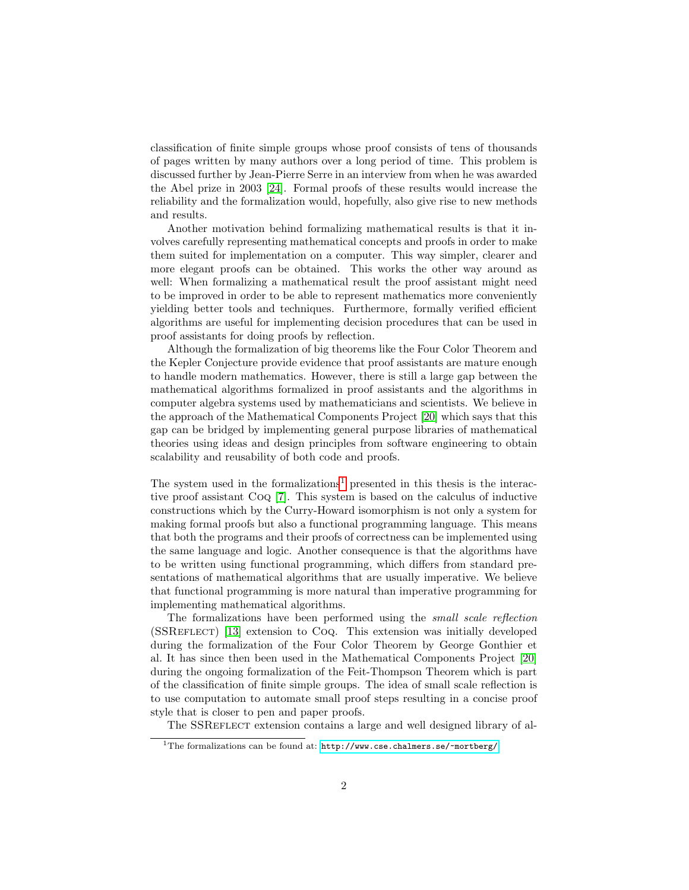classification of finite simple groups whose proof consists of tens of thousands of pages written by many authors over a long period of time. This problem is discussed further by Jean-Pierre Serre in an interview from when he was awarded the Abel prize in 2003 [\[24\]](#page-16-2). Formal proofs of these results would increase the reliability and the formalization would, hopefully, also give rise to new methods and results.

Another motivation behind formalizing mathematical results is that it involves carefully representing mathematical concepts and proofs in order to make them suited for implementation on a computer. This way simpler, clearer and more elegant proofs can be obtained. This works the other way around as well: When formalizing a mathematical result the proof assistant might need to be improved in order to be able to represent mathematics more conveniently yielding better tools and techniques. Furthermore, formally verified efficient algorithms are useful for implementing decision procedures that can be used in proof assistants for doing proofs by reflection.

Although the formalization of big theorems like the Four Color Theorem and the Kepler Conjecture provide evidence that proof assistants are mature enough to handle modern mathematics. However, there is still a large gap between the mathematical algorithms formalized in proof assistants and the algorithms in computer algebra systems used by mathematicians and scientists. We believe in the approach of the Mathematical Components Project [\[20\]](#page-16-3) which says that this gap can be bridged by implementing general purpose libraries of mathematical theories using ideas and design principles from software engineering to obtain scalability and reusability of both code and proofs.

The system used in the formalizations<sup>[1](#page-7-0)</sup> presented in this thesis is the interactive proof assistant Coq [\[7\]](#page-15-1). This system is based on the calculus of inductive constructions which by the Curry-Howard isomorphism is not only a system for making formal proofs but also a functional programming language. This means that both the programs and their proofs of correctness can be implemented using the same language and logic. Another consequence is that the algorithms have to be written using functional programming, which differs from standard presentations of mathematical algorithms that are usually imperative. We believe that functional programming is more natural than imperative programming for implementing mathematical algorithms.

The formalizations have been performed using the small scale reflection (SSReflect) [\[13\]](#page-16-4) extension to Coq. This extension was initially developed during the formalization of the Four Color Theorem by George Gonthier et al. It has since then been used in the Mathematical Components Project [\[20\]](#page-16-3) during the ongoing formalization of the Feit-Thompson Theorem which is part of the classification of finite simple groups. The idea of small scale reflection is to use computation to automate small proof steps resulting in a concise proof style that is closer to pen and paper proofs.

The SSREFLECT extension contains a large and well designed library of al-

<span id="page-7-0"></span><sup>&</sup>lt;sup>1</sup>The formalizations can be found at: <http://www.cse.chalmers.se/~mortberg/>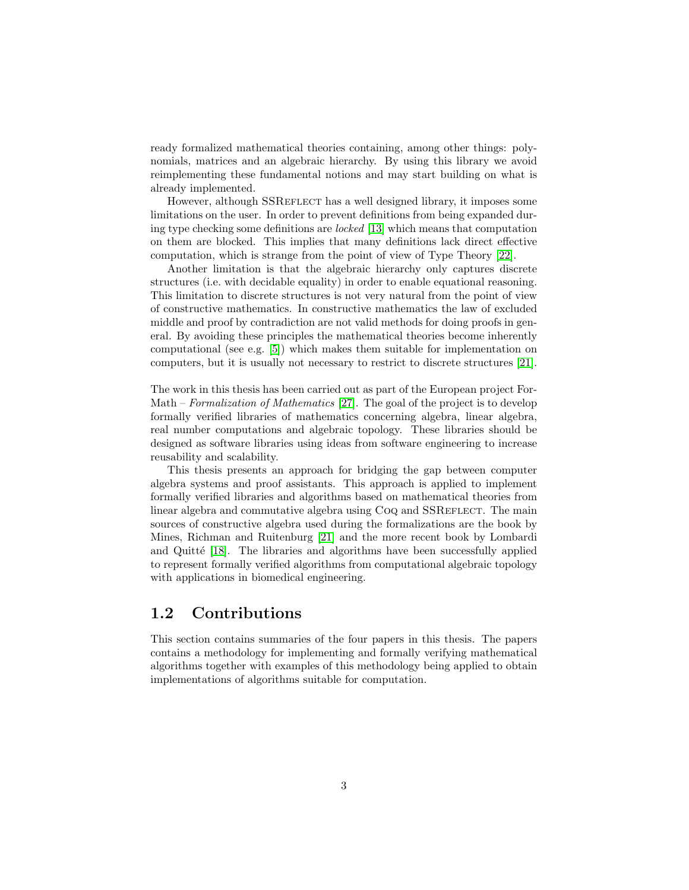ready formalized mathematical theories containing, among other things: polynomials, matrices and an algebraic hierarchy. By using this library we avoid reimplementing these fundamental notions and may start building on what is already implemented.

However, although SSREFLECT has a well designed library, it imposes some limitations on the user. In order to prevent definitions from being expanded during type checking some definitions are locked [\[13\]](#page-16-4) which means that computation on them are blocked. This implies that many definitions lack direct effective computation, which is strange from the point of view of Type Theory [\[22\]](#page-16-0).

Another limitation is that the algebraic hierarchy only captures discrete structures (i.e. with decidable equality) in order to enable equational reasoning. This limitation to discrete structures is not very natural from the point of view of constructive mathematics. In constructive mathematics the law of excluded middle and proof by contradiction are not valid methods for doing proofs in general. By avoiding these principles the mathematical theories become inherently computational (see e.g. [\[5\]](#page-15-2)) which makes them suitable for implementation on computers, but it is usually not necessary to restrict to discrete structures [\[21\]](#page-16-5).

The work in this thesis has been carried out as part of the European project For-Math – Formalization of Mathematics [\[27\]](#page-17-2). The goal of the project is to develop formally verified libraries of mathematics concerning algebra, linear algebra, real number computations and algebraic topology. These libraries should be designed as software libraries using ideas from software engineering to increase reusability and scalability.

This thesis presents an approach for bridging the gap between computer algebra systems and proof assistants. This approach is applied to implement formally verified libraries and algorithms based on mathematical theories from linear algebra and commutative algebra using CoQ and SSREFLECT. The main sources of constructive algebra used during the formalizations are the book by Mines, Richman and Ruitenburg [\[21\]](#page-16-5) and the more recent book by Lombardi and Quitté [\[18\]](#page-16-6). The libraries and algorithms have been successfully applied to represent formally verified algorithms from computational algebraic topology with applications in biomedical engineering.

# <span id="page-8-0"></span>1.2 Contributions

This section contains summaries of the four papers in this thesis. The papers contains a methodology for implementing and formally verifying mathematical algorithms together with examples of this methodology being applied to obtain implementations of algorithms suitable for computation.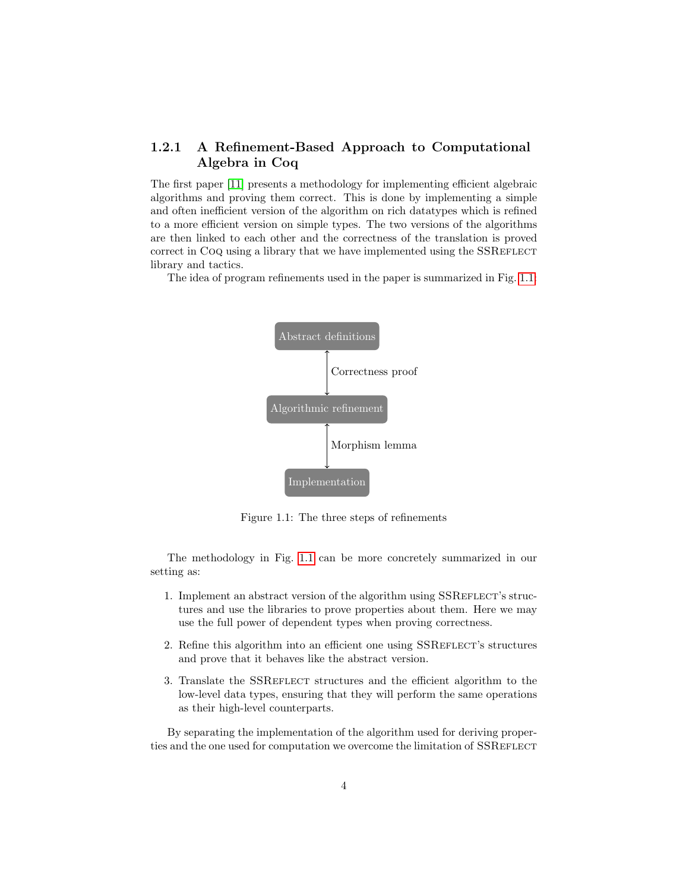## <span id="page-9-0"></span>1.2.1 A Refinement-Based Approach to Computational Algebra in Coq

The first paper [\[11\]](#page-15-3) presents a methodology for implementing efficient algebraic algorithms and proving them correct. This is done by implementing a simple and often inefficient version of the algorithm on rich datatypes which is refined to a more efficient version on simple types. The two versions of the algorithms are then linked to each other and the correctness of the translation is proved correct in Coq using a library that we have implemented using the SSREFLECT library and tactics.

The idea of program refinements used in the paper is summarized in Fig. [1.1:](#page-9-1)



<span id="page-9-1"></span>Figure 1.1: The three steps of refinements

The methodology in Fig. [1.1](#page-9-1) can be more concretely summarized in our setting as:

- 1. Implement an abstract version of the algorithm using SSREFLECT's structures and use the libraries to prove properties about them. Here we may use the full power of dependent types when proving correctness.
- 2. Refine this algorithm into an efficient one using SSREFLECT's structures and prove that it behaves like the abstract version.
- 3. Translate the SSREFLECT structures and the efficient algorithm to the low-level data types, ensuring that they will perform the same operations as their high-level counterparts.

By separating the implementation of the algorithm used for deriving properties and the one used for computation we overcome the limitation of SSREFLECT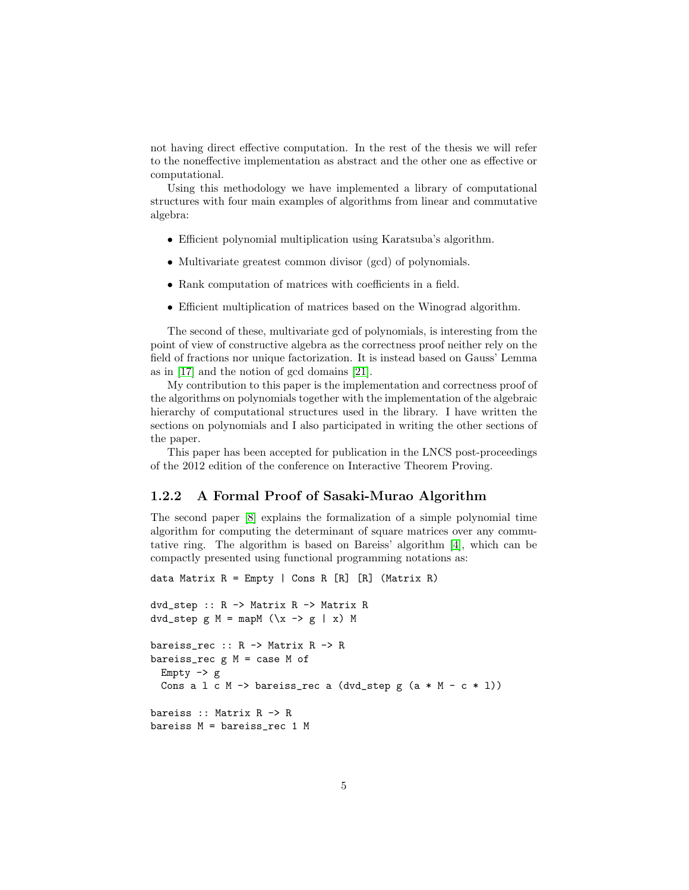not having direct effective computation. In the rest of the thesis we will refer to the noneffective implementation as abstract and the other one as effective or computational.

Using this methodology we have implemented a library of computational structures with four main examples of algorithms from linear and commutative algebra:

- Efficient polynomial multiplication using Karatsuba's algorithm.
- Multivariate greatest common divisor (gcd) of polynomials.
- Rank computation of matrices with coefficients in a field.
- Efficient multiplication of matrices based on the Winograd algorithm.

The second of these, multivariate gcd of polynomials, is interesting from the point of view of constructive algebra as the correctness proof neither rely on the field of fractions nor unique factorization. It is instead based on Gauss' Lemma as in [\[17\]](#page-16-7) and the notion of gcd domains [\[21\]](#page-16-5).

My contribution to this paper is the implementation and correctness proof of the algorithms on polynomials together with the implementation of the algebraic hierarchy of computational structures used in the library. I have written the sections on polynomials and I also participated in writing the other sections of the paper.

This paper has been accepted for publication in the LNCS post-proceedings of the 2012 edition of the conference on Interactive Theorem Proving.

### <span id="page-10-0"></span>1.2.2 A Formal Proof of Sasaki-Murao Algorithm

The second paper [\[8\]](#page-15-4) explains the formalization of a simple polynomial time algorithm for computing the determinant of square matrices over any commutative ring. The algorithm is based on Bareiss' algorithm [\[4\]](#page-15-5), which can be compactly presented using functional programming notations as:

```
data Matrix R = Empty | Cons R [R] [R] (Matrix R)
dvd_step :: R -> Matrix R -> Matrix R
dvd_step g M = mapM (\{x \rightarrow g | x) M
bareiss_rec :: R -> Matrix R -> R
bareiss_rec g M = case M of
  Empty \rightarrow g
  Cons a l c M \rightarrow bareiss_rec a (dvd_step g (a * M - c * l))
bareiss :: Matrix R -> R
bareiss M = bareiss_rec 1 M
```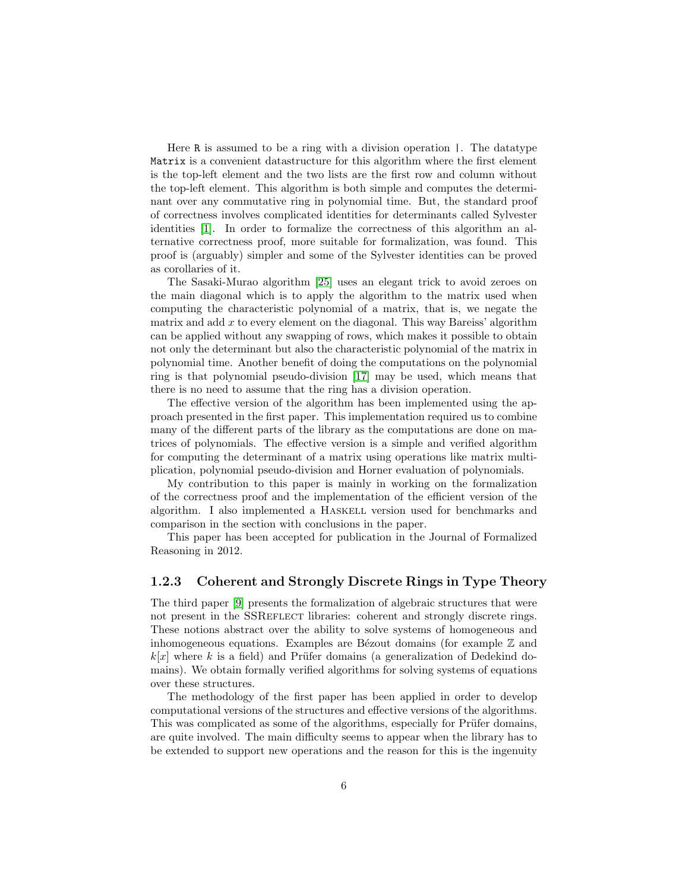Here R is assumed to be a ring with a division operation |. The datatype Matrix is a convenient datastructure for this algorithm where the first element is the top-left element and the two lists are the first row and column without the top-left element. This algorithm is both simple and computes the determinant over any commutative ring in polynomial time. But, the standard proof of correctness involves complicated identities for determinants called Sylvester identities [\[1\]](#page-15-6). In order to formalize the correctness of this algorithm an alternative correctness proof, more suitable for formalization, was found. This proof is (arguably) simpler and some of the Sylvester identities can be proved as corollaries of it.

The Sasaki-Murao algorithm [\[25\]](#page-16-8) uses an elegant trick to avoid zeroes on the main diagonal which is to apply the algorithm to the matrix used when computing the characteristic polynomial of a matrix, that is, we negate the matrix and add  $x$  to every element on the diagonal. This way Bareiss' algorithm can be applied without any swapping of rows, which makes it possible to obtain not only the determinant but also the characteristic polynomial of the matrix in polynomial time. Another benefit of doing the computations on the polynomial ring is that polynomial pseudo-division [\[17\]](#page-16-7) may be used, which means that there is no need to assume that the ring has a division operation.

The effective version of the algorithm has been implemented using the approach presented in the first paper. This implementation required us to combine many of the different parts of the library as the computations are done on matrices of polynomials. The effective version is a simple and verified algorithm for computing the determinant of a matrix using operations like matrix multiplication, polynomial pseudo-division and Horner evaluation of polynomials.

My contribution to this paper is mainly in working on the formalization of the correctness proof and the implementation of the efficient version of the algorithm. I also implemented a Haskell version used for benchmarks and comparison in the section with conclusions in the paper.

This paper has been accepted for publication in the Journal of Formalized Reasoning in 2012.

## <span id="page-11-0"></span>1.2.3 Coherent and Strongly Discrete Rings in Type Theory

The third paper [\[9\]](#page-15-7) presents the formalization of algebraic structures that were not present in the SSREFLECT libraries: coherent and strongly discrete rings. These notions abstract over the ability to solve systems of homogeneous and inhomogeneous equations. Examples are Bézout domains (for example  $\mathbb Z$  and  $k[x]$  where k is a field) and Prüfer domains (a generalization of Dedekind domains). We obtain formally verified algorithms for solving systems of equations over these structures.

The methodology of the first paper has been applied in order to develop computational versions of the structures and effective versions of the algorithms. This was complicated as some of the algorithms, especially for Prüfer domains, are quite involved. The main difficulty seems to appear when the library has to be extended to support new operations and the reason for this is the ingenuity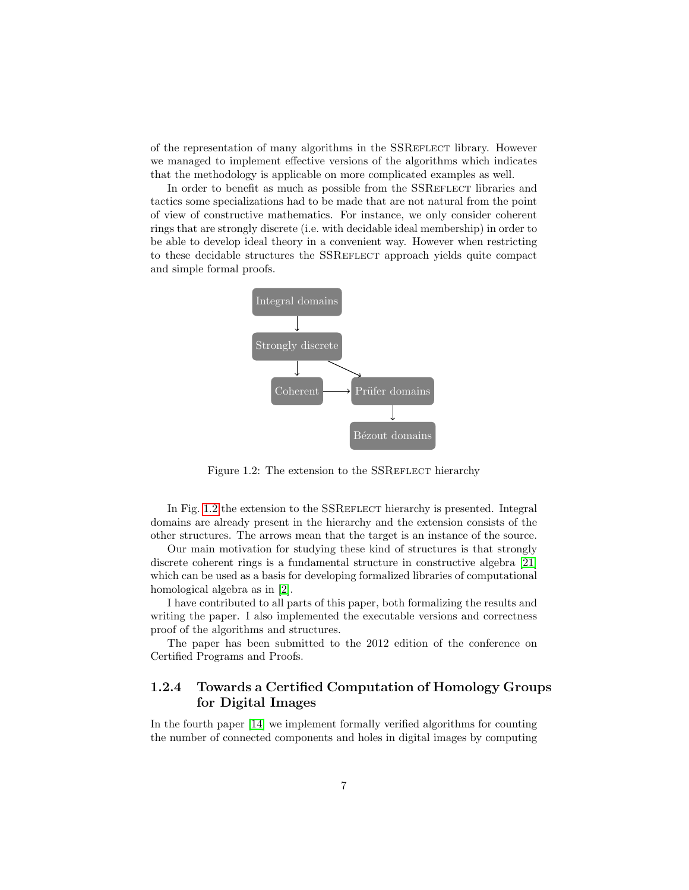of the representation of many algorithms in the SSREFLECT library. However we managed to implement effective versions of the algorithms which indicates that the methodology is applicable on more complicated examples as well.

In order to benefit as much as possible from the SSREFLECT libraries and tactics some specializations had to be made that are not natural from the point of view of constructive mathematics. For instance, we only consider coherent rings that are strongly discrete (i.e. with decidable ideal membership) in order to be able to develop ideal theory in a convenient way. However when restricting to these decidable structures the SSREFLECT approach yields quite compact and simple formal proofs.



<span id="page-12-1"></span>Figure 1.2: The extension to the SSREFLECT hierarchy

In Fig. [1.2](#page-12-1) the extension to the SSREFLECT hierarchy is presented. Integral domains are already present in the hierarchy and the extension consists of the other structures. The arrows mean that the target is an instance of the source.

Our main motivation for studying these kind of structures is that strongly discrete coherent rings is a fundamental structure in constructive algebra [\[21\]](#page-16-5) which can be used as a basis for developing formalized libraries of computational homological algebra as in [\[2\]](#page-15-8).

I have contributed to all parts of this paper, both formalizing the results and writing the paper. I also implemented the executable versions and correctness proof of the algorithms and structures.

The paper has been submitted to the 2012 edition of the conference on Certified Programs and Proofs.

## <span id="page-12-0"></span>1.2.4 Towards a Certified Computation of Homology Groups for Digital Images

In the fourth paper [\[14\]](#page-16-9) we implement formally verified algorithms for counting the number of connected components and holes in digital images by computing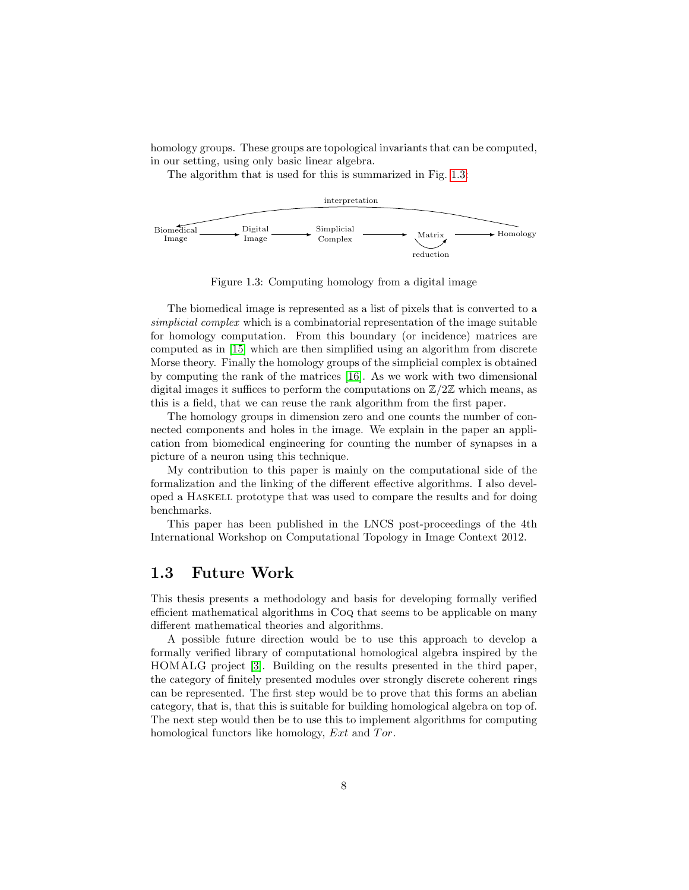homology groups. These groups are topological invariants that can be computed, in our setting, using only basic linear algebra.

The algorithm that is used for this is summarized in Fig. [1.3:](#page-13-1)



<span id="page-13-1"></span>Figure 1.3: Computing homology from a digital image

The biomedical image is represented as a list of pixels that is converted to a simplicial complex which is a combinatorial representation of the image suitable for homology computation. From this boundary (or incidence) matrices are computed as in [\[15\]](#page-16-10) which are then simplified using an algorithm from discrete Morse theory. Finally the homology groups of the simplicial complex is obtained by computing the rank of the matrices [\[16\]](#page-16-11). As we work with two dimensional digital images it suffices to perform the computations on  $\mathbb{Z}/2\mathbb{Z}$  which means, as this is a field, that we can reuse the rank algorithm from the first paper.

The homology groups in dimension zero and one counts the number of connected components and holes in the image. We explain in the paper an application from biomedical engineering for counting the number of synapses in a picture of a neuron using this technique.

My contribution to this paper is mainly on the computational side of the formalization and the linking of the different effective algorithms. I also developed a Haskell prototype that was used to compare the results and for doing benchmarks.

This paper has been published in the LNCS post-proceedings of the 4th International Workshop on Computational Topology in Image Context 2012.

# <span id="page-13-0"></span>1.3 Future Work

This thesis presents a methodology and basis for developing formally verified efficient mathematical algorithms in Coq that seems to be applicable on many different mathematical theories and algorithms.

A possible future direction would be to use this approach to develop a formally verified library of computational homological algebra inspired by the HOMALG project [\[3\]](#page-15-9). Building on the results presented in the third paper, the category of finitely presented modules over strongly discrete coherent rings can be represented. The first step would be to prove that this forms an abelian category, that is, that this is suitable for building homological algebra on top of. The next step would then be to use this to implement algorithms for computing homological functors like homology,  $Ext$  and  $Tor$ .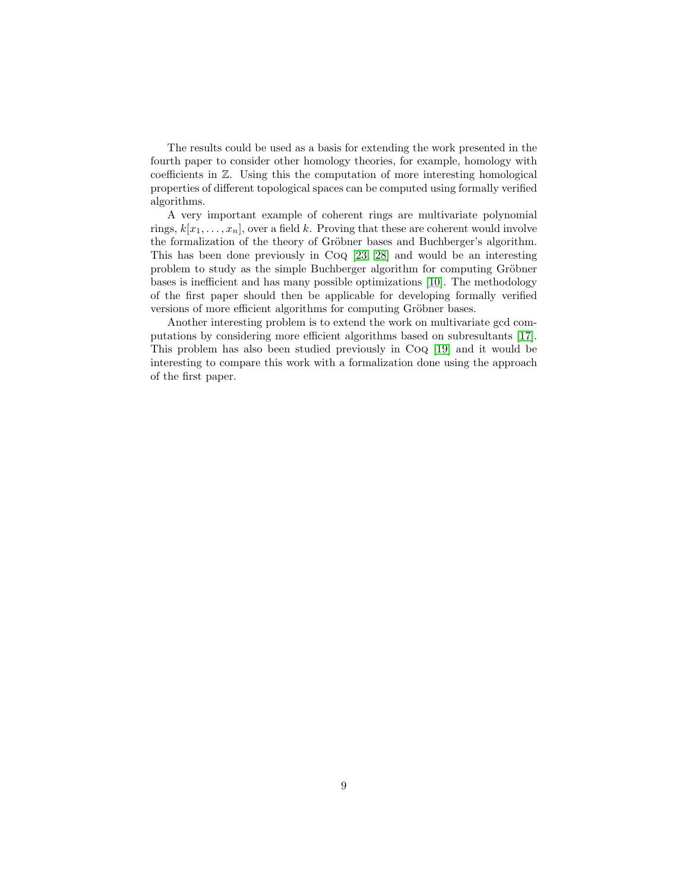The results could be used as a basis for extending the work presented in the fourth paper to consider other homology theories, for example, homology with coefficients in Z. Using this the computation of more interesting homological properties of different topological spaces can be computed using formally verified algorithms.

A very important example of coherent rings are multivariate polynomial rings,  $k[x_1, \ldots, x_n]$ , over a field k. Proving that these are coherent would involve the formalization of the theory of Gröbner bases and Buchberger's algorithm. This has been done previously in Coq [\[23,](#page-16-12) [28\]](#page-17-3) and would be an interesting problem to study as the simple Buchberger algorithm for computing Gröbner bases is inefficient and has many possible optimizations [\[10\]](#page-15-10). The methodology of the first paper should then be applicable for developing formally verified versions of more efficient algorithms for computing Gröbner bases.

Another interesting problem is to extend the work on multivariate gcd computations by considering more efficient algorithms based on subresultants [\[17\]](#page-16-7). This problem has also been studied previously in Coq [\[19\]](#page-16-13) and it would be interesting to compare this work with a formalization done using the approach of the first paper.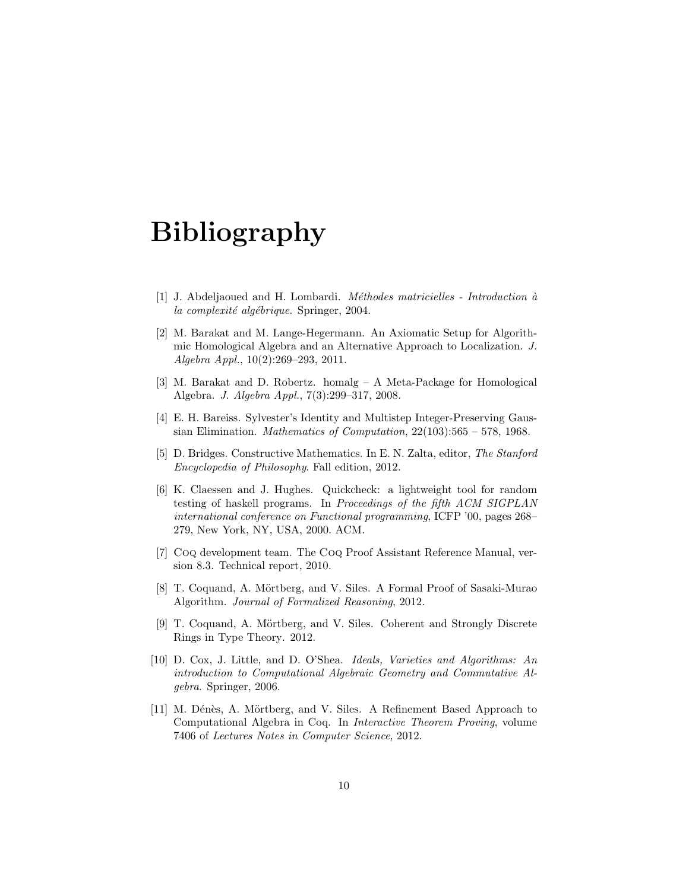# Bibliography

- <span id="page-15-6"></span>[1] J. Abdeljaoued and H. Lombardi. *Méthodes matricielles - Introduction*  $\dot{a}$ la complexité algébrique. Springer, 2004.
- <span id="page-15-8"></span>[2] M. Barakat and M. Lange-Hegermann. An Axiomatic Setup for Algorithmic Homological Algebra and an Alternative Approach to Localization. J. Algebra Appl., 10(2):269–293, 2011.
- <span id="page-15-9"></span>[3] M. Barakat and D. Robertz. homalg – A Meta-Package for Homological Algebra. J. Algebra Appl., 7(3):299–317, 2008.
- <span id="page-15-5"></span>[4] E. H. Bareiss. Sylvester's Identity and Multistep Integer-Preserving Gaussian Elimination. Mathematics of Computation, 22(103):565 – 578, 1968.
- <span id="page-15-2"></span>[5] D. Bridges. Constructive Mathematics. In E. N. Zalta, editor, The Stanford Encyclopedia of Philosophy. Fall edition, 2012.
- <span id="page-15-0"></span>[6] K. Claessen and J. Hughes. Quickcheck: a lightweight tool for random testing of haskell programs. In Proceedings of the fifth ACM SIGPLAN international conference on Functional programming, ICFP '00, pages 268– 279, New York, NY, USA, 2000. ACM.
- <span id="page-15-1"></span>[7] Coq development team. The Coq Proof Assistant Reference Manual, version 8.3. Technical report, 2010.
- <span id="page-15-4"></span>[8] T. Coquand, A. Mörtberg, and V. Siles. A Formal Proof of Sasaki-Murao Algorithm. Journal of Formalized Reasoning, 2012.
- <span id="page-15-7"></span>[9] T. Coquand, A. Mörtberg, and V. Siles. Coherent and Strongly Discrete Rings in Type Theory. 2012.
- <span id="page-15-10"></span>[10] D. Cox, J. Little, and D. O'Shea. Ideals, Varieties and Algorithms: An introduction to Computational Algebraic Geometry and Commutative Algebra. Springer, 2006.
- <span id="page-15-3"></span>[11] M. Dénès, A. Mörtberg, and V. Siles. A Refinement Based Approach to Computational Algebra in Coq. In Interactive Theorem Proving, volume 7406 of Lectures Notes in Computer Science, 2012.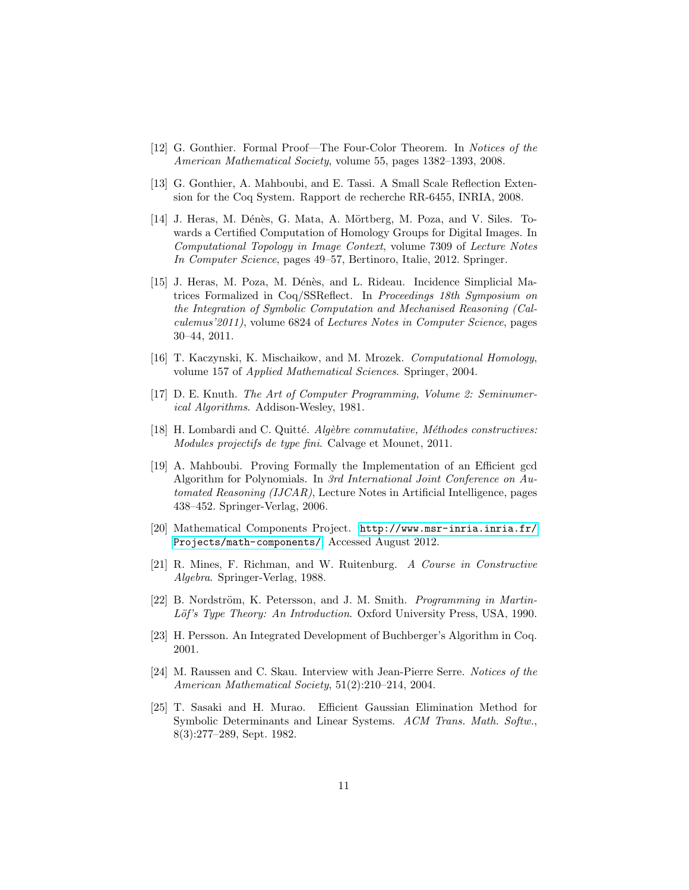- <span id="page-16-1"></span>[12] G. Gonthier. Formal Proof—The Four-Color Theorem. In Notices of the American Mathematical Society, volume 55, pages 1382–1393, 2008.
- <span id="page-16-4"></span>[13] G. Gonthier, A. Mahboubi, and E. Tassi. A Small Scale Reflection Extension for the Coq System. Rapport de recherche RR-6455, INRIA, 2008.
- <span id="page-16-9"></span>[14] J. Heras, M. Dénès, G. Mata, A. Mörtberg, M. Poza, and V. Siles. Towards a Certified Computation of Homology Groups for Digital Images. In Computational Topology in Image Context, volume 7309 of Lecture Notes In Computer Science, pages 49–57, Bertinoro, Italie, 2012. Springer.
- <span id="page-16-10"></span>[15] J. Heras, M. Poza, M. Dénès, and L. Rideau. Incidence Simplicial Matrices Formalized in Coq/SSReflect. In Proceedings 18th Symposium on the Integration of Symbolic Computation and Mechanised Reasoning (Calculemus'2011), volume 6824 of Lectures Notes in Computer Science, pages 30–44, 2011.
- <span id="page-16-11"></span>[16] T. Kaczynski, K. Mischaikow, and M. Mrozek. Computational Homology, volume 157 of Applied Mathematical Sciences. Springer, 2004.
- <span id="page-16-7"></span>[17] D. E. Knuth. The Art of Computer Programming, Volume 2: Seminumerical Algorithms. Addison-Wesley, 1981.
- <span id="page-16-6"></span>[18] H. Lombardi and C. Quitté. Algèbre commutative, Méthodes constructives: Modules projectifs de type fini. Calvage et Mounet, 2011.
- <span id="page-16-13"></span>[19] A. Mahboubi. Proving Formally the Implementation of an Efficient gcd Algorithm for Polynomials. In 3rd International Joint Conference on Automated Reasoning (IJCAR), Lecture Notes in Artificial Intelligence, pages 438–452. Springer-Verlag, 2006.
- <span id="page-16-3"></span>[20] Mathematical Components Project. [http://www.msr-inria.inria.fr/](http://www.msr-inria.inria.fr/Projects/math-components/) [Projects/math-components/](http://www.msr-inria.inria.fr/Projects/math-components/), Accessed August 2012.
- <span id="page-16-5"></span>[21] R. Mines, F. Richman, and W. Ruitenburg. A Course in Constructive Algebra. Springer-Verlag, 1988.
- <span id="page-16-0"></span>[22] B. Nordström, K. Petersson, and J. M. Smith. *Programming in Martin*-Löf's Type Theory: An Introduction. Oxford University Press, USA, 1990.
- <span id="page-16-12"></span>[23] H. Persson. An Integrated Development of Buchberger's Algorithm in Coq. 2001.
- <span id="page-16-2"></span>[24] M. Raussen and C. Skau. Interview with Jean-Pierre Serre. Notices of the American Mathematical Society, 51(2):210–214, 2004.
- <span id="page-16-8"></span>[25] T. Sasaki and H. Murao. Efficient Gaussian Elimination Method for Symbolic Determinants and Linear Systems. ACM Trans. Math. Softw., 8(3):277–289, Sept. 1982.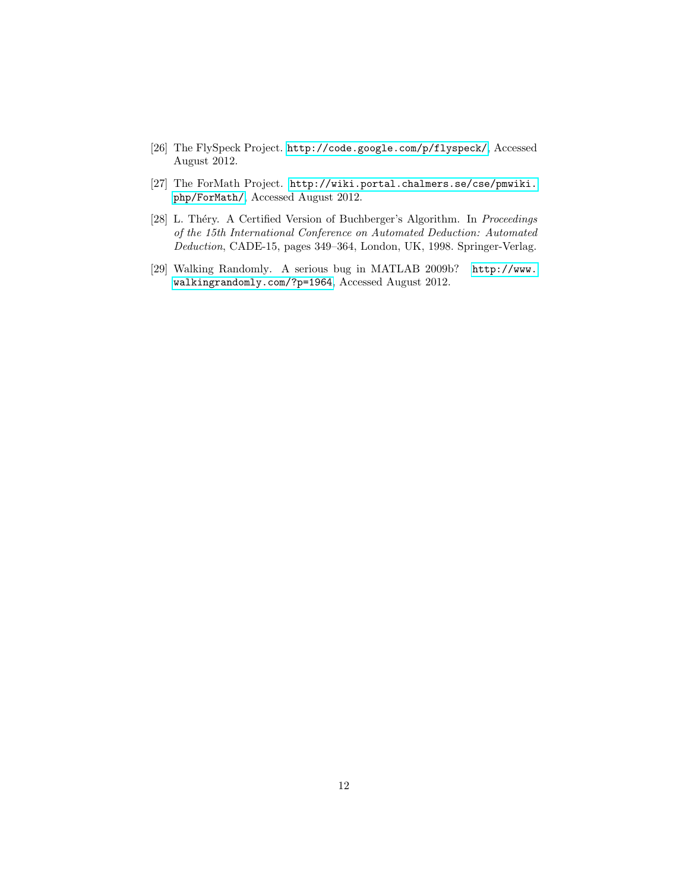- <span id="page-17-1"></span>[26] The FlySpeck Project. <http://code.google.com/p/flyspeck/>, Accessed August 2012.
- <span id="page-17-2"></span>[27] The ForMath Project. [http://wiki.portal.chalmers.se/cse/pmwiki.](http://wiki.portal.chalmers.se/cse/pmwiki.php/ForMath/) [php/ForMath/](http://wiki.portal.chalmers.se/cse/pmwiki.php/ForMath/), Accessed August 2012.
- <span id="page-17-3"></span>[28] L. Théry. A Certified Version of Buchberger's Algorithm. In Proceedings of the 15th International Conference on Automated Deduction: Automated Deduction, CADE-15, pages 349–364, London, UK, 1998. Springer-Verlag.
- <span id="page-17-0"></span>[29] Walking Randomly. A serious bug in MATLAB 2009b? [http://www.](http://www.walkingrandomly.com/?p=1964) [walkingrandomly.com/?p=1964](http://www.walkingrandomly.com/?p=1964), Accessed August 2012.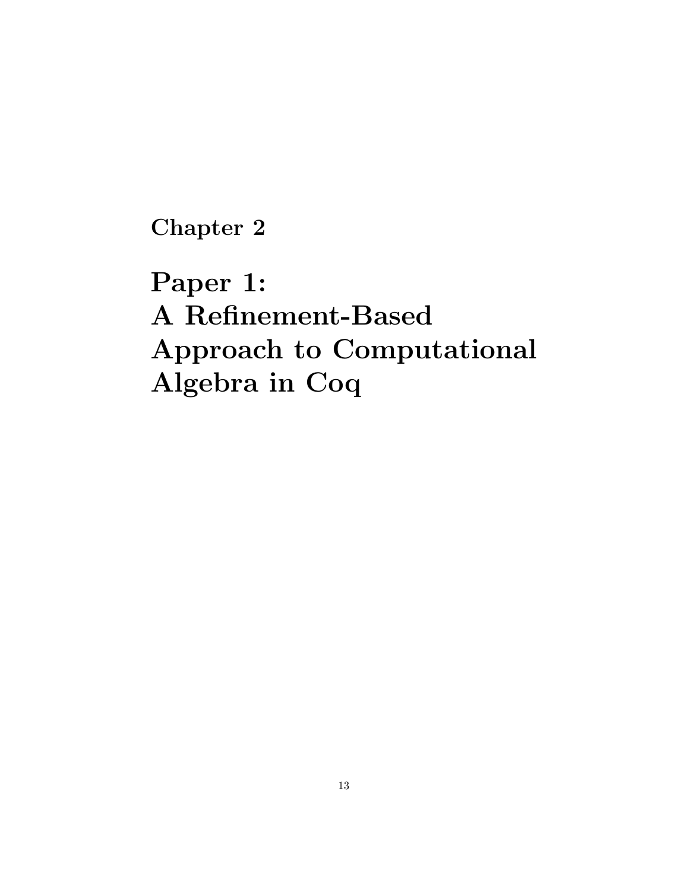<span id="page-18-0"></span>Chapter 2

Paper 1: A Refinement-Based Approach to Computational Algebra in Coq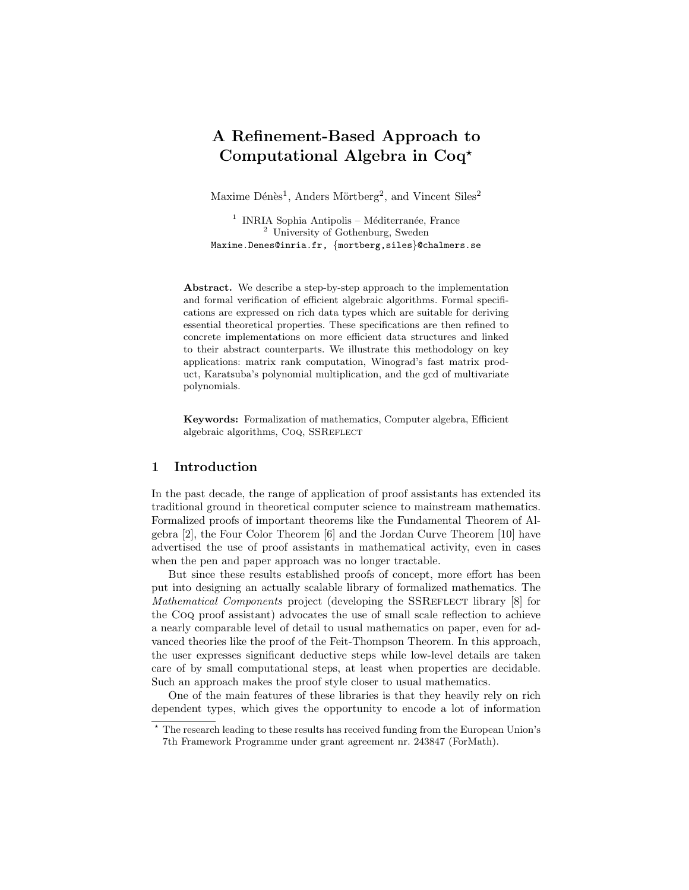# A Refinement-Based Approach to Computational Algebra in Coq<sup>\*</sup>

Maxime Dénès<sup>1</sup>, Anders Mörtberg<sup>2</sup>, and Vincent Siles<sup>2</sup>

<sup>1</sup> INRIA Sophia Antipolis – Méditerranée, France <sup>2</sup> University of Gothenburg, Sweden Maxime.Denes@inria.fr, {mortberg, siles}@chalmers.se

Abstract. We describe a step-by-step approach to the implementation and formal verification of efficient algebraic algorithms. Formal specifications are expressed on rich data types which are suitable for deriving essential theoretical properties. These specifications are then refined to concrete implementations on more efficient data structures and linked to their abstract counterparts. We illustrate this methodology on key applications: matrix rank computation, Winograd's fast matrix product, Karatsuba's polynomial multiplication, and the gcd of multivariate polynomials.

Keywords: Formalization of mathematics, Computer algebra, Efficient algebraic algorithms, CoQ, SSREFLECT

## 1 Introduction

In the past decade, the range of application of proof assistants has extended its traditional ground in theoretical computer science to mainstream mathematics. Formalized proofs of important theorems like the Fundamental Theorem of Algebra [2], the Four Color Theorem [6] and the Jordan Curve Theorem [10] have advertised the use of proof assistants in mathematical activity, even in cases when the pen and paper approach was no longer tractable.

But since these results established proofs of concept, more effort has been put into designing an actually scalable library of formalized mathematics. The Mathematical Components project (developing the SSREFLECT library [8] for the Coq proof assistant) advocates the use of small scale reflection to achieve a nearly comparable level of detail to usual mathematics on paper, even for advanced theories like the proof of the Feit-Thompson Theorem. In this approach, the user expresses significant deductive steps while low-level details are taken care of by small computational steps, at least when properties are decidable. Such an approach makes the proof style closer to usual mathematics.

One of the main features of these libraries is that they heavily rely on rich dependent types, which gives the opportunity to encode a lot of information

<sup>?</sup> The research leading to these results has received funding from the European Union's 7th Framework Programme under grant agreement nr. 243847 (ForMath).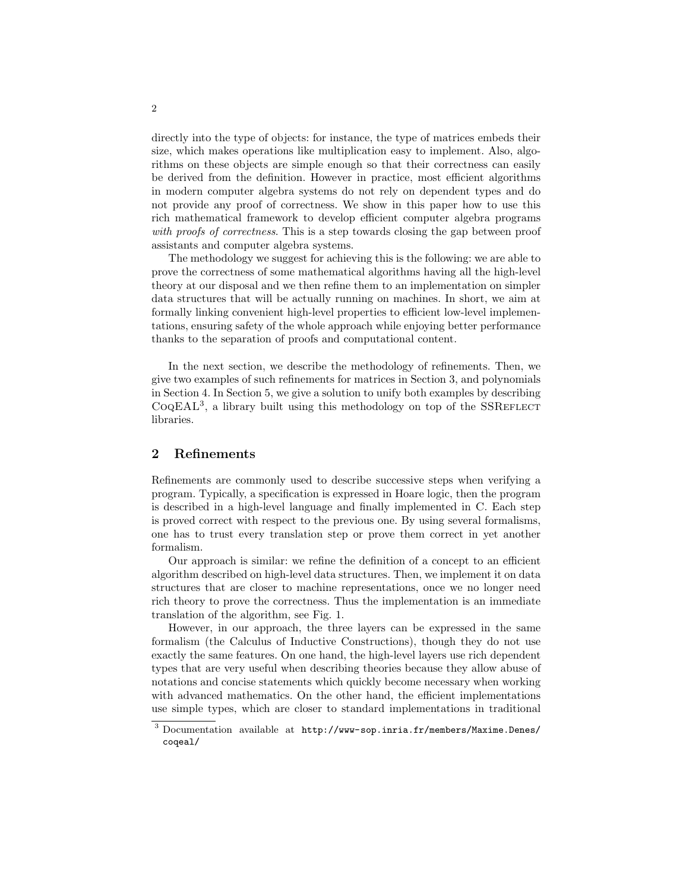directly into the type of objects: for instance, the type of matrices embeds their size, which makes operations like multiplication easy to implement. Also, algorithms on these objects are simple enough so that their correctness can easily be derived from the definition. However in practice, most efficient algorithms in modern computer algebra systems do not rely on dependent types and do not provide any proof of correctness. We show in this paper how to use this rich mathematical framework to develop efficient computer algebra programs with proofs of correctness. This is a step towards closing the gap between proof assistants and computer algebra systems.

The methodology we suggest for achieving this is the following: we are able to prove the correctness of some mathematical algorithms having all the high-level theory at our disposal and we then refine them to an implementation on simpler data structures that will be actually running on machines. In short, we aim at formally linking convenient high-level properties to efficient low-level implementations, ensuring safety of the whole approach while enjoying better performance thanks to the separation of proofs and computational content.

In the next section, we describe the methodology of refinements. Then, we give two examples of such refinements for matrices in Section 3, and polynomials in Section 4. In Section 5, we give a solution to unify both examples by describing  $CoQEAL<sup>3</sup>$ , a library built using this methodology on top of the SSREFLECT libraries.

### 2 Refinements

Refinements are commonly used to describe successive steps when verifying a program. Typically, a specification is expressed in Hoare logic, then the program is described in a high-level language and finally implemented in C. Each step is proved correct with respect to the previous one. By using several formalisms, one has to trust every translation step or prove them correct in yet another formalism.

Our approach is similar: we refine the definition of a concept to an efficient algorithm described on high-level data structures. Then, we implement it on data structures that are closer to machine representations, once we no longer need rich theory to prove the correctness. Thus the implementation is an immediate translation of the algorithm, see Fig. 1.

However, in our approach, the three layers can be expressed in the same formalism (the Calculus of Inductive Constructions), though they do not use exactly the same features. On one hand, the high-level layers use rich dependent types that are very useful when describing theories because they allow abuse of notations and concise statements which quickly become necessary when working with advanced mathematics. On the other hand, the efficient implementations use simple types, which are closer to standard implementations in traditional

<sup>3</sup> Documentation available at http://www-sop.inria.fr/members/Maxime.Denes/ coqeal/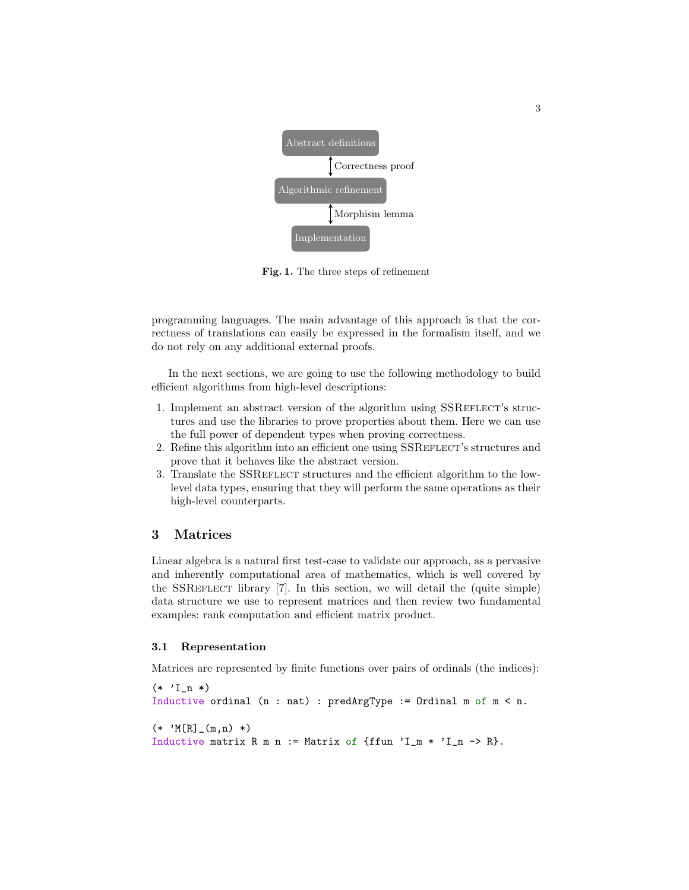

Fig. 1. The three steps of refinement

programming languages. The main advantage of this approach is that the correctness of translations can easily be expressed in the formalism itself, and we do not rely on any additional external proofs.

In the next sections, we are going to use the following methodology to build efficient algorithms from high-level descriptions:

- 1. Implement an abstract version of the algorithm using SSREFLECT's structures and use the libraries to prove properties about them. Here we can use the full power of dependent types when proving correctness.
- 2. Refine this algorithm into an efficient one using SSREFLECT's structures and prove that it behaves like the abstract version.
- 3. Translate the SSREFLECT structures and the efficient algorithm to the lowlevel data types, ensuring that they will perform the same operations as their high-level counterparts.

## 3 Matrices

Linear algebra is a natural first test-case to validate our approach, as a pervasive and inherently computational area of mathematics, which is well covered by the SSREFLECT library [7]. In this section, we will detail the (quite simple) data structure we use to represent matrices and then review two fundamental examples: rank computation and efficient matrix product.

#### 3.1 Representation

Matrices are represented by finite functions over pairs of ordinals (the indices):

```
(* 'I_n *)Inductive ordinal (n : nat) : predArgType := Ordinal m of m < n.
(* 'M[R]_{(m,n) *})Inductive matrix R m n := Matrix of {ffun 'I_m * 'I_n -> R}.
```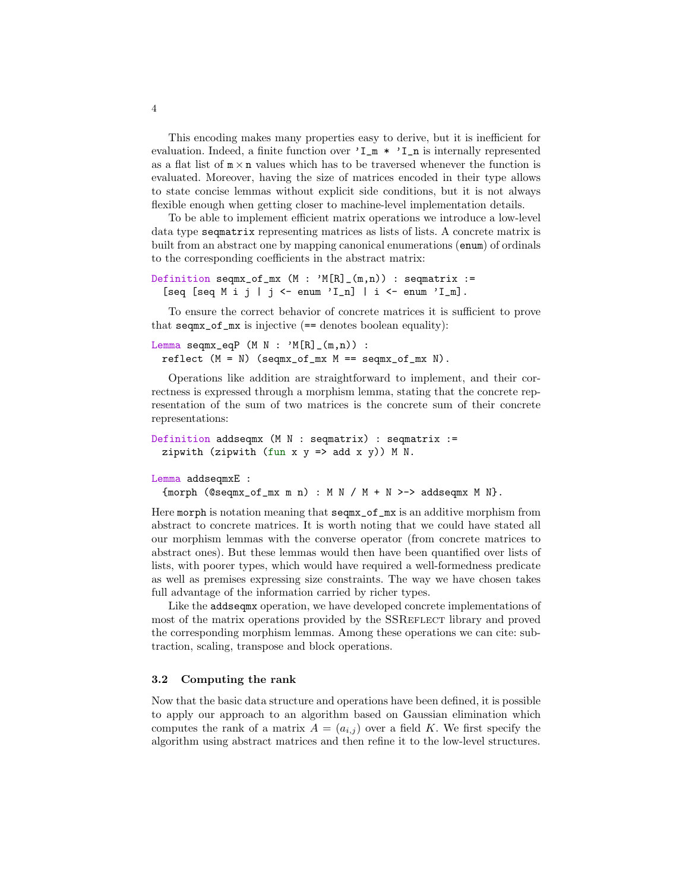This encoding makes many properties easy to derive, but it is inefficient for evaluation. Indeed, a finite function over  $'I_m * 'I_n$  is internally represented as a flat list of  $m \times n$  values which has to be traversed whenever the function is evaluated. Moreover, having the size of matrices encoded in their type allows to state concise lemmas without explicit side conditions, but it is not always flexible enough when getting closer to machine-level implementation details.

To be able to implement efficient matrix operations we introduce a low-level data type seqmatrix representing matrices as lists of lists. A concrete matrix is built from an abstract one by mapping canonical enumerations (enum) of ordinals to the corresponding coefficients in the abstract matrix:

```
Definition seqmx_of_mx (M : 'M[R]_-(m,n)) : seqmatrix :=[seq [seq M i j | j <- enum 'I_n] | i <- enum 'I_m].
```
To ensure the correct behavior of concrete matrices it is sufficient to prove that seqmx\_of\_mx is injective (== denotes boolean equality):

```
Lemma seqmx_eqP (M N : 'M[R]_{m,m}) :
 reflect (M = N) (seqmx_of_mx M == seqmx_of_mx N).
```
Operations like addition are straightforward to implement, and their correctness is expressed through a morphism lemma, stating that the concrete representation of the sum of two matrices is the concrete sum of their concrete representations:

```
Definition addseqmx (M N : seqmatrix) : seqmatrix :=
 zipwith (zipwith (fun x y => add x y)) M N.
```
#### Lemma addseqmxE :

```
{morph (Qseqmx_of_mx m n) : M N / M + N} >-> addseqmx M N}.
```
Here morph is notation meaning that seqmx\_of\_mx is an additive morphism from abstract to concrete matrices. It is worth noting that we could have stated all our morphism lemmas with the converse operator (from concrete matrices to abstract ones). But these lemmas would then have been quantified over lists of lists, with poorer types, which would have required a well-formedness predicate as well as premises expressing size constraints. The way we have chosen takes full advantage of the information carried by richer types.

Like the addseqmx operation, we have developed concrete implementations of most of the matrix operations provided by the SSREFLECT library and proved the corresponding morphism lemmas. Among these operations we can cite: subtraction, scaling, transpose and block operations.

#### 3.2 Computing the rank

Now that the basic data structure and operations have been defined, it is possible to apply our approach to an algorithm based on Gaussian elimination which computes the rank of a matrix  $A = (a_{i,j})$  over a field K. We first specify the algorithm using abstract matrices and then refine it to the low-level structures.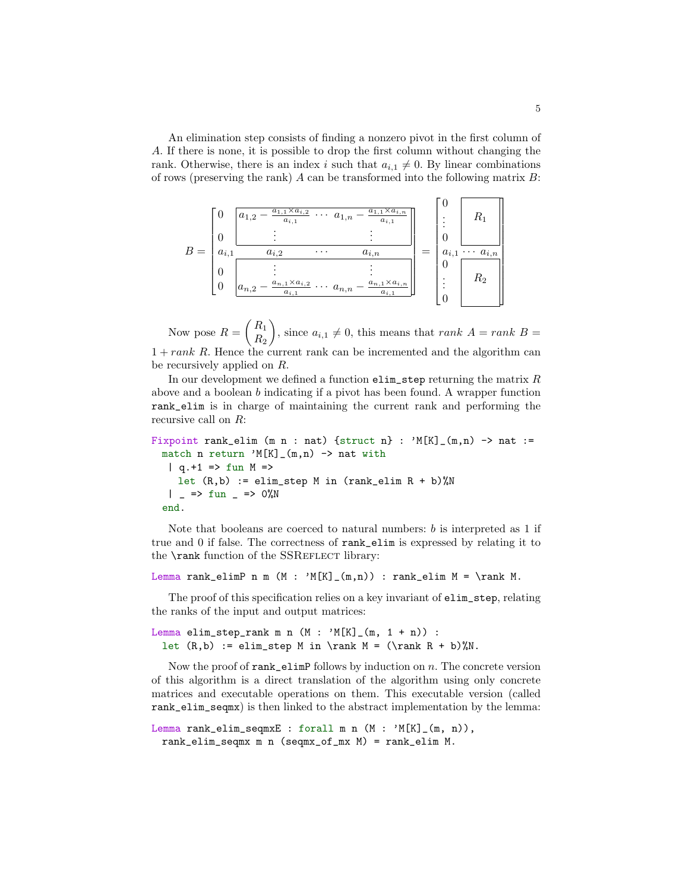An elimination step consists of finding a nonzero pivot in the first column of A. If there is none, it is possible to drop the first column without changing the rank. Otherwise, there is an index i such that  $a_{i,1} \neq 0$ . By linear combinations of rows (preserving the rank)  $A$  can be transformed into the following matrix  $B$ :

$$
B = \begin{bmatrix} 0 & a_{1,2} - \frac{a_{1,1} \times a_{i,2}}{a_{i,1}} & \cdots & a_{1,n} - \frac{a_{1,1} \times a_{i,n}}{a_{i,1}} \\ 0 & \vdots & & \vdots \\ a_{i,1} & a_{i,2} & \cdots & a_{i,n} \\ 0 & \vdots & & \vdots \\ 0 & a_{n,2} - \frac{a_{n,1} \times a_{i,2}}{a_{i,1}} & \cdots & a_{n,n} - \frac{a_{n,1} \times a_{i,n}}{a_{i,1}} \end{bmatrix} = \begin{bmatrix} 0 & & & \\ \vdots & & R_1 & \\ 0 & & & \\ 0 & & & \\ \vdots & & R_2 & \\ 0 & & & \end{bmatrix}
$$

Now pose  $R =$  $R_1$  $R_{2}$  $\setminus$ , since  $a_{i,1} \neq 0$ , this means that rank  $A = rank B =$  $1 + rank R$ . Hence the current rank can be incremented and the algorithm can be recursively applied on R.

In our development we defined a function  $\text{elim\_step}$  returning the matrix R above and a boolean b indicating if a pivot has been found. A wrapper function rank\_elim is in charge of maintaining the current rank and performing the recursive call on R:

```
Fixpoint rank_elim (m n : nat) {struct n} : M[K]_{m,n} -> nat :=
 match n return 'M[K]_{(m,n)} \rightarrow nat with
  | q.+1 => fun M =>
    let (R,b) := elim_step M in (rank_elim R + b)%N
  | = > fun = \approx 0%N
  end.
```
Note that booleans are coerced to natural numbers:  $b$  is interpreted as 1 if true and 0 if false. The correctness of rank\_elim is expressed by relating it to the  $\rm \frac{1}{\rm \frac{1}{\rm \frac{1}{\rm \frac{1}{\rm \frac{1}{\rm \frac{1}{\rm \frac{1}{\rm \frac{1}{\rm \frac{1}{\rm \frac{1}{\rm \frac{1}{\rm \frac{1}{\rm \frac{1}{\rm \frac{1}{\rm \frac{1}{\rm \frac{1}{\rm \frac{1}{\rm \frac{1}{\rm \frac{1}{\rm \frac{1}{\rm \frac{1}{\rm \frac{1}{\rm \frac{1}{\rm \frac{1}{\rm \frac{1}{\rm \frac{1}{\rm \frac{1}{\rm \frac{1}{\rm \frac{1}{\rm \frac{1}{\rm \frac{1$ 

Lemma rank\_elimP n m  $(M : 'M[K]_m,n))$  : rank\_elim  $M = \rank M$ .

The proof of this specification relies on a key invariant of elim\_step, relating the ranks of the input and output matrices:

Lemma elim\_step\_rank m n  $(M : 'M[K]_m, 1 + n))$  : let  $(R,b) := elim\_step M in \rank M = (\rank R + b)$ .

Now the proof of  $\texttt{rank\_elimP}$  follows by induction on n. The concrete version of this algorithm is a direct translation of the algorithm using only concrete matrices and executable operations on them. This executable version (called rank\_elim\_seqmx) is then linked to the abstract implementation by the lemma:

```
Lemma rank_elim_seqmxE : forall m n (M : 'M[K]_(m, n)),
 rank_elim_seqmx m n (seqmx_of_mx M) = rank_elim M.
```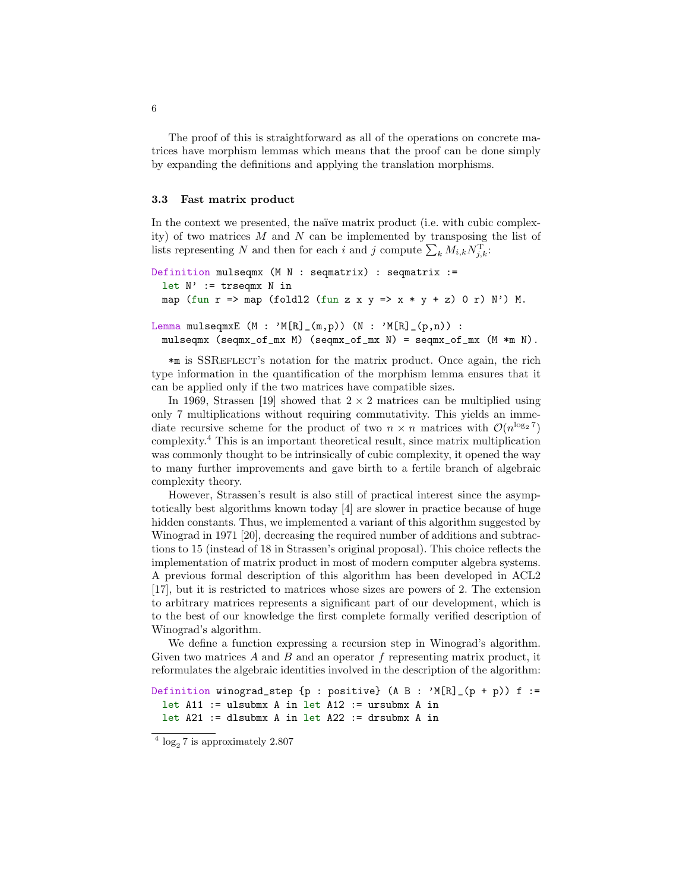The proof of this is straightforward as all of the operations on concrete matrices have morphism lemmas which means that the proof can be done simply by expanding the definitions and applying the translation morphisms.

#### 3.3 Fast matrix product

In the context we presented, the naïve matrix product (i.e. with cubic complexity) of two matrices  $M$  and  $N$  can be implemented by transposing the list of lists representing N and then for each i and j compute  $\sum_{k} M_{i,k} N_{j,k}^{T}$ :

```
Definition mulseqmx (M N : seqmatrix) : seqmatrix :=
 let N' := trseqmx N in
 map (fun r \Rightarrow map (foldl2 (fun z x y => x * y + z) 0 r) N') M.
Lemma mulseqmxE (M : 'M[R]_-(m,p)) (N : 'M[R]_-(p,n)) :
 mulseqmx (seqmx_of_mx M) (seqmx_of_mx N) = seqmx_of_mx (M *m N).
```
\*m is SSReflect's notation for the matrix product. Once again, the rich type information in the quantification of the morphism lemma ensures that it can be applied only if the two matrices have compatible sizes.

In 1969, Strassen [19] showed that  $2 \times 2$  matrices can be multiplied using only 7 multiplications without requiring commutativity. This yields an immediate recursive scheme for the product of two  $n \times n$  matrices with  $\mathcal{O}(n^{\log_2 7})$ complexity.<sup>4</sup> This is an important theoretical result, since matrix multiplication was commonly thought to be intrinsically of cubic complexity, it opened the way to many further improvements and gave birth to a fertile branch of algebraic complexity theory.

However, Strassen's result is also still of practical interest since the asymptotically best algorithms known today [4] are slower in practice because of huge hidden constants. Thus, we implemented a variant of this algorithm suggested by Winograd in 1971 [20], decreasing the required number of additions and subtractions to 15 (instead of 18 in Strassen's original proposal). This choice reflects the implementation of matrix product in most of modern computer algebra systems. A previous formal description of this algorithm has been developed in ACL2 [17], but it is restricted to matrices whose sizes are powers of 2. The extension to arbitrary matrices represents a significant part of our development, which is to the best of our knowledge the first complete formally verified description of Winograd's algorithm.

We define a function expressing a recursion step in Winograd's algorithm. Given two matrices  $A$  and  $B$  and an operator  $f$  representing matrix product, it reformulates the algebraic identities involved in the description of the algorithm:

```
Definition winograd_step {p : positive} (A B : ^{\prime}M[R]_(p + p)) f :=
 let A11 := ulsubmx A in let A12 := ursubmx A in
 let A21 := dlsubmx A in let A22 := drsubmx A in
```
6

 $4 \log_2 7$  is approximately 2.807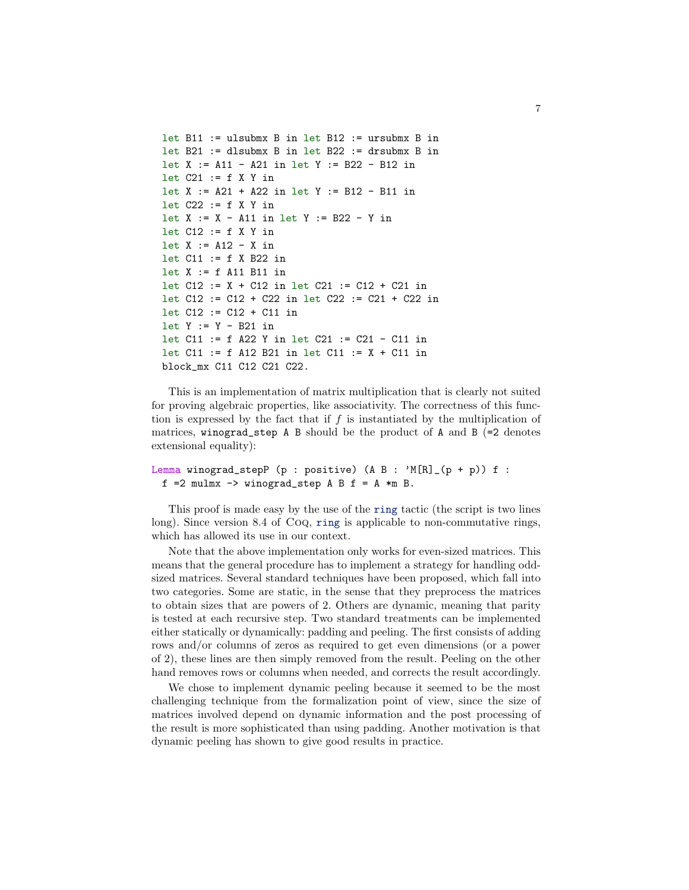```
let B11 := ulsubmx B in let B12 := ursubmx B in
let B21 := dlsubmx B in let B22 := drsubmx B in
let X := A11 - A21 in let Y := B22 - B12 in
let C21 := f X Y inlet X := A21 + A22 in let Y := B12 - B11 in
let C22 := f X Y in
let X := X - A11 in let Y := B22 - Y in
let C12 := f X Y in
let X := A12 - X in
let C11 := f X B22 in
let X := f A11 B11 in
let C12 := X + C12 in let C21 := C12 + C21 in
let C12 := C12 + C22 in let C22 := C21 + C22 in
let C12 := C12 + C11 in
let Y := Y - B21 in
let C11 := f A22 Y in let C21 := C21 - C11 in
let C11 := f A12 B21 in let C11 := X + C11 in
block_mx C11 C12 C21 C22.
```
This is an implementation of matrix multiplication that is clearly not suited for proving algebraic properties, like associativity. The correctness of this function is expressed by the fact that if  $f$  is instantiated by the multiplication of matrices, winograd\_step A B should be the product of A and B  $(=2$  denotes extensional equality):

```
Lemma winograd_stepP (p : positive) (A \ B : 'M[R]_{p}(p + p)) f :
  f = 2 mulmx \rightarrow winograd_step A B f = A *m B.
```
This proof is made easy by the use of the ring tactic (the script is two lines long). Since version 8.4 of Coq, ring is applicable to non-commutative rings, which has allowed its use in our context.

Note that the above implementation only works for even-sized matrices. This means that the general procedure has to implement a strategy for handling oddsized matrices. Several standard techniques have been proposed, which fall into two categories. Some are static, in the sense that they preprocess the matrices to obtain sizes that are powers of 2. Others are dynamic, meaning that parity is tested at each recursive step. Two standard treatments can be implemented either statically or dynamically: padding and peeling. The first consists of adding rows and/or columns of zeros as required to get even dimensions (or a power of 2), these lines are then simply removed from the result. Peeling on the other hand removes rows or columns when needed, and corrects the result accordingly.

We chose to implement dynamic peeling because it seemed to be the most challenging technique from the formalization point of view, since the size of matrices involved depend on dynamic information and the post processing of the result is more sophisticated than using padding. Another motivation is that dynamic peeling has shown to give good results in practice.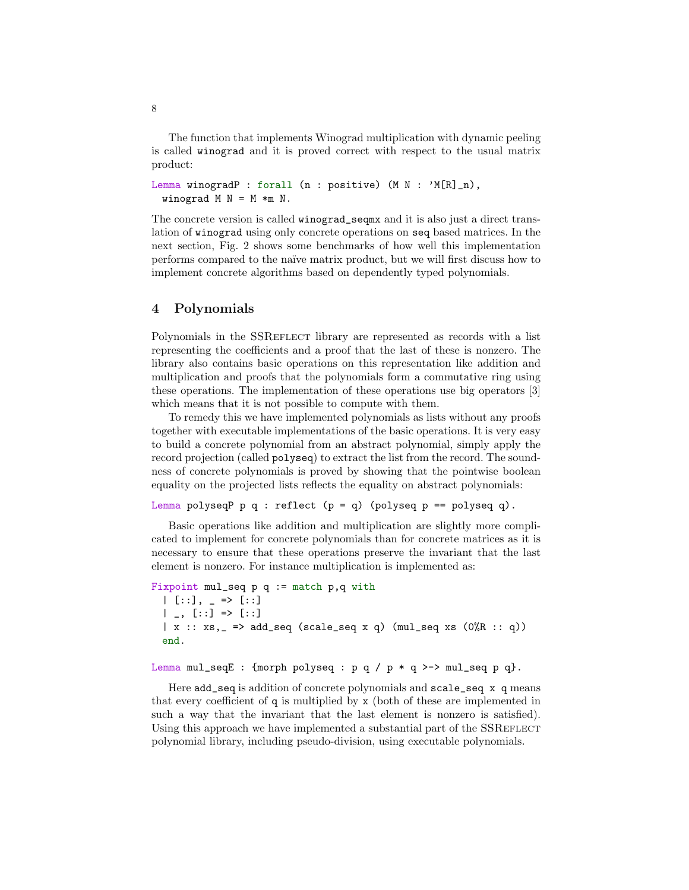The function that implements Winograd multiplication with dynamic peeling is called winograd and it is proved correct with respect to the usual matrix product:

```
Lemma winogradP : forall (n : positive) (M N : 'M[R]_n),
 winograd M N = M *m N.
```
The concrete version is called winograd\_seqmx and it is also just a direct translation of winograd using only concrete operations on seq based matrices. In the next section, Fig. 2 shows some benchmarks of how well this implementation performs compared to the naïve matrix product, but we will first discuss how to implement concrete algorithms based on dependently typed polynomials.

## 4 Polynomials

Polynomials in the SSREFLECT library are represented as records with a list representing the coefficients and a proof that the last of these is nonzero. The library also contains basic operations on this representation like addition and multiplication and proofs that the polynomials form a commutative ring using these operations. The implementation of these operations use big operators [3] which means that it is not possible to compute with them.

To remedy this we have implemented polynomials as lists without any proofs together with executable implementations of the basic operations. It is very easy to build a concrete polynomial from an abstract polynomial, simply apply the record projection (called polyseq) to extract the list from the record. The soundness of concrete polynomials is proved by showing that the pointwise boolean equality on the projected lists reflects the equality on abstract polynomials:

```
Lemma polyseqP p q : reflect (p = q) (polyseq p == polyseq q).
```
Basic operations like addition and multiplication are slightly more complicated to implement for concrete polynomials than for concrete matrices as it is necessary to ensure that these operations preserve the invariant that the last element is nonzero. For instance multiplication is implemented as:

```
Fixpoint mul_seq p q := \text{match } p, q with
  | [::], = > [::]| , [::] \Rightarrow [::]| x :: xs, _ = > add\_seq (scale_seq x q) (mul_seq xs (0%R :: q))
  end.
```

```
Lemma mul_seqE : {morph polyseq : p q / p * q >-> mul_seq p q}.
```
Here add\_seq is addition of concrete polynomials and scale\_seq x q means that every coefficient of q is multiplied by x (both of these are implemented in such a way that the invariant that the last element is nonzero is satisfied). Using this approach we have implemented a substantial part of the SSREFLECT polynomial library, including pseudo-division, using executable polynomials.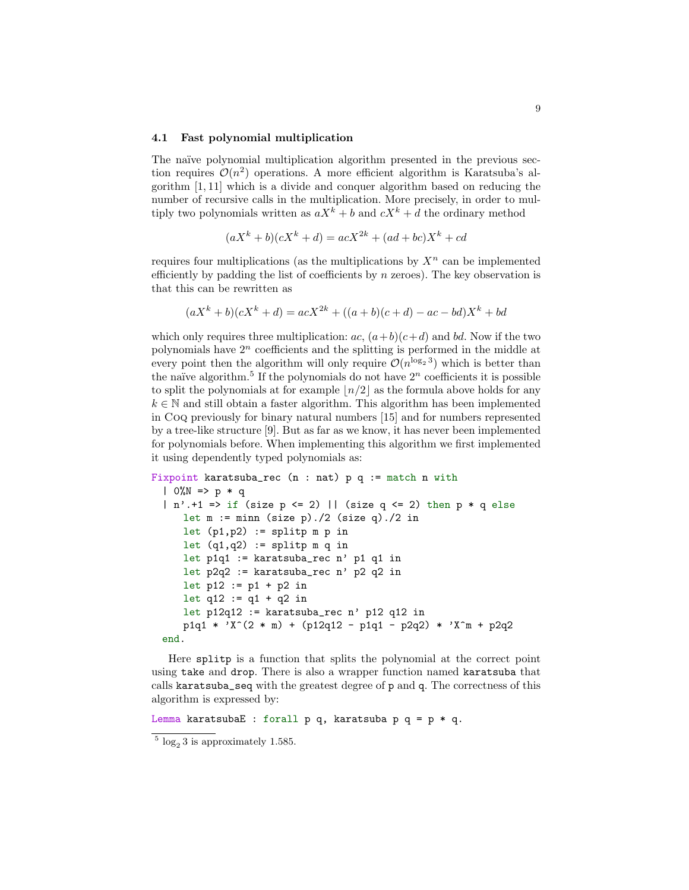#### 4.1 Fast polynomial multiplication

The naïve polynomial multiplication algorithm presented in the previous section requires  $\mathcal{O}(n^2)$  operations. A more efficient algorithm is Karatsuba's algorithm [1, 11] which is a divide and conquer algorithm based on reducing the number of recursive calls in the multiplication. More precisely, in order to multiply two polynomials written as  $aX^k + b$  and  $cX^k + d$  the ordinary method

$$
(aXk + b)(cXk + d) = acX2k + (ad + bc)Xk + cd
$$

requires four multiplications (as the multiplications by  $X^n$  can be implemented efficiently by padding the list of coefficients by  $n$  zeroes). The key observation is that this can be rewritten as

$$
(aXk + b)(cXk + d) = acX2k + ((a + b)(c + d) – ac – bd)Xk + bd
$$

which only requires three multiplication:  $ac, (a+b)(c+d)$  and bd. Now if the two polynomials have  $2^n$  coefficients and the splitting is performed in the middle at every point then the algorithm will only require  $\mathcal{O}(n^{\log_2 3})$  which is better than the naïve algorithm.<sup>5</sup> If the polynomials do not have  $2^n$  coefficients it is possible to split the polynomials at for example  $\lfloor n/2 \rfloor$  as the formula above holds for any  $k \in \mathbb{N}$  and still obtain a faster algorithm. This algorithm has been implemented in Coq previously for binary natural numbers [15] and for numbers represented by a tree-like structure [9]. But as far as we know, it has never been implemented for polynomials before. When implementing this algorithm we first implemented it using dependently typed polynomials as:

```
Fixpoint karatsuba_rec (n : nat) p q := match n with
  1 \, 0\%N \Rightarrow p * q| n'.+1 => if (size p \le 2) || (size q \le 2) then p * q else
     let m := min (size p)./2 (size q)./2 in
     let (p1,p2) := splitp m p in
     let (q1,q2) := splitp m q in
     let p1q1 := karatsuba_rec n' p1 q1 in
     let p2q2 := karatsuba_rec n' p2 q2 in
     let p12 := p1 + p2 in
     let q12 := q1 + q2 in
     let p12q12 := karatsuba_rec n' p12 q12 in
     p1q1 * 'X^-(2 * m) + (p12q12 - p1q1 - p2q2) * 'X^m + p2q2end.
```
Here splitp is a function that splits the polynomial at the correct point using take and drop. There is also a wrapper function named karatsuba that calls karatsuba\_seq with the greatest degree of p and q. The correctness of this algorithm is expressed by:

Lemma karatsubaE : forall  $p q$ , karatsuba  $p q = p * q$ .

 $5 \log_2 3$  is approximately 1.585.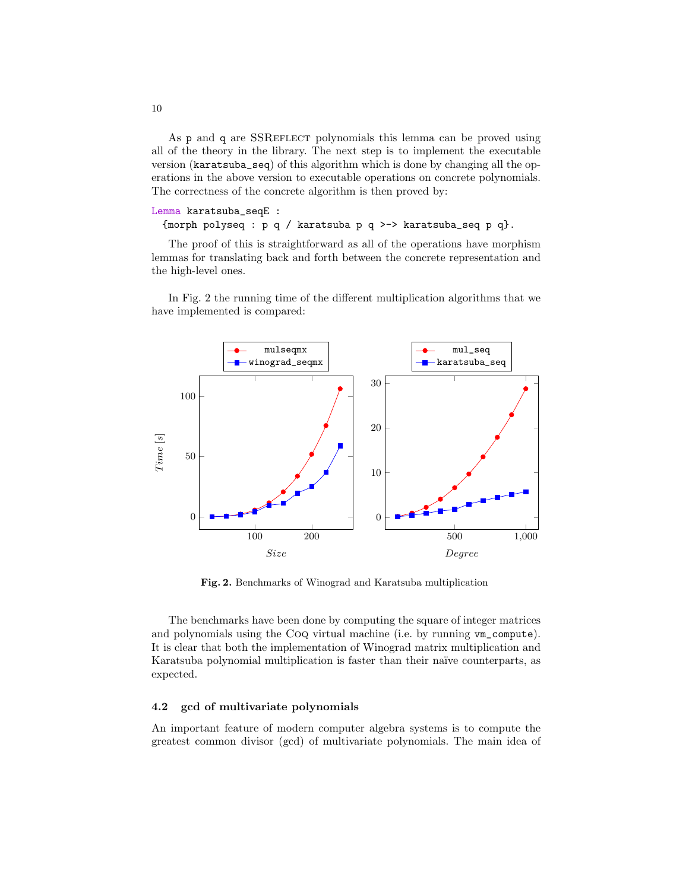As p and q are SSREFLECT polynomials this lemma can be proved using all of the theory in the library. The next step is to implement the executable version (karatsuba\_seq) of this algorithm which is done by changing all the operations in the above version to executable operations on concrete polynomials. The correctness of the concrete algorithm is then proved by:

```
Lemma karatsuba_seqE :
  {morph polyseq : p q / karatsuba p q >-> karatsuba_seq p q}.
```
The proof of this is straightforward as all of the operations have morphism lemmas for translating back and forth between the concrete representation and the high-level ones.

In Fig. 2 the running time of the different multiplication algorithms that we have implemented is compared:



Fig. 2. Benchmarks of Winograd and Karatsuba multiplication

The benchmarks have been done by computing the square of integer matrices and polynomials using the Coq virtual machine (i.e. by running vm\_compute). It is clear that both the implementation of Winograd matrix multiplication and Karatsuba polynomial multiplication is faster than their naïve counterparts, as expected.

#### 4.2 gcd of multivariate polynomials

An important feature of modern computer algebra systems is to compute the greatest common divisor (gcd) of multivariate polynomials. The main idea of

10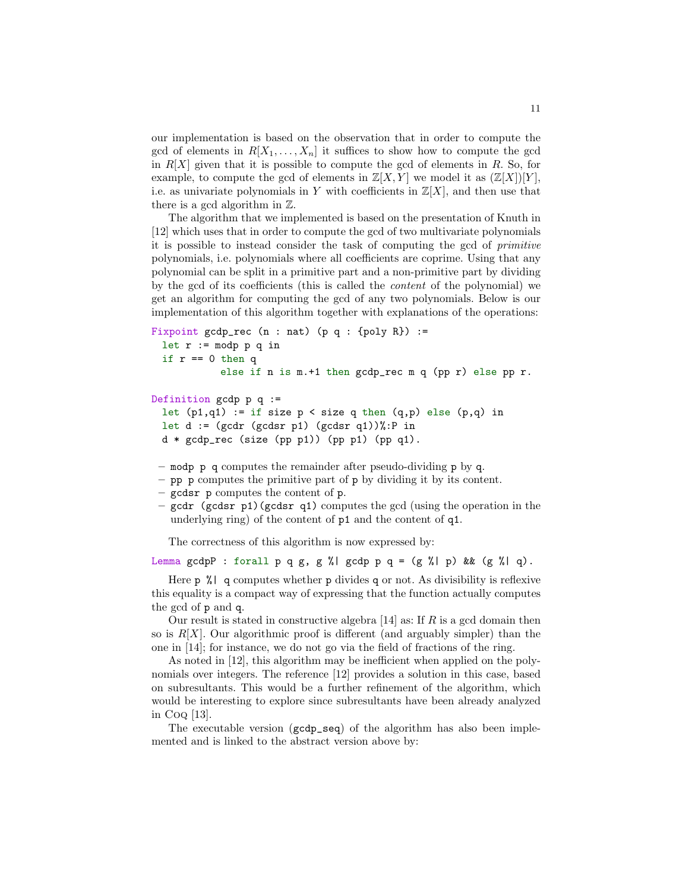our implementation is based on the observation that in order to compute the gcd of elements in  $R[X_1, \ldots, X_n]$  it suffices to show how to compute the gcd in  $R[X]$  given that it is possible to compute the gcd of elements in R. So, for example, to compute the gcd of elements in  $\mathbb{Z}[X, Y]$  we model it as  $(\mathbb{Z}[X])[Y]$ , i.e. as univariate polynomials in Y with coefficients in  $\mathbb{Z}[X]$ , and then use that there is a gcd algorithm in Z.

The algorithm that we implemented is based on the presentation of Knuth in [12] which uses that in order to compute the gcd of two multivariate polynomials it is possible to instead consider the task of computing the gcd of primitive polynomials, i.e. polynomials where all coefficients are coprime. Using that any polynomial can be split in a primitive part and a non-primitive part by dividing by the gcd of its coefficients (this is called the content of the polynomial) we get an algorithm for computing the gcd of any two polynomials. Below is our implementation of this algorithm together with explanations of the operations:

```
Fixpoint gcdp\_rec (n : nat) (p q : {poly R}) :=
 let r := \text{mod}p p q in
 if r == 0 then q
            else if n is m.+1 then gcdp_rec m q (pp r) else pp r.
```

```
Definition gcdp p q :=
```

```
let (p1,q1) := if size p < size q then (q,p) else (p,q) in
let d := (gcdr (gcdsr p1) (gcdsr q1))%:P in
d * gcdp_rec (size (pp p1)) (pp p1) (pp q1).
```
- modp p q computes the remainder after pseudo-dividing p by q.
- pp p computes the primitive part of p by dividing it by its content.
- gcdsr p computes the content of p.
- gcdr (gcdsr p1)(gcdsr q1) computes the gcd (using the operation in the underlying ring) of the content of p1 and the content of q1.

The correctness of this algorithm is now expressed by:

Lemma gcdpP : forall  $p q g, g \nmid g$ cdp  $p q = (g \nmid p)$  &  $(g \nmid q)$ .

Here  $p \nless | q$  computes whether p divides q or not. As divisibility is reflexive this equality is a compact way of expressing that the function actually computes the gcd of p and q.

Our result is stated in constructive algebra  $[14]$  as: If R is a gcd domain then so is  $R[X]$ . Our algorithmic proof is different (and arguably simpler) than the one in [14]; for instance, we do not go via the field of fractions of the ring.

As noted in [12], this algorithm may be inefficient when applied on the polynomials over integers. The reference [12] provides a solution in this case, based on subresultants. This would be a further refinement of the algorithm, which would be interesting to explore since subresultants have been already analyzed in Coq [13].

The executable version (gcdp\_seq) of the algorithm has also been implemented and is linked to the abstract version above by: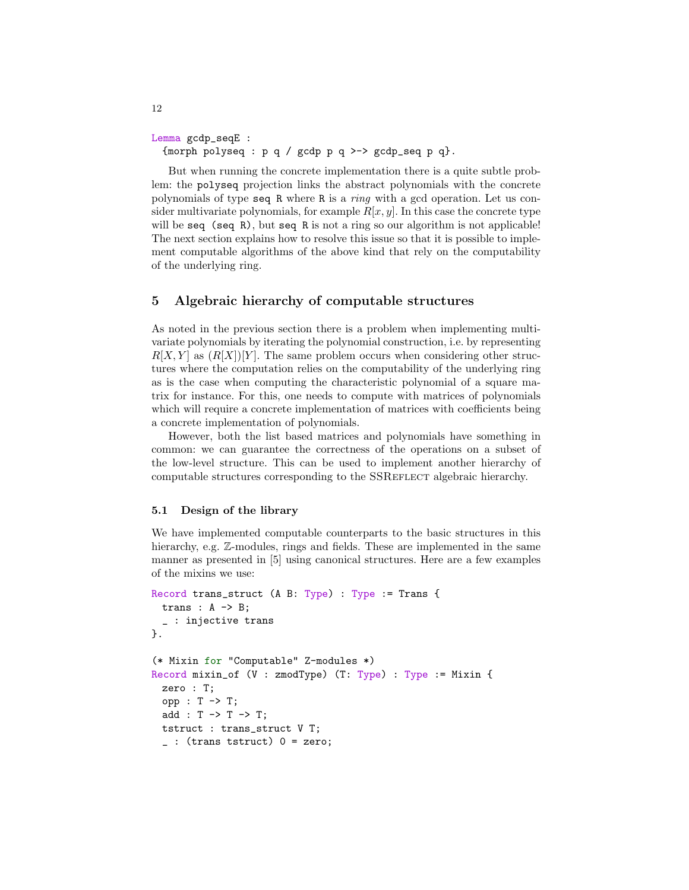```
Lemma gcdp_seqE :
  {morph polyseq : p q / gcdp p q >-> gcdp_seq p q}.
```
But when running the concrete implementation there is a quite subtle problem: the polyseq projection links the abstract polynomials with the concrete polynomials of type seq R where R is a ring with a gcd operation. Let us consider multivariate polynomials, for example  $R[x, y]$ . In this case the concrete type will be seq (seq R), but seq R is not a ring so our algorithm is not applicable! The next section explains how to resolve this issue so that it is possible to implement computable algorithms of the above kind that rely on the computability of the underlying ring.

## 5 Algebraic hierarchy of computable structures

As noted in the previous section there is a problem when implementing multivariate polynomials by iterating the polynomial construction, i.e. by representing  $R[X, Y]$  as  $(R[X])[Y]$ . The same problem occurs when considering other structures where the computation relies on the computability of the underlying ring as is the case when computing the characteristic polynomial of a square matrix for instance. For this, one needs to compute with matrices of polynomials which will require a concrete implementation of matrices with coefficients being a concrete implementation of polynomials.

However, both the list based matrices and polynomials have something in common: we can guarantee the correctness of the operations on a subset of the low-level structure. This can be used to implement another hierarchy of computable structures corresponding to the SSREFLECT algebraic hierarchy.

#### 5.1 Design of the library

We have implemented computable counterparts to the basic structures in this hierarchy, e.g.  $\mathbb{Z}$ -modules, rings and fields. These are implemented in the same manner as presented in [5] using canonical structures. Here are a few examples of the mixins we use:

```
Record trans_struct (A B: Type) : Type := Trans {
  trans : A \rightarrow B;
    : injective trans
}.
(* Mixin for "Computable" Z-modules *)
Record mixin_of (V : zmodType) (T: Type) : Type := Mixin {
 zero : T;
 opp : T -> T;
  add : T \rightarrow T \rightarrow T;
  tstruct : trans_struct V T;
  \_: (trans tstruct) 0 = zero;
```
12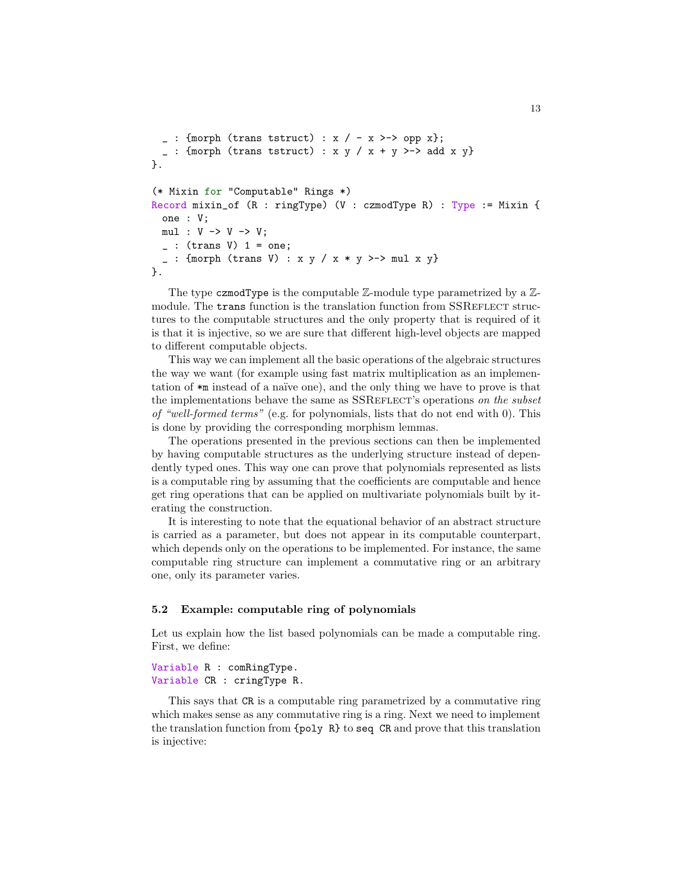```
\_: {morph (trans tstruct) : x / - x >-> opp x};
    : {morph (trans tstruct) : x y / x + y >-> add x y}
}.
(* Mixin for "Computable" Rings *)
Record mixin_of (R : ringType) (V : czmodType R) : Type := Mixin {
 one : V;
 mul : V \rightarrow V \rightarrow V;_ : (trans V) 1 = one;
  \angle: {morph (trans V) : x y / x * y >-> mul x y}
}.
```
The type czmodType is the computable Z-module type parametrized by a Zmodule. The trans function is the translation function from SSREFLECT structures to the computable structures and the only property that is required of it is that it is injective, so we are sure that different high-level objects are mapped to different computable objects.

This way we can implement all the basic operations of the algebraic structures the way we want (for example using fast matrix multiplication as an implementation of  $\ast$ m instead of a naïve one), and the only thing we have to prove is that the implementations behave the same as SSREFLECT's operations on the subset of "well-formed terms" (e.g. for polynomials, lists that do not end with 0). This is done by providing the corresponding morphism lemmas.

The operations presented in the previous sections can then be implemented by having computable structures as the underlying structure instead of dependently typed ones. This way one can prove that polynomials represented as lists is a computable ring by assuming that the coefficients are computable and hence get ring operations that can be applied on multivariate polynomials built by iterating the construction.

It is interesting to note that the equational behavior of an abstract structure is carried as a parameter, but does not appear in its computable counterpart, which depends only on the operations to be implemented. For instance, the same computable ring structure can implement a commutative ring or an arbitrary one, only its parameter varies.

#### 5.2 Example: computable ring of polynomials

Let us explain how the list based polynomials can be made a computable ring. First, we define:

```
Variable R : comRingType.
Variable CR : cringType R.
```
This says that CR is a computable ring parametrized by a commutative ring which makes sense as any commutative ring is a ring. Next we need to implement the translation function from {poly R} to seq CR and prove that this translation is injective: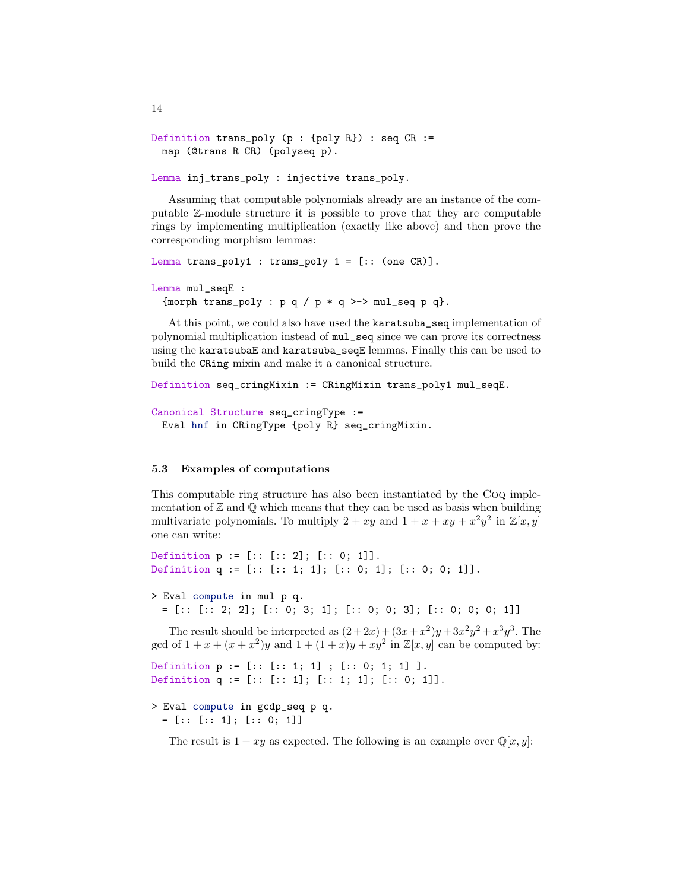```
Definition trans_poly (p : \{poly R\}) : seq CR :=map (@trans R CR) (polyseq p).
```

```
Lemma inj_trans_poly : injective trans_poly.
```
Assuming that computable polynomials already are an instance of the computable Z-module structure it is possible to prove that they are computable rings by implementing multiplication (exactly like above) and then prove the corresponding morphism lemmas:

```
Lemma trans_poly1 : trans_poly 1 = [:: (one CR)].Lemma mul_seqE :
  {morph trans_poly : p q / p * q >-> mul_seq p q }.
```
At this point, we could also have used the karatsuba\_seq implementation of polynomial multiplication instead of mul\_seq since we can prove its correctness using the karatsubaE and karatsuba\_seqE lemmas. Finally this can be used to build the CRing mixin and make it a canonical structure.

```
Definition seq_cringMixin := CRingMixin trans_poly1 mul_seqE.
```

```
Canonical Structure seq_cringType :=
 Eval hnf in CRingType {poly R} seq_cringMixin.
```
## 5.3 Examples of computations

This computable ring structure has also been instantiated by the Coq implementation of  $\mathbb Z$  and  $\mathbb Q$  which means that they can be used as basis when building multivariate polynomials. To multiply  $2 + xy$  and  $1 + x + xy + x^2y^2$  in  $\mathbb{Z}[x, y]$ one can write:

Definition  $p := [\dots [:: 2]; [[:: 0; 1]].$ Definition q := [:: [:: 1; 1]; [:: 0; 1]; [:: 0; 0; 1]].

#### > Eval compute in mul p q.

 $=$  [:: [:: 2; 2]; [:: 0; 3; 1]; [:: 0; 0; 3]; [:: 0; 0; 0; 1]]

The result should be interpreted as  $(2+2x) + (3x+x^2)y + 3x^2y^2 + x^3y^3$ . The gcd of  $1 + x + (x + x^2)y$  and  $1 + (1 + x)y + xy^2$  in  $\mathbb{Z}[x, y]$  can be computed by:

```
Definition p := [\dots [ \dots 1; 1] ; [\dots 0; 1; 1] ].
Definition q := [\dots [ \dots 1]; [ \dots 1; 1]; [ \dots 0; 1]].
```

```
> Eval compute in gcdp_seq p q.
 = [:: [:: 1]; [:: 0; 1]]
```
The result is  $1 + xy$  as expected. The following is an example over  $\mathbb{Q}[x, y]$ :

14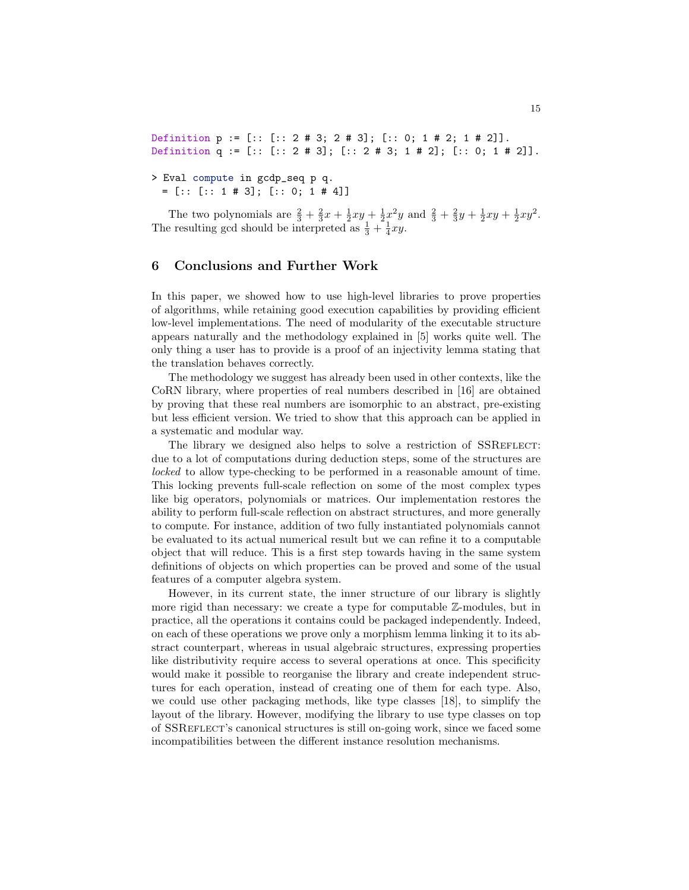Definition p := [:: [:: 2 # 3; 2 # 3]; [:: 0; 1 # 2; 1 # 2]]. Definition q := [:: [:: 2 # 3]; [:: 2 # 3; 1 # 2]; [:: 0; 1 # 2]].

## > Eval compute in gcdp\_seq p q.

 $=$  [:: [:: 1 # 3]; [:: 0; 1 # 4]]

The two polynomials are  $\frac{2}{3} + \frac{2}{3}x + \frac{1}{2}xy + \frac{1}{2}x^2y$  and  $\frac{2}{3} + \frac{2}{3}y + \frac{1}{2}xy + \frac{1}{2}xy^2$ . The resulting gcd should be interpreted as  $\frac{1}{3} + \frac{1}{4}xy$ .

## 6 Conclusions and Further Work

In this paper, we showed how to use high-level libraries to prove properties of algorithms, while retaining good execution capabilities by providing efficient low-level implementations. The need of modularity of the executable structure appears naturally and the methodology explained in [5] works quite well. The only thing a user has to provide is a proof of an injectivity lemma stating that the translation behaves correctly.

The methodology we suggest has already been used in other contexts, like the CoRN library, where properties of real numbers described in [16] are obtained by proving that these real numbers are isomorphic to an abstract, pre-existing but less efficient version. We tried to show that this approach can be applied in a systematic and modular way.

The library we designed also helps to solve a restriction of SSREFLECT: due to a lot of computations during deduction steps, some of the structures are locked to allow type-checking to be performed in a reasonable amount of time. This locking prevents full-scale reflection on some of the most complex types like big operators, polynomials or matrices. Our implementation restores the ability to perform full-scale reflection on abstract structures, and more generally to compute. For instance, addition of two fully instantiated polynomials cannot be evaluated to its actual numerical result but we can refine it to a computable object that will reduce. This is a first step towards having in the same system definitions of objects on which properties can be proved and some of the usual features of a computer algebra system.

However, in its current state, the inner structure of our library is slightly more rigid than necessary: we create a type for computable Z-modules, but in practice, all the operations it contains could be packaged independently. Indeed, on each of these operations we prove only a morphism lemma linking it to its abstract counterpart, whereas in usual algebraic structures, expressing properties like distributivity require access to several operations at once. This specificity would make it possible to reorganise the library and create independent structures for each operation, instead of creating one of them for each type. Also, we could use other packaging methods, like type classes [18], to simplify the layout of the library. However, modifying the library to use type classes on top of SSReflect's canonical structures is still on-going work, since we faced some incompatibilities between the different instance resolution mechanisms.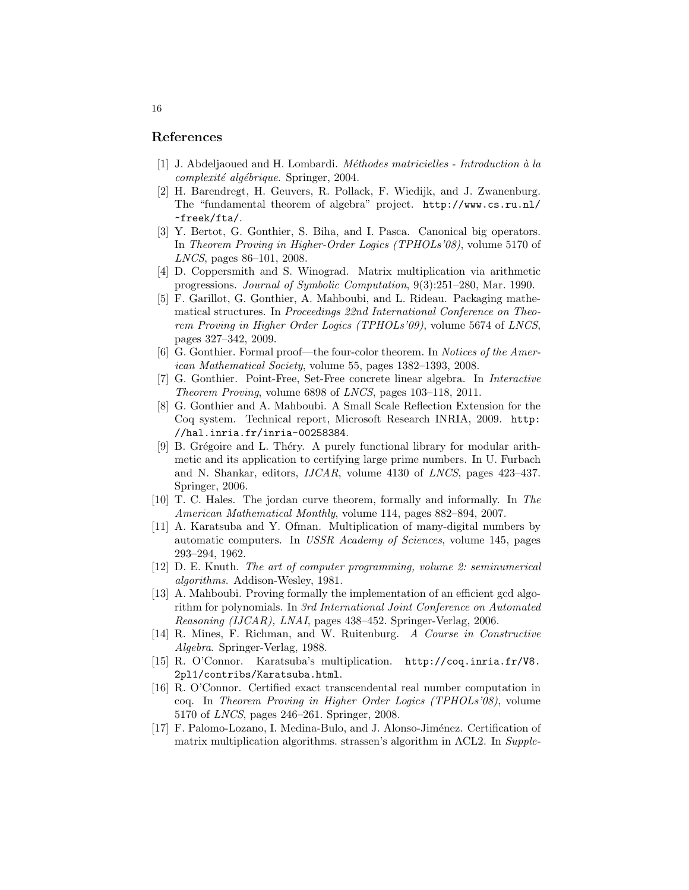### References

- [1] J. Abdeljaoued and H. Lombardi. *Méthodes matricielles Introduction à la* complexité algébrique. Springer, 2004.
- [2] H. Barendregt, H. Geuvers, R. Pollack, F. Wiedijk, and J. Zwanenburg. The "fundamental theorem of algebra" project. http://www.cs.ru.nl/ ~freek/fta/.
- [3] Y. Bertot, G. Gonthier, S. Biha, and I. Pasca. Canonical big operators. In Theorem Proving in Higher-Order Logics (TPHOLs'08), volume 5170 of LNCS, pages 86–101, 2008.
- [4] D. Coppersmith and S. Winograd. Matrix multiplication via arithmetic progressions. Journal of Symbolic Computation, 9(3):251–280, Mar. 1990.
- [5] F. Garillot, G. Gonthier, A. Mahboubi, and L. Rideau. Packaging mathematical structures. In Proceedings 22nd International Conference on Theorem Proving in Higher Order Logics (TPHOLs'09), volume 5674 of LNCS, pages 327–342, 2009.
- [6] G. Gonthier. Formal proof—the four-color theorem. In Notices of the American Mathematical Society, volume 55, pages 1382–1393, 2008.
- [7] G. Gonthier. Point-Free, Set-Free concrete linear algebra. In Interactive Theorem Proving, volume 6898 of LNCS, pages 103–118, 2011.
- [8] G. Gonthier and A. Mahboubi. A Small Scale Reflection Extension for the Coq system. Technical report, Microsoft Research INRIA, 2009. http: //hal.inria.fr/inria-00258384.
- [9] B. Grégoire and L. Théry. A purely functional library for modular arithmetic and its application to certifying large prime numbers. In U. Furbach and N. Shankar, editors, IJCAR, volume 4130 of LNCS, pages 423–437. Springer, 2006.
- [10] T. C. Hales. The jordan curve theorem, formally and informally. In The American Mathematical Monthly, volume 114, pages 882–894, 2007.
- [11] A. Karatsuba and Y. Ofman. Multiplication of many-digital numbers by automatic computers. In USSR Academy of Sciences, volume 145, pages 293–294, 1962.
- [12] D. E. Knuth. The art of computer programming, volume 2: seminumerical algorithms. Addison-Wesley, 1981.
- [13] A. Mahboubi. Proving formally the implementation of an efficient gcd algorithm for polynomials. In 3rd International Joint Conference on Automated Reasoning (IJCAR), LNAI, pages 438–452. Springer-Verlag, 2006.
- [14] R. Mines, F. Richman, and W. Ruitenburg. A Course in Constructive Algebra. Springer-Verlag, 1988.
- [15] R. O'Connor. Karatsuba's multiplication. http://coq.inria.fr/V8. 2pl1/contribs/Karatsuba.html.
- [16] R. O'Connor. Certified exact transcendental real number computation in coq. In Theorem Proving in Higher Order Logics (TPHOLs'08), volume 5170 of LNCS, pages 246–261. Springer, 2008.
- [17] F. Palomo-Lozano, I. Medina-Bulo, and J. Alonso-Jiménez. Certification of matrix multiplication algorithms. strassen's algorithm in ACL2. In Supple-

16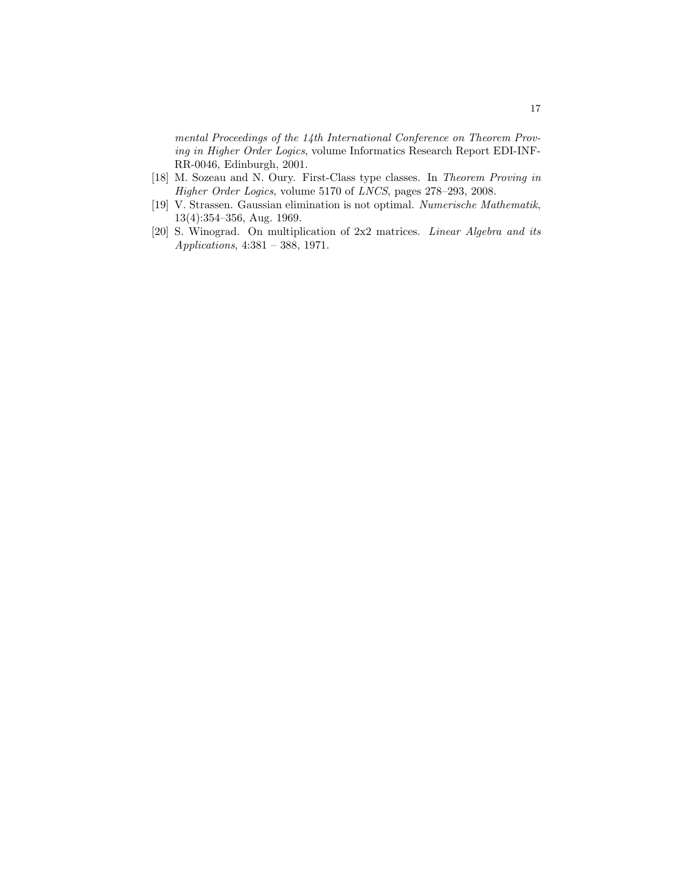mental Proceedings of the 14th International Conference on Theorem Proving in Higher Order Logics, volume Informatics Research Report EDI-INF-RR-0046, Edinburgh, 2001.

- [18] M. Sozeau and N. Oury. First-Class type classes. In Theorem Proving in Higher Order Logics, volume 5170 of LNCS, pages 278–293, 2008.
- [19] V. Strassen. Gaussian elimination is not optimal. Numerische Mathematik, 13(4):354–356, Aug. 1969.
- [20] S. Winograd. On multiplication of 2x2 matrices. Linear Algebra and its Applications, 4:381 – 388, 1971.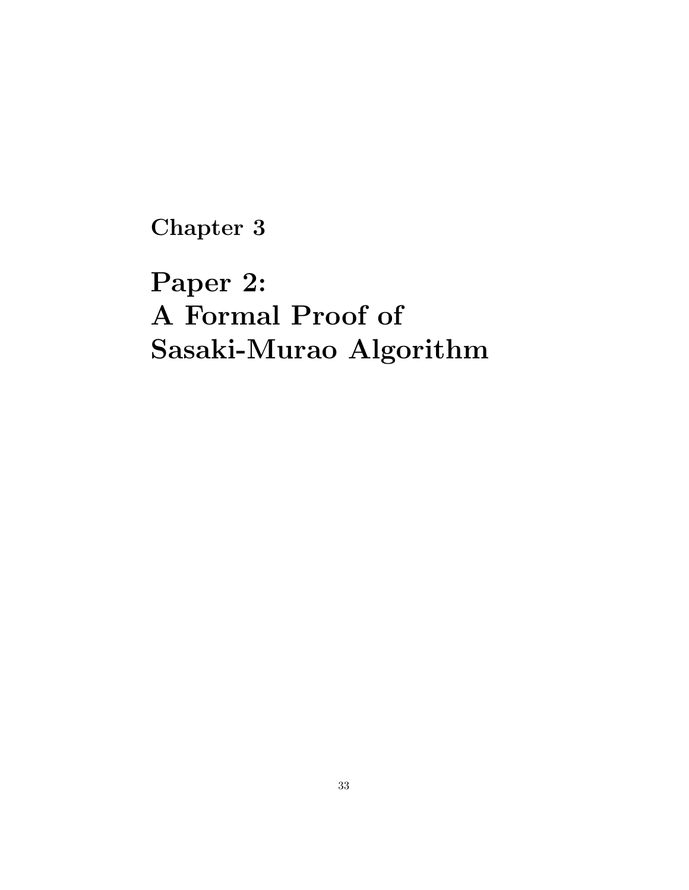Chapter 3

Paper 2: A Formal Proof of Sasaki-Murao Algorithm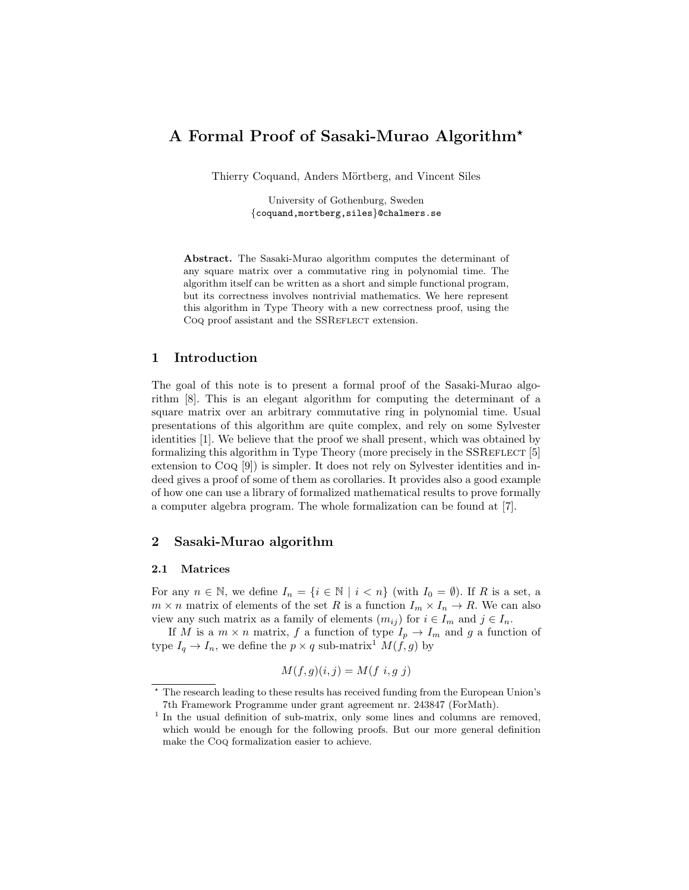# A Formal Proof of Sasaki-Murao Algorithm?

Thierry Coquand, Anders Mörtberg, and Vincent Siles

University of Gothenburg, Sweden {coquand,mortberg,siles}@chalmers.se

Abstract. The Sasaki-Murao algorithm computes the determinant of any square matrix over a commutative ring in polynomial time. The algorithm itself can be written as a short and simple functional program, but its correctness involves nontrivial mathematics. We here represent this algorithm in Type Theory with a new correctness proof, using the CoQ proof assistant and the SSREFLECT extension.

# 1 Introduction

The goal of this note is to present a formal proof of the Sasaki-Murao algorithm [8]. This is an elegant algorithm for computing the determinant of a square matrix over an arbitrary commutative ring in polynomial time. Usual presentations of this algorithm are quite complex, and rely on some Sylvester identities [1]. We believe that the proof we shall present, which was obtained by formalizing this algorithm in Type Theory (more precisely in the SSREFLECT [5] extension to Coq [9]) is simpler. It does not rely on Sylvester identities and indeed gives a proof of some of them as corollaries. It provides also a good example of how one can use a library of formalized mathematical results to prove formally a computer algebra program. The whole formalization can be found at [7].

# 2 Sasaki-Murao algorithm

#### 2.1 Matrices

For any  $n \in \mathbb{N}$ , we define  $I_n = \{i \in \mathbb{N} \mid i < n\}$  (with  $I_0 = \emptyset$ ). If R is a set, a  $m \times n$  matrix of elements of the set R is a function  $I_m \times I_n \to R$ . We can also view any such matrix as a family of elements  $(m_{ij})$  for  $i \in I_m$  and  $j \in I_n$ .

If M is a  $m \times n$  matrix, f a function of type  $I_p \to I_m$  and g a function of type  $I_q \to I_n$ , we define the  $p \times q$  sub-matrix<sup>1</sup>  $M(f, g)$  by

$$
M(f,g)(i,j) = M(f \; i, g \; j)
$$

 $^\star$  The research leading to these results has received funding from the European Union's 7th Framework Programme under grant agreement nr. 243847 (ForMath).

<sup>&</sup>lt;sup>1</sup> In the usual definition of sub-matrix, only some lines and columns are removed, which would be enough for the following proofs. But our more general definition make the Coq formalization easier to achieve.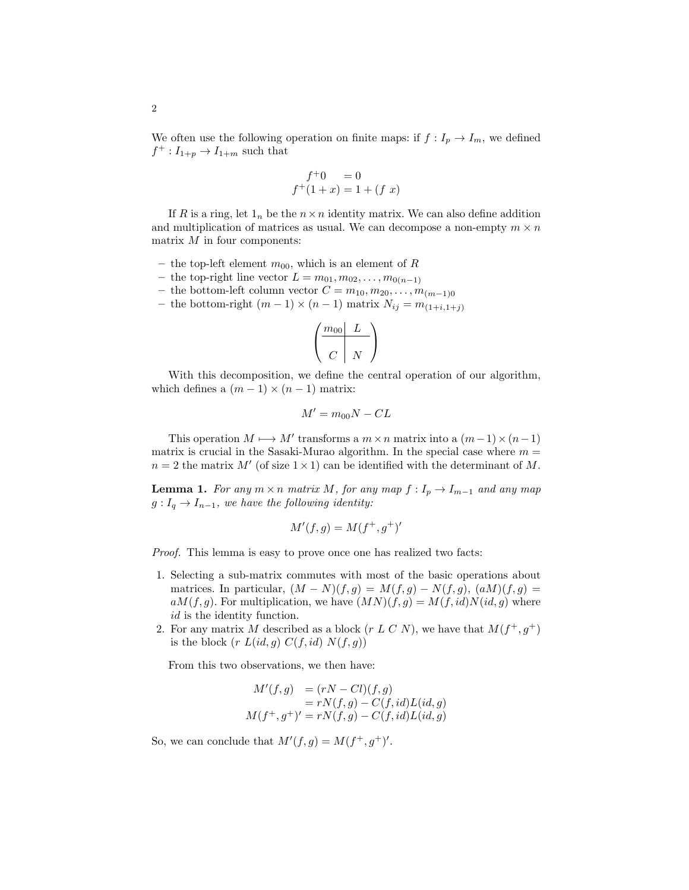We often use the following operation on finite maps: if  $f: I_p \to I_m$ , we defined  $f^+ : I_{1+p} \to I_{1+m}$  such that

$$
f^{+}0 = 0
$$
  

$$
f^{+}(1+x) = 1 + (f x)
$$

If R is a ring, let  $1_n$  be the  $n \times n$  identity matrix. We can also define addition and multiplication of matrices as usual. We can decompose a non-empty  $m \times n$ matrix  $M$  in four components:

- the top-left element  $m_{00}$ , which is an element of R
- the top-right line vector  $L = m_{01}, m_{02}, \ldots, m_{0(n-1)}$
- the bottom-left column vector  $C = m_{10}, m_{20}, \ldots, m_{(m-1)0}$
- the bottom-right  $(m-1) \times (n-1)$  matrix  $N_{ij} = m_{(1+i,1+j)}$

$$
\left(\begin{array}{c|c} m_{00} & L \\ \hline C & N \end{array}\right)
$$

With this decomposition, we define the central operation of our algorithm, which defines a  $(m-1) \times (n-1)$  matrix:

$$
M' = m_{00}N - CL
$$

This operation  $M \mapsto M'$  transforms a  $m \times n$  matrix into a  $(m-1) \times (n-1)$ matrix is crucial in the Sasaki-Murao algorithm. In the special case where  $m =$  $n = 2$  the matrix M' (of size  $1 \times 1$ ) can be identified with the determinant of M.

**Lemma 1.** For any  $m \times n$  matrix M, for any map  $f: I_p \to I_{m-1}$  and any map  $g: I_q \to I_{n-1}$ , we have the following identity:

$$
M'(f,g) = M(f^+,g^+)'
$$

Proof. This lemma is easy to prove once one has realized two facts:

- 1. Selecting a sub-matrix commutes with most of the basic operations about matrices. In particular,  $(M - N)(f, g) = M(f, g) - N(f, g)$ ,  $(aM)(f, g) =$  $aM(f,g)$ . For multiplication, we have  $(MN)(f,g) = M(f, id)N(id, g)$  where id is the identity function.
- 2. For any matrix M described as a block  $(r L C N)$ , we have that  $M(f^+, g^+)$ is the block  $(r L(id, g) C(f, id) N(f, g))$

From this two observations, we then have:

$$
M'(f,g) = (rN - Cl)(f,g)
$$
  
=  $rN(f,g) - C(f,id)L(id,g)$   

$$
M(f^+,g^+)' = rN(f,g) - C(f,id)L(id,g)
$$

So, we can conclude that  $M'(f,g) = M(f^+, g^+)'$ .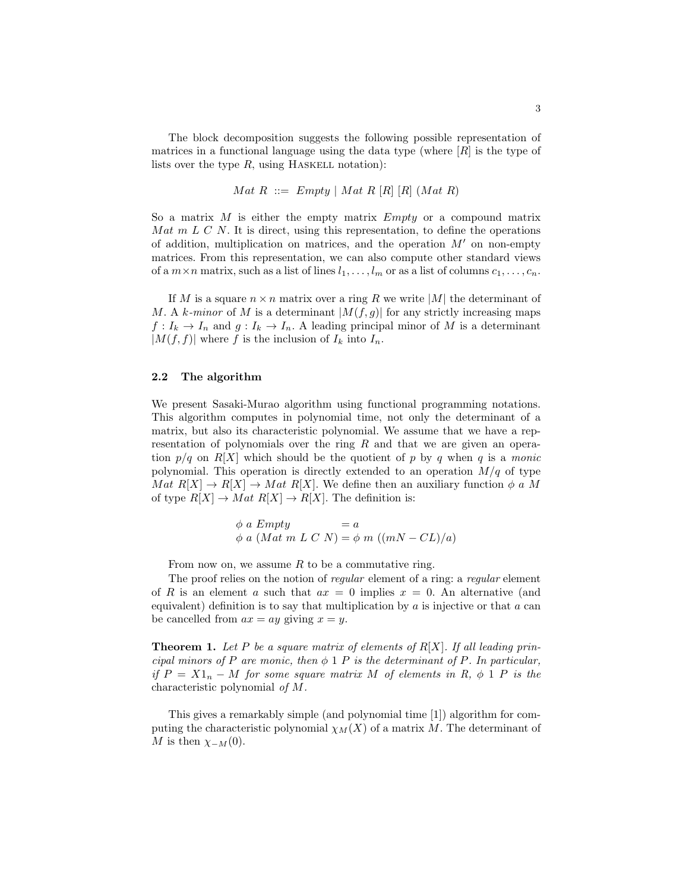The block decomposition suggests the following possible representation of matrices in a functional language using the data type (where  $[R]$  is the type of lists over the type  $R$ , using HASKELL notation):

$$
Mat\ R\ ::=\ Empty\ |\ Mat\ R\ [R]\ [R]\ (Mat\ R)
$$

So a matrix  $M$  is either the empty matrix  $Empty$  or a compound matrix Mat m L C N. It is direct, using this representation, to define the operations of addition, multiplication on matrices, and the operation  $M'$  on non-empty matrices. From this representation, we can also compute other standard views of a  $m \times n$  matrix, such as a list of lines  $l_1, \ldots, l_m$  or as a list of columns  $c_1, \ldots, c_n$ .

If M is a square  $n \times n$  matrix over a ring R we write  $|M|$  the determinant of M. A k-minor of M is a determinant  $|M(f,g)|$  for any strictly increasing maps  $f: I_k \to I_n$  and  $g: I_k \to I_n$ . A leading principal minor of M is a determinant  $|M(f, f)|$  where f is the inclusion of  $I_k$  into  $I_n$ .

#### 2.2 The algorithm

We present Sasaki-Murao algorithm using functional programming notations. This algorithm computes in polynomial time, not only the determinant of a matrix, but also its characteristic polynomial. We assume that we have a representation of polynomials over the ring  $R$  and that we are given an operation  $p/q$  on  $R[X]$  which should be the quotient of p by q when q is a monic polynomial. This operation is directly extended to an operation  $M/q$  of type  $Mat R[X] \to R[X] \to Mat R[X]$ . We define then an auxiliary function  $\phi$  a M of type  $R[X] \to Mat R[X] \to R[X]$ . The definition is:

$$
\begin{array}{ll}\n\phi \ a \ Empty & = a \\
\phi \ a \ (Mat \ m \ L \ C \ N) & = \phi \ m \ ((mN - CL)/a)\n\end{array}
$$

From now on, we assume  $R$  to be a commutative ring.

The proof relies on the notion of *regular* element of a ring: a *regular* element of R is an element a such that  $ax = 0$  implies  $x = 0$ . An alternative (and equivalent) definition is to say that multiplication by  $a$  is injective or that  $a$  can be cancelled from  $ax = ay$  giving  $x = y$ .

**Theorem 1.** Let P be a square matrix of elements of  $R[X]$ . If all leading principal minors of P are monic, then  $\phi$  1 P is the determinant of P. In particular, if  $P = X1_n - M$  for some square matrix M of elements in R,  $\phi$  1 P is the characteristic polynomial of M.

This gives a remarkably simple (and polynomial time [1]) algorithm for computing the characteristic polynomial  $\chi_M(X)$  of a matrix M. The determinant of M is then  $\chi_{-M}(0)$ .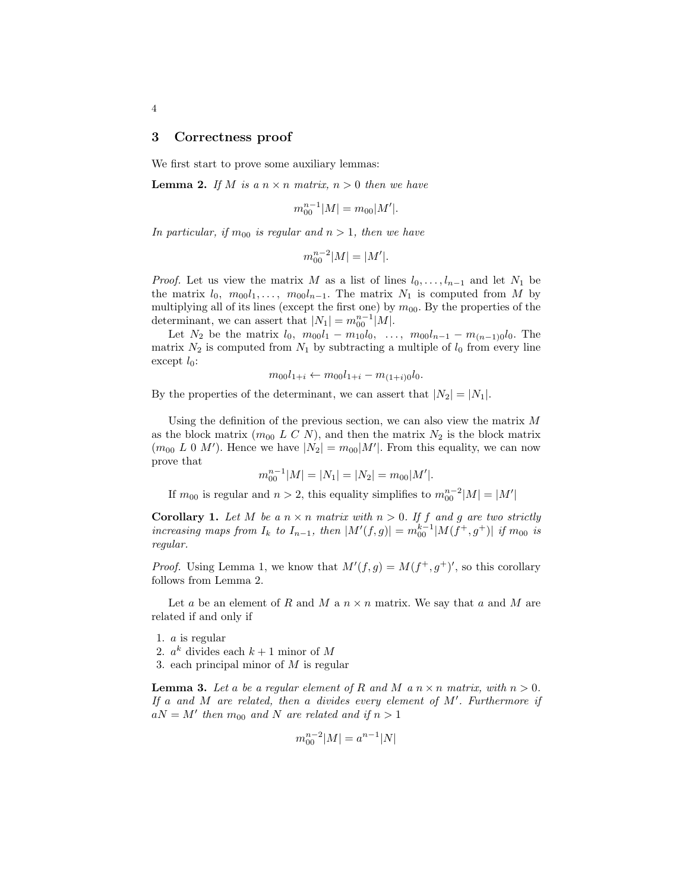#### 3 Correctness proof

We first start to prove some auxiliary lemmas:

**Lemma 2.** If M is a  $n \times n$  matrix,  $n > 0$  then we have

$$
m_{00}^{n-1}|M| = m_{00}|M'|.
$$

In particular, if  $m_{00}$  is regular and  $n > 1$ , then we have

$$
m_{00}^{n-2}|M| = |M'|.
$$

*Proof.* Let us view the matrix M as a list of lines  $l_0, \ldots, l_{n-1}$  and let  $N_1$  be the matrix  $l_0$ ,  $m_{00}l_1, \ldots, m_{00}l_{n-1}$ . The matrix  $N_1$  is computed from M by multiplying all of its lines (except the first one) by  $m_{00}$ . By the properties of the determinant, we can assert that  $|N_1| = m_{00}^{n-1}|M|$ .

Let  $N_2$  be the matrix  $l_0$ ,  $m_{00}l_1 - m_{10}l_0$ , ...,  $m_{00}l_{n-1} - m_{(n-1)0}l_0$ . The matrix  $N_2$  is computed from  $N_1$  by subtracting a multiple of  $l_0$  from every line except  $l_0$ :

$$
m_{00}l_{1+i} \leftarrow m_{00}l_{1+i} - m_{(1+i)0}l_0.
$$

By the properties of the determinant, we can assert that  $|N_2| = |N_1|$ .

Using the definition of the previous section, we can also view the matrix  $M$ as the block matrix  $(m_{00} L C N)$ , and then the matrix  $N_2$  is the block matrix  $(m_{00} L_0 M')$ . Hence we have  $|N_2| = m_{00}|M'|$ . From this equality, we can now prove that

$$
m_{00}^{n-1}|M| = |N_1| = |N_2| = m_{00}|M'|.
$$

If  $m_{00}$  is regular and  $n > 2$ , this equality simplifies to  $m_{00}^{n-2}|M| = |M'|$ 

**Corollary 1.** Let M be a  $n \times n$  matrix with  $n > 0$ . If f and g are two strictly increasing maps from  $I_k$  to  $I_{n-1}$ , then  $|M'(f,g)| = m_{00}^{k-1}|M(f^+,g^+)|$  if  $m_{00}$  is regular.

*Proof.* Using Lemma 1, we know that  $M'(f,g) = M(f^+, g^+)'$ , so this corollary follows from Lemma 2.

Let a be an element of R and M a  $n \times n$  matrix. We say that a and M are related if and only if

- 1. a is regular
- 2.  $a^k$  divides each  $k+1$  minor of M
- 3. each principal minor of M is regular

**Lemma 3.** Let a be a regular element of R and M a  $n \times n$  matrix, with  $n > 0$ . If a and M are related, then a divides every element of  $M'$ . Furthermore if  $aN = M'$  then  $m_{00}$  and N are related and if  $n > 1$ 

$$
m_{00}^{n-2}|M| = a^{n-1}|N|
$$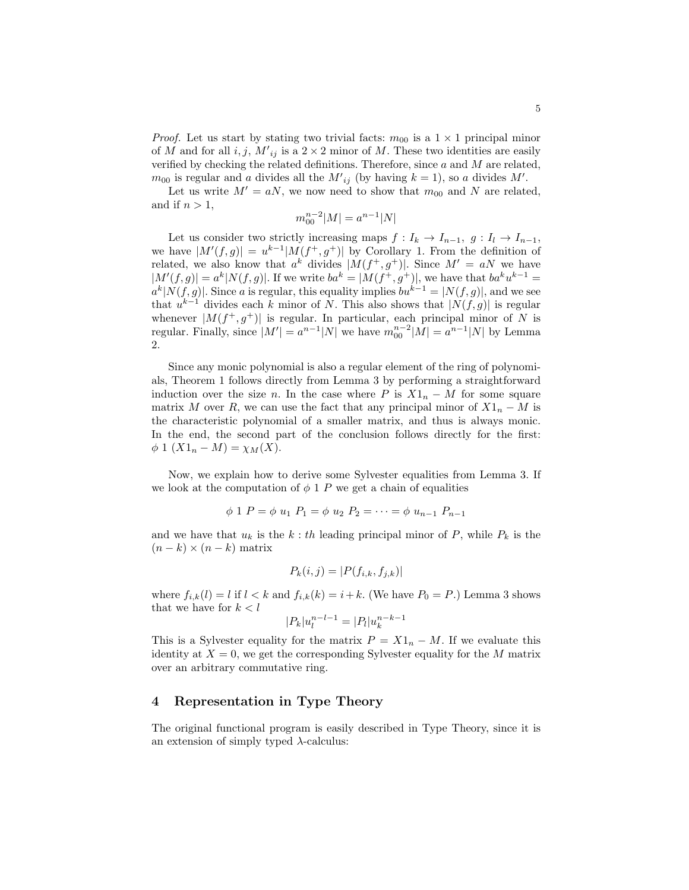*Proof.* Let us start by stating two trivial facts:  $m_{00}$  is a  $1 \times 1$  principal minor of M and for all  $i, j, M'_{ij}$  is a  $2 \times 2$  minor of M. These two identities are easily verified by checking the related definitions. Therefore, since a and M are related,  $m_{00}$  is regular and a divides all the  $M'_{ij}$  (by having  $k = 1$ ), so a divides M'.

Let us write  $M' = aN$ , we now need to show that  $m_{00}$  and N are related, and if  $n > 1$ ,

$$
m_{00}^{n-2}|M| = a^{n-1}|N|
$$

Let us consider two strictly increasing maps  $f: I_k \to I_{n-1}, g: I_l \to I_{n-1}$ , we have  $|M'(f,g)| = u^{k-1}|M(f^+,g^+)|$  by Corollary 1. From the definition of related, we also know that  $a^k$  divides  $|M(f^+, g^+)|$ . Since  $M' = aN$  we have  $|M'(f,g)| = a^k |N(f,g)|$ . If we write  $ba^k = |M(f^+,g^+)|$ , we have that  $ba^k u^{k-1} =$  $a^k|N(f,g)|$ . Since a is regular, this equality implies  $bu^{k-1} = |N(f,g)|$ , and we see that  $u^{k-1}$  divides each k minor of N. This also shows that  $|N(f, g)|$  is regular whenever  $|M(f^+, g^+)|$  is regular. In particular, each principal minor of N is regular. Finally, since  $|M'| = a^{n-1}|N|$  we have  $m_{00}^{n-2}|M| = a^{n-1}|N|$  by Lemma 2.

Since any monic polynomial is also a regular element of the ring of polynomials, Theorem 1 follows directly from Lemma 3 by performing a straightforward induction over the size n. In the case where P is  $X1_n - M$  for some square matrix M over R, we can use the fact that any principal minor of  $X1_n - M$  is the characteristic polynomial of a smaller matrix, and thus is always monic. In the end, the second part of the conclusion follows directly for the first:  $\phi$  1  $(X1_n - M) = \chi_M(X)$ .

Now, we explain how to derive some Sylvester equalities from Lemma 3. If we look at the computation of  $\phi$  1 P we get a chain of equalities

$$
\phi \ 1 \ P = \phi \ u_1 \ P_1 = \phi \ u_2 \ P_2 = \cdots = \phi \ u_{n-1} \ P_{n-1}
$$

and we have that  $u_k$  is the  $k : th$  leading principal minor of P, while  $P_k$  is the  $(n-k)\times(n-k)$  matrix

$$
P_k(i,j) = |P(f_{i,k}, f_{j,k})|
$$

where  $f_{i,k}(l) = l$  if  $l < k$  and  $f_{i,k}(k) = i+k$ . (We have  $P_0 = P$ .) Lemma 3 shows that we have for  $k < l$ 

$$
|P_k|u_l^{n-l-1} = |P_l|u_k^{n-k-1}
$$

This is a Sylvester equality for the matrix  $P = X1_n - M$ . If we evaluate this identity at  $X = 0$ , we get the corresponding Sylvester equality for the M matrix over an arbitrary commutative ring.

## 4 Representation in Type Theory

The original functional program is easily described in Type Theory, since it is an extension of simply typed  $\lambda$ -calculus: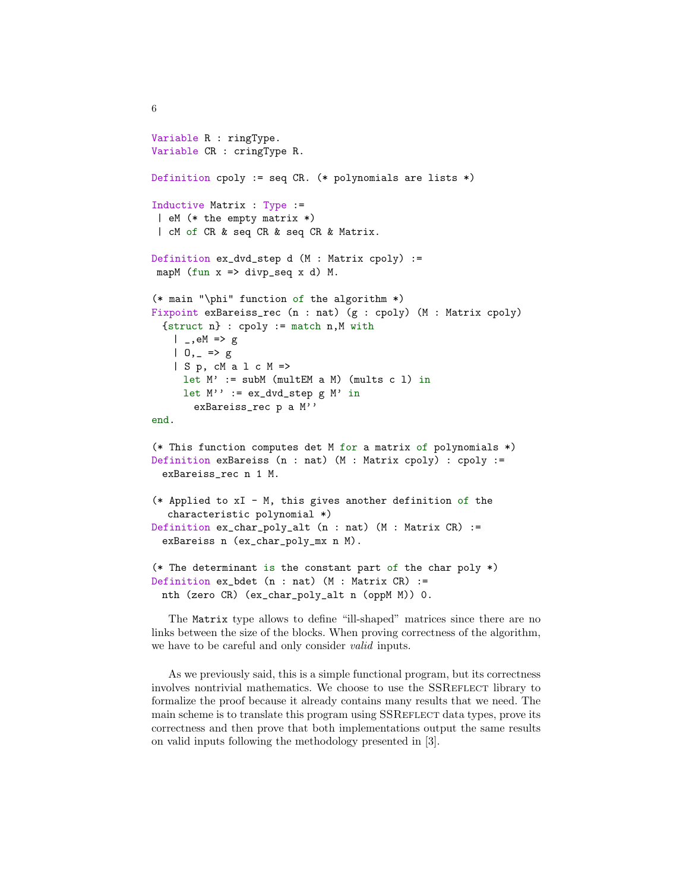```
Variable R : ringType.
Variable CR : cringType R.
Definition cpoly := seq CR. (* polynomials are lists *)
Inductive Matrix : Type :=
| eM (* the empty matrix *)
 | CM of CR & seq CR & seq CR & Matrix.
Definition ex_dvd_step d (M : Matrix cpoly) :=
mapM (fun x \Rightarrow \text{divp\_seq} \times d) M.
(* main "\phi" function of the algorithm *)
Fixpoint exBareiss_rec (n : nat) (g : cpoly) (M : Matrix cpoly)
  \{struct n\} : cpoly := match n,M with
   | _,eM => g
   | 0, | = \ge g| S p, cM a l c M =>
     let M' := subM (multEM a M) (mults c l) in
     let M' := ex_dvd_step g M' in
       exBareiss_rec p a M''
end.
(* This function computes det M for a matrix of polynomials *)
Definition exBareiss (n : nat) (M : Matrix cpoly) : cpoly :=
 exBareiss_rec n 1 M.
(* Applied to xI - M, this gives another definition of the
  characteristic polynomial *)
Definition ex_char_poly_alt (n : nat) (M : Matrix CR) :=
  exBareiss n (ex_char_poly_mx n M).
(* The determinant is the constant part of the char poly *)
Definition ex_bdet (n : nat) (M : Matrix CR) :=
 nth (zero CR) (ex_char_poly_alt n (oppM M)) 0.
```
6

The Matrix type allows to define "ill-shaped" matrices since there are no links between the size of the blocks. When proving correctness of the algorithm, we have to be careful and only consider *valid* inputs.

As we previously said, this is a simple functional program, but its correctness involves nontrivial mathematics. We choose to use the SSREFLECT library to formalize the proof because it already contains many results that we need. The main scheme is to translate this program using SSREFLECT data types, prove its correctness and then prove that both implementations output the same results on valid inputs following the methodology presented in [3].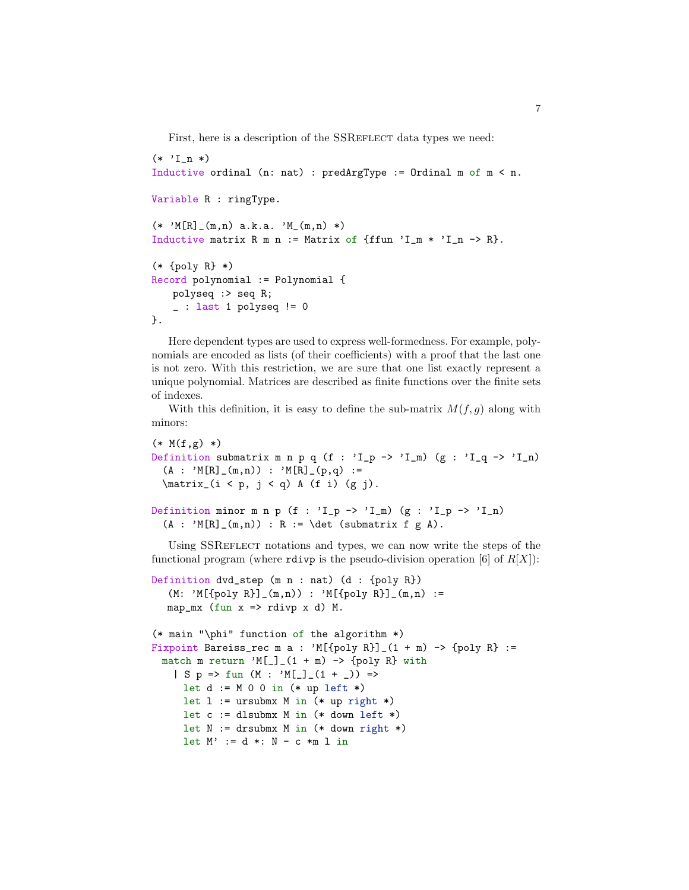First, here is a description of the SSREFLECT data types we need:

```
(* 'I_n *)Inductive ordinal (n: nat) : predArgType := Ordinal m of m < n.
Variable R : ringType.
(* 'M[R]_-(m,n) a.k.a. 'M_-(m,n) *)Inductive matrix R m n := Matrix of {ffun 'I_m * 'I_n -> R}.
(* {poly R} *)
Record polynomial := Polynomial {
   polyseq :> seq R;
   _ : last 1 polyseq != 0}.
```
Here dependent types are used to express well-formedness. For example, polynomials are encoded as lists (of their coefficients) with a proof that the last one is not zero. With this restriction, we are sure that one list exactly represent a unique polynomial. Matrices are described as finite functions over the finite sets of indexes.

With this definition, it is easy to define the sub-matrix  $M(f, g)$  along with minors:

```
(* M(f,g) *)Definition submatrix m n p q (f : 'I_p -> 'I_m) (g : 'I_q -> 'I_n)
  (A : 'M[R]_-(m,n)) : 'M[R]_-(p,q) :=\matrix (i < p, j < q) \land (f i) (g j).Definition minor m n p (f : 'I_p -> 'I_m) (g : 'I_p -> 'I_n)
  (A : 'M[R]_{(m,n)) : R := \det (submatrix f g A).
```
Using SSREFLECT notations and types, we can now write the steps of the functional program (where rdivp is the pseudo-division operation  $|6|$  of  $R[X]$ ):

```
Definition dvd_step (m n : nat) (d : {poly R})
   (M: 'M[{poly R}]_{(m,n)}) : 'M[{poly R}]_{(m,n)} :=map_mx (fun x => rdivp x d) M.
(* main "\phi" function of the algorithm *)
Fixpoint Bareiss_rec m a : 'M[{poly R}]_(1 + m) -> {poly R} :=
  match m return 'M[\ ]_-(1 + m) \rightarrow \{poly R\} with
    | S p => fun (M : 'M[_]_(1 + _)) =>
     let d := M 0 0 in (* up left *)let l := ursubmx M in (* up right *)let c := dlsubmx M in (* down left *)let N := drsubmx M in (* down right *)let M' := d *: N - c *m 1 in
```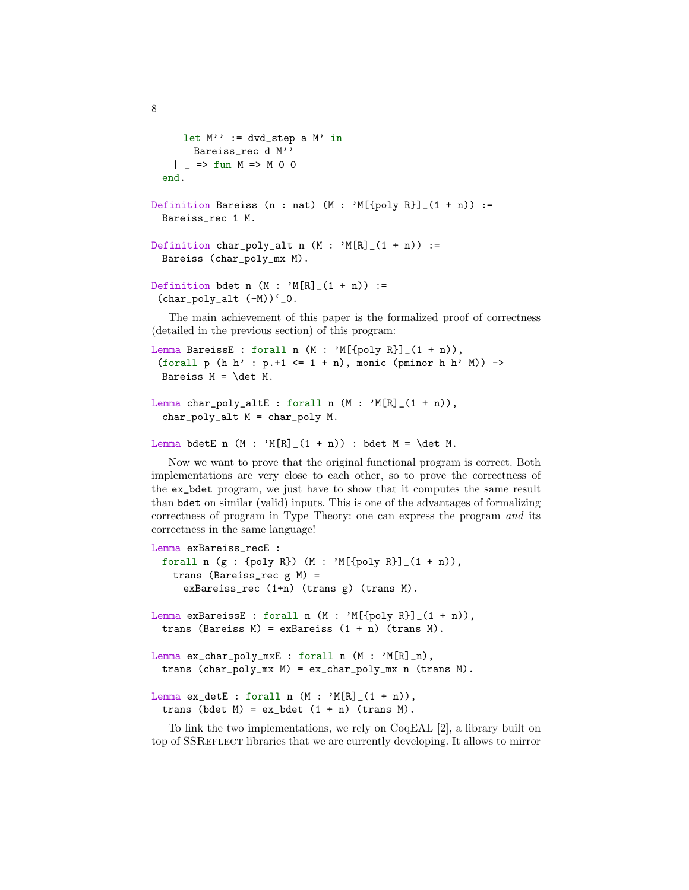```
let M'' := dvd_step a M' in
       Bareiss_rec d M''
   | = => fun M => M 0 0
  end.
Definition Bareiss (n : nat) (M : 'M[{poly R}]_-(1 + n)) :=
 Bareiss_rec 1 M.
Definition char_poly_alt n (M : 'M[R]_1(1 + n)) :=
 Bareiss (char_poly_mx M).
Definition bdet n (M : 'M[R]_{11 + n) :=
 (char\_poly\_alt (-M))'.0.
```
The main achievement of this paper is the formalized proof of correctness (detailed in the previous section) of this program:

```
Lemma BareissE : forall n (M : 'M[{poly R}]] (1 + n)),(forall p (h h' : p.+1 \leq 1 + n), monic (pminor h h' M)) ->
 Bareiss M = \det M.
Lemma char_poly_altE : forall n (M : 'M[R]_{11 + n),
```

```
char_poly_alt M = char_poly M.
```
8

```
Lemma bdetE n (M : 'M[R]_{(1 + n)}) : bdet M = \det M.
```
Now we want to prove that the original functional program is correct. Both implementations are very close to each other, so to prove the correctness of the ex\_bdet program, we just have to show that it computes the same result than bdet on similar (valid) inputs. This is one of the advantages of formalizing correctness of program in Type Theory: one can express the program and its correctness in the same language!

```
Lemma exBareiss_recE :
 forall n (g : \{poly R\}) (M : 'M[\{poly R\}]_ (1 + n)),trans (Bareiss_rec g M) =
     exBareiss_rec (1+n) (trans g) (trans M).
Lemma exBareissE : forall n (M : 'M[{poly R}]] (1 + n)),trans (Bareiss M) = exBareiss (1 + n) (trans M).
Lemma ex_char_poly_mxE : forall n (M : 'M[R]_n),
  trans (char_poly_mx M) = ex_char_poly_mx n (trans M).
Lemma ex_detE : forall n (M : 'M[R]_{(1 + n)}),trans (bdet M) = ex_bdet (1 + n) (trans M).
```
To link the two implementations, we rely on CoqEAL [2], a library built on top of SSREFLECT libraries that we are currently developing. It allows to mirror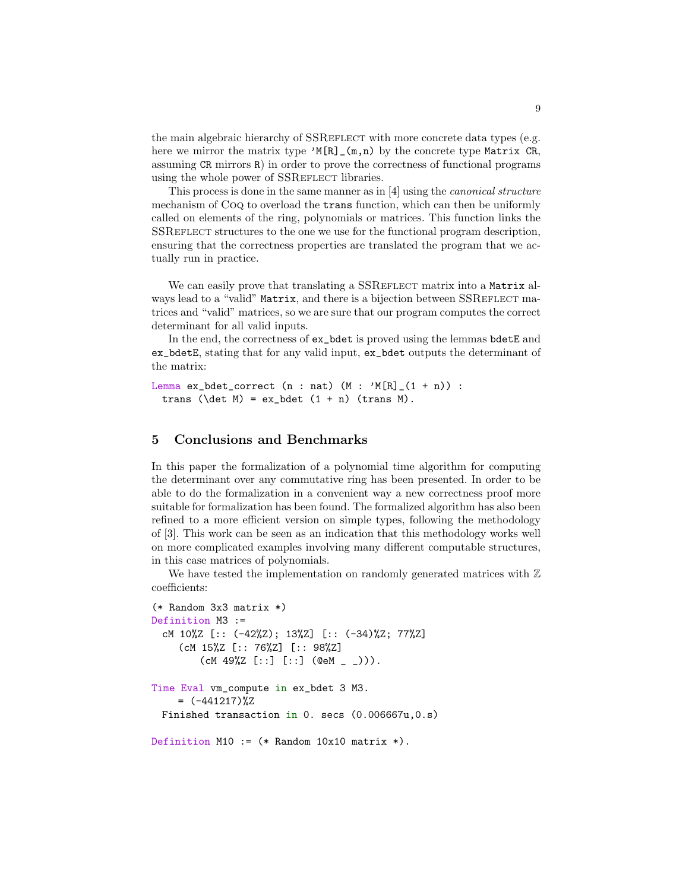the main algebraic hierarchy of SSREFLECT with more concrete data types (e.g. here we mirror the matrix type 'M[R]\_(m,n) by the concrete type Matrix CR, assuming CR mirrors R) in order to prove the correctness of functional programs using the whole power of SSREFLECT libraries.

This process is done in the same manner as in [4] using the canonical structure mechanism of Coq to overload the trans function, which can then be uniformly called on elements of the ring, polynomials or matrices. This function links the SSREFLECT structures to the one we use for the functional program description, ensuring that the correctness properties are translated the program that we actually run in practice.

We can easily prove that translating a SSREFLECT matrix into a Matrix always lead to a "valid" Matrix, and there is a bijection between SSREFLECT matrices and "valid" matrices, so we are sure that our program computes the correct determinant for all valid inputs.

In the end, the correctness of ex\_bdet is proved using the lemmas bdetE and ex\_bdetE, stating that for any valid input, ex\_bdet outputs the determinant of the matrix:

```
Lemma ex_bdet_correct (n : nat) (M : 'M[R]_{(1 + n)}) :
  trans (\det M) = ex\_bdet (1 + n) (trans M).
```
# 5 Conclusions and Benchmarks

In this paper the formalization of a polynomial time algorithm for computing the determinant over any commutative ring has been presented. In order to be able to do the formalization in a convenient way a new correctness proof more suitable for formalization has been found. The formalized algorithm has also been refined to a more efficient version on simple types, following the methodology of [3]. This work can be seen as an indication that this methodology works well on more complicated examples involving many different computable structures, in this case matrices of polynomials.

We have tested the implementation on randomly generated matrices with  $\mathbb Z$ coefficients:

```
(* Random 3x3 matrix *)
Definition M3 :=
 cM 10%Z [:: (-42%Z); 13%Z] [:: (-34)%Z; 77%Z]
    (cM 15%Z [:: 76%Z] [:: 98%Z]
        (cM 49\%Z [-:] [-:] (eeM _ -))).Time Eval vm_compute in ex_bdet 3 M3.
    = (-441217)\%ZFinished transaction in 0. secs (0.006667u,0.s)
Definition M10 := (* Random 10x10 matrix *).
```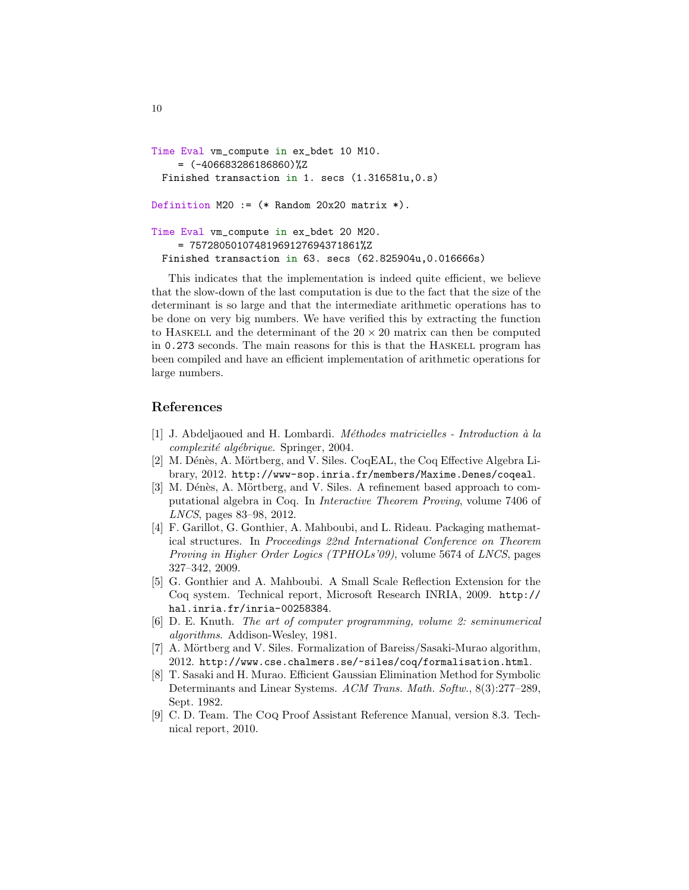```
Time Eval vm_compute in ex_bdet 10 M10.
    = (-406683286186860)\%ZFinished transaction in 1. secs (1.316581u,0.s)
Definition M20 := (* Random 20x20 matrix *).
Time Eval vm_compute in ex_bdet 20 M20.
    = 75728050107481969127694371861%Z
 Finished transaction in 63. secs (62.825904u,0.016666s)
```
This indicates that the implementation is indeed quite efficient, we believe that the slow-down of the last computation is due to the fact that the size of the determinant is so large and that the intermediate arithmetic operations has to be done on very big numbers. We have verified this by extracting the function to HASKELL and the determinant of the  $20 \times 20$  matrix can then be computed in 0.273 seconds. The main reasons for this is that the HASKELL program has been compiled and have an efficient implementation of arithmetic operations for large numbers.

# References

- [1] J. Abdeljaoued and H. Lombardi. *Méthodes matricielles Introduction à la* complexité algébrique. Springer, 2004.
- [2] M. Dénès, A. Mörtberg, and V. Siles. CoqEAL, the Coq Effective Algebra Library, 2012. http://www-sop.inria.fr/members/Maxime.Denes/coqeal.
- [3] M. Dénès, A. Mörtberg, and V. Siles. A refinement based approach to computational algebra in Coq. In Interactive Theorem Proving, volume 7406 of LNCS, pages 83–98, 2012.
- [4] F. Garillot, G. Gonthier, A. Mahboubi, and L. Rideau. Packaging mathematical structures. In Proceedings 22nd International Conference on Theorem Proving in Higher Order Logics (TPHOLs'09), volume 5674 of LNCS, pages 327–342, 2009.
- [5] G. Gonthier and A. Mahboubi. A Small Scale Reflection Extension for the Coq system. Technical report, Microsoft Research INRIA, 2009. http:// hal.inria.fr/inria-00258384.
- [6] D. E. Knuth. The art of computer programming, volume 2: seminumerical algorithms. Addison-Wesley, 1981.
- [7] A. Mörtberg and V. Siles. Formalization of Bareiss/Sasaki-Murao algorithm, 2012. http://www.cse.chalmers.se/~siles/coq/formalisation.html.
- [8] T. Sasaki and H. Murao. Efficient Gaussian Elimination Method for Symbolic Determinants and Linear Systems. ACM Trans. Math. Softw., 8(3):277–289, Sept. 1982.
- [9] C. D. Team. The Coq Proof Assistant Reference Manual, version 8.3. Technical report, 2010.

10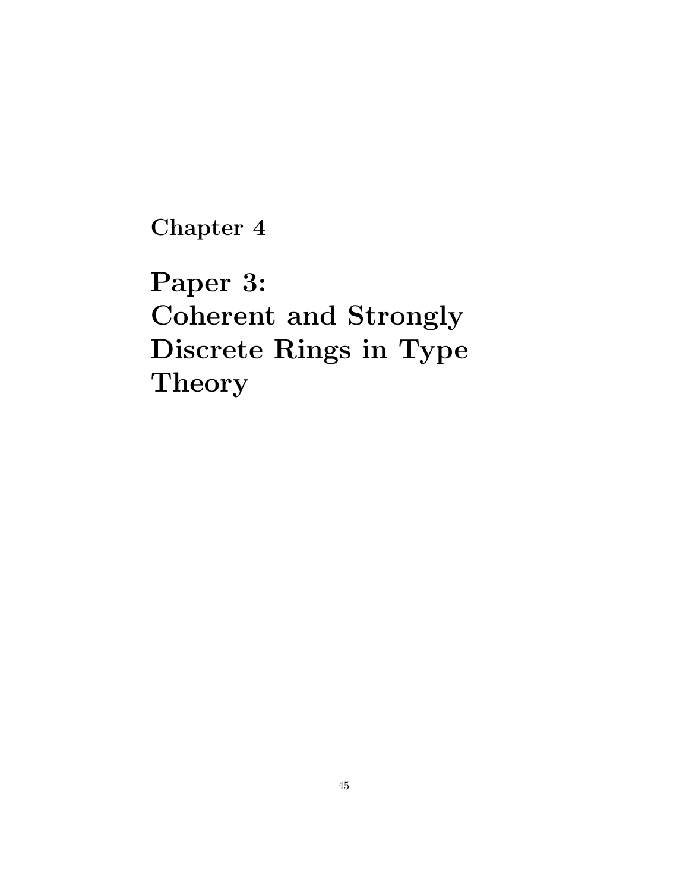Chapter 4

Paper 3: Coherent and Strongly Discrete Rings in Type **Theory**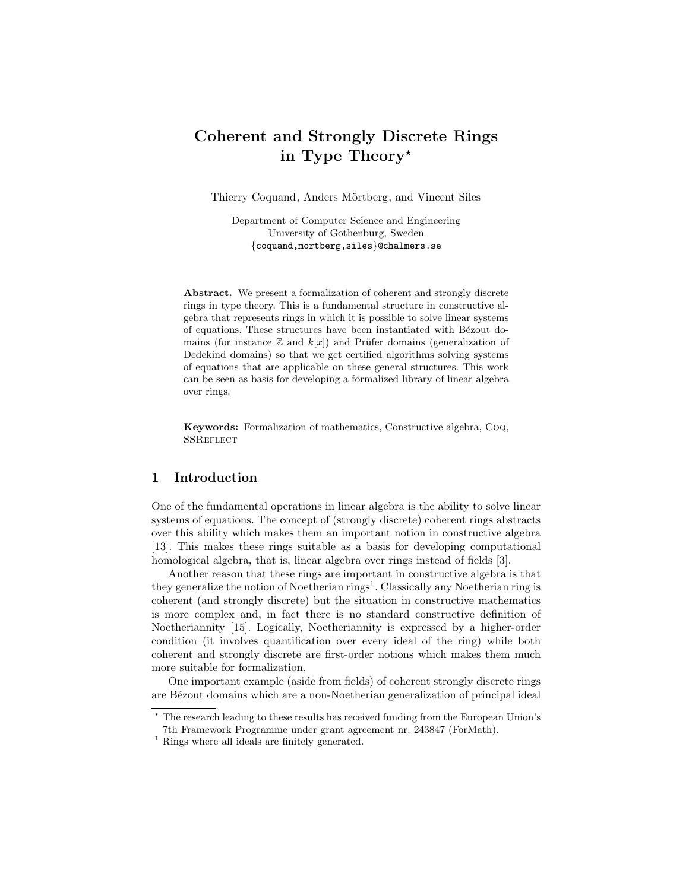# Coherent and Strongly Discrete Rings in Type Theory<sup>\*</sup>

Thierry Coquand, Anders Mörtberg, and Vincent Siles

Department of Computer Science and Engineering University of Gothenburg, Sweden {coquand,mortberg,siles}@chalmers.se

Abstract. We present a formalization of coherent and strongly discrete rings in type theory. This is a fundamental structure in constructive algebra that represents rings in which it is possible to solve linear systems of equations. These structures have been instantiated with Bézout domains (for instance  $\mathbb Z$  and  $k[x]$ ) and Prüfer domains (generalization of Dedekind domains) so that we get certified algorithms solving systems of equations that are applicable on these general structures. This work can be seen as basis for developing a formalized library of linear algebra over rings.

Keywords: Formalization of mathematics, Constructive algebra, Coq, **SSREFLECT** 

# 1 Introduction

One of the fundamental operations in linear algebra is the ability to solve linear systems of equations. The concept of (strongly discrete) coherent rings abstracts over this ability which makes them an important notion in constructive algebra [13]. This makes these rings suitable as a basis for developing computational homological algebra, that is, linear algebra over rings instead of fields [3].

Another reason that these rings are important in constructive algebra is that they generalize the notion of Noetherian rings<sup>1</sup>. Classically any Noetherian ring is coherent (and strongly discrete) but the situation in constructive mathematics is more complex and, in fact there is no standard constructive definition of Noetheriannity [15]. Logically, Noetheriannity is expressed by a higher-order condition (it involves quantification over every ideal of the ring) while both coherent and strongly discrete are first-order notions which makes them much more suitable for formalization.

One important example (aside from fields) of coherent strongly discrete rings are Bézout domains which are a non-Noetherian generalization of principal ideal

<sup>?</sup> The research leading to these results has received funding from the European Union's 7th Framework Programme under grant agreement nr. 243847 (ForMath).

<sup>&</sup>lt;sup>1</sup> Rings where all ideals are finitely generated.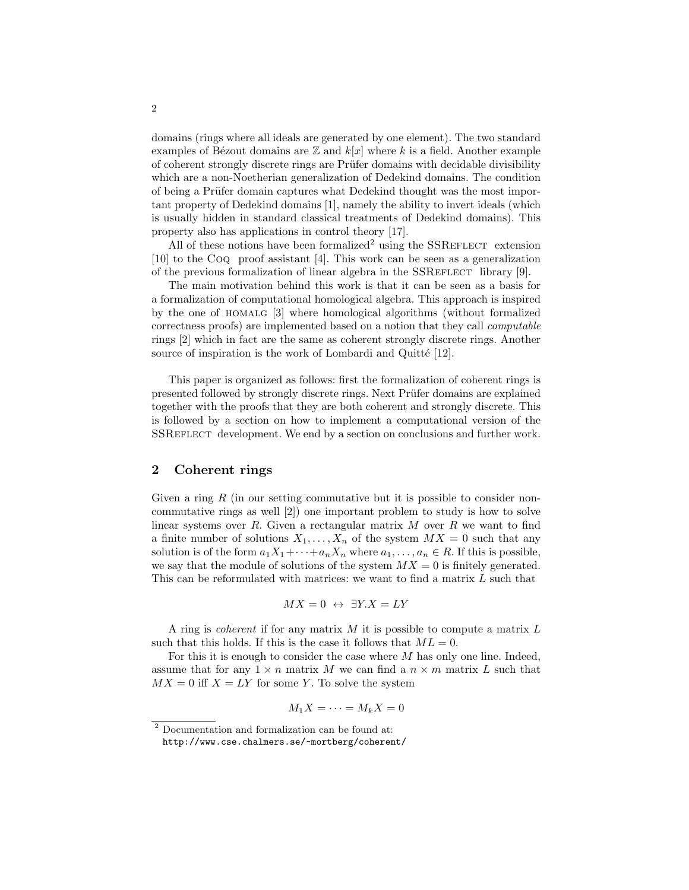domains (rings where all ideals are generated by one element). The two standard examples of Bézout domains are  $\mathbb Z$  and  $k[x]$  where k is a field. Another example of coherent strongly discrete rings are Prüfer domains with decidable divisibility which are a non-Noetherian generalization of Dedekind domains. The condition of being a Prüfer domain captures what Dedekind thought was the most important property of Dedekind domains [1], namely the ability to invert ideals (which is usually hidden in standard classical treatments of Dedekind domains). This property also has applications in control theory [17].

All of these notions have been formalized<sup>2</sup> using the SSREFLECT extension [10] to the Coq proof assistant [4]. This work can be seen as a generalization of the previous formalization of linear algebra in the  $SSREFLECT$  library [9].

The main motivation behind this work is that it can be seen as a basis for a formalization of computational homological algebra. This approach is inspired by the one of HOMALG [3] where homological algorithms (without formalized correctness proofs) are implemented based on a notion that they call computable rings [2] which in fact are the same as coherent strongly discrete rings. Another source of inspiration is the work of Lombardi and Quitté  $[12]$ .

This paper is organized as follows: first the formalization of coherent rings is presented followed by strongly discrete rings. Next Prüfer domains are explained together with the proofs that they are both coherent and strongly discrete. This is followed by a section on how to implement a computational version of the SSREFLECT development. We end by a section on conclusions and further work.

# 2 Coherent rings

Given a ring  $R$  (in our setting commutative but it is possible to consider noncommutative rings as well [2]) one important problem to study is how to solve linear systems over  $R$ . Given a rectangular matrix  $M$  over  $R$  we want to find a finite number of solutions  $X_1, \ldots, X_n$  of the system  $MX = 0$  such that any solution is of the form  $a_1X_1+\cdots+a_nX_n$  where  $a_1,\ldots,a_n\in R$ . If this is possible, we say that the module of solutions of the system  $MX = 0$  is finitely generated. This can be reformulated with matrices: we want to find a matrix L such that

$$
MX = 0 \leftrightarrow \exists Y.X = LY
$$

A ring is coherent if for any matrix M it is possible to compute a matrix L such that this holds. If this is the case it follows that  $ML = 0$ .

For this it is enough to consider the case where M has only one line. Indeed, assume that for any  $1 \times n$  matrix M we can find a  $n \times m$  matrix L such that  $MX = 0$  iff  $X = LY$  for some Y. To solve the system

$$
M_1X=\cdots=M_kX=0
$$

<sup>2</sup> Documentation and formalization can be found at:

http://www.cse.chalmers.se/~mortberg/coherent/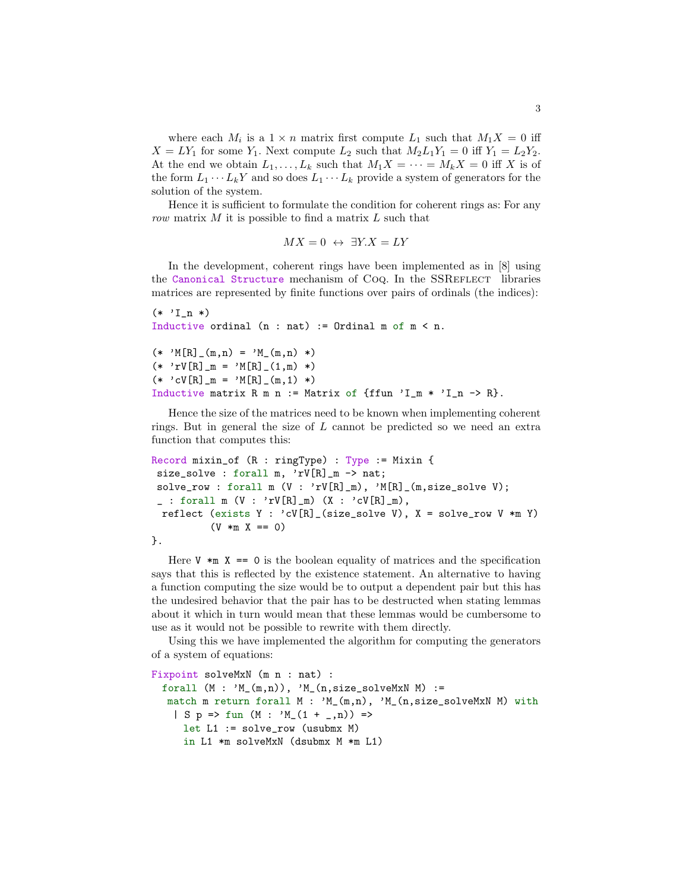where each  $M_i$  is a  $1 \times n$  matrix first compute  $L_1$  such that  $M_1X = 0$  iff  $X = LY_1$  for some  $Y_1$ . Next compute  $L_2$  such that  $M_2L_1Y_1 = 0$  iff  $Y_1 = L_2Y_2$ . At the end we obtain  $L_1, \ldots, L_k$  such that  $M_1X = \cdots = M_kX = 0$  iff X is of the form  $L_1 \cdots L_k Y$  and so does  $L_1 \cdots L_k$  provide a system of generators for the solution of the system.

Hence it is sufficient to formulate the condition for coherent rings as: For any row matrix  $M$  it is possible to find a matrix  $L$  such that

$$
MX = 0 \leftrightarrow \exists Y.X = LY
$$

In the development, coherent rings have been implemented as in [8] using the Canonical Structure mechanism of CoQ. In the SSREFLECT libraries matrices are represented by finite functions over pairs of ordinals (the indices):

```
(* 'I_n *)Inductive ordinal (n : nat) := Ordinal m of m < n.
(* 'M[R]_-(m,n) = 'M_-(m,n) *)(* 'rV[R]_m = 'M[R]_-(1,m) *)(* 'cV[R]_m = 'M[R]_ (m, 1) *)Inductive matrix R m n := Matrix of {ffun 'I_m * 'I_n -> R}.
```
Hence the size of the matrices need to be known when implementing coherent rings. But in general the size of L cannot be predicted so we need an extra function that computes this:

```
Record mixin_of (R : ringType) : Type := Mixin {
size_solve : forall m, 'rV[R]_m -> nat;
solve_row : forall m (V : 'rV[R]_m), 'M[R]_(m,size_solve V);
\_: forall m (V : 'rV[R]_m) (X : 'cV[R]_m),
 reflect (exists Y : 'cV[R]_(size_solve V), X = solve_row V *m Y)
          (V *m X == 0)}.
```
Here  $V \ast m X == 0$  is the boolean equality of matrices and the specification says that this is reflected by the existence statement. An alternative to having a function computing the size would be to output a dependent pair but this has the undesired behavior that the pair has to be destructed when stating lemmas about it which in turn would mean that these lemmas would be cumbersome to use as it would not be possible to rewrite with them directly.

Using this we have implemented the algorithm for computing the generators of a system of equations:

```
Fixpoint solveMxN (m n : nat) :
 forall (M : 'M_{-}(m,n)), 'M<sub>-</sub>(n,size\_solveMxN M) :=
  match m return forall M : 'M_(m,n), 'M_(n,size_solveMxN M) with
   | S p => fun (M : 'M_-(1 + _n)) =>
     let L1 := solve_row (usubmx M)
     in L1 *m solveMxN (dsubmx M *m L1)
```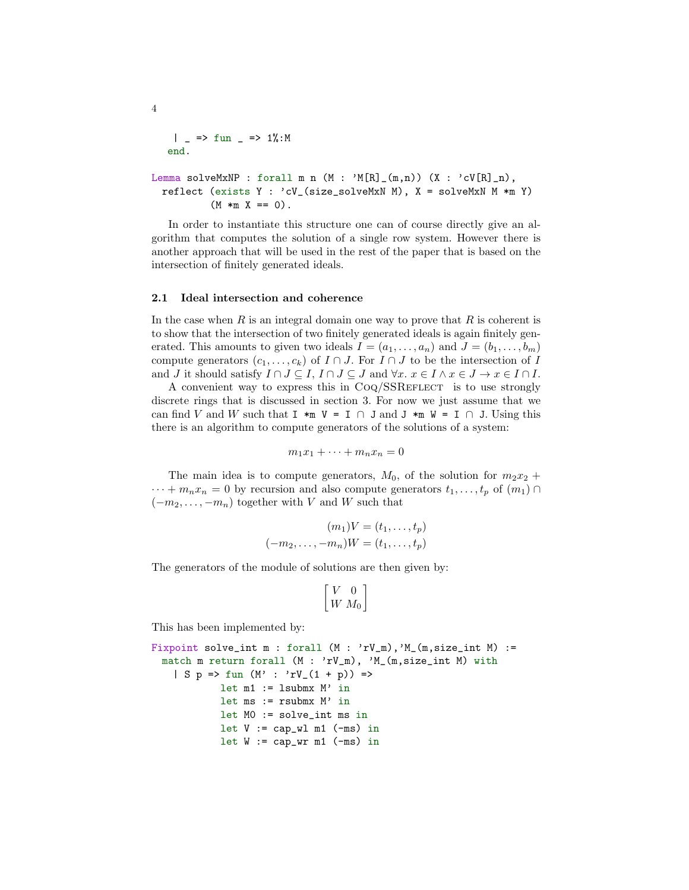```
| _ => fun _ => 1%:M
  end.
Lemma solveMxNP : forall m n (M : 'M[R]_-(m,n)) (X : 'cV[R]_n),
 reflect (exists Y : 'cV_(size_solveMxN M), X = solveMxN M *m Y)(M *m X == 0).
```
In order to instantiate this structure one can of course directly give an algorithm that computes the solution of a single row system. However there is another approach that will be used in the rest of the paper that is based on the intersection of finitely generated ideals.

## 2.1 Ideal intersection and coherence

In the case when  $R$  is an integral domain one way to prove that  $R$  is coherent is to show that the intersection of two finitely generated ideals is again finitely generated. This amounts to given two ideals  $I = (a_1, \ldots, a_n)$  and  $J = (b_1, \ldots, b_m)$ compute generators  $(c_1, \ldots, c_k)$  of  $I \cap J$ . For  $I \cap J$  to be the intersection of I and *J* it should satisfy  $I \cap J \subseteq I$ ,  $I \cap J \subseteq J$  and  $\forall x$ .  $x \in I \land x \in J \rightarrow x \in I \cap I$ .

A convenient way to express this in CoQ/SSREFLECT is to use strongly discrete rings that is discussed in section 3. For now we just assume that we can find V and W such that I  $\ast m$  V = I ∩ J and J  $\ast m$  W = I ∩ J. Using this there is an algorithm to compute generators of the solutions of a system:

$$
m_1x_1 + \dots + m_nx_n = 0
$$

The main idea is to compute generators,  $M_0$ , of the solution for  $m_2x_2 +$  $\cdots + m_n x_n = 0$  by recursion and also compute generators  $t_1, \ldots, t_p$  of  $(m_1) \cap$  $(-m_2, \ldots, -m_n)$  together with V and W such that

$$
(m_1)V = (t_1, \dots, t_p)
$$

$$
(-m_2, \dots, -m_n)W = (t_1, \dots, t_p)
$$

The generators of the module of solutions are then given by:

$$
\begin{bmatrix} V & 0 \\ W & M_0 \end{bmatrix}
$$

This has been implemented by:

```
Fixpoint solve_int m : forall (M : 'rV_m), 'M_(m, size_int M) :=
 match m return forall (M : 'rV_m), 'M_(m,size_int M) with
   | S p => fun (M' : 'rV_-(1 + p)) =>
            let m1 := 1submx M' in
            let ms := rsubmx M' in
            let M0 := solve_int ms in
            let V := cap\_w1 m1 (-ms) in
            let W := cap_{WT} m1 (-ms) in
```
4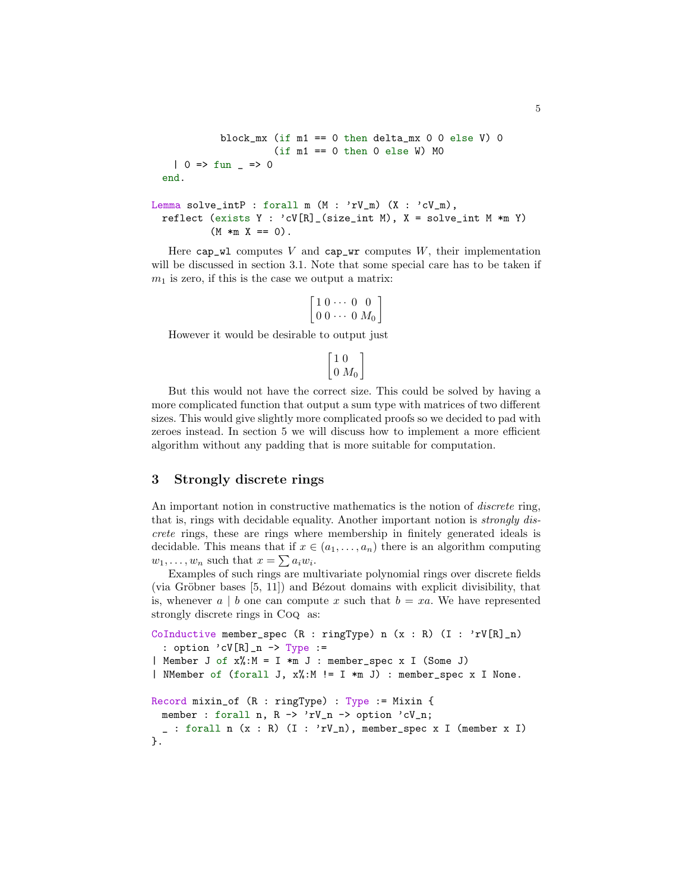```
block_mx (if m1 == 0 then delta_mx 0 0 else V) 0
                      (if m1 == 0 then 0 else W) M0| 0 \Rightarrow fun \Rightarrow 0end.
Lemma solve_intP : forall m (M : 'rV_m) (X : 'cV_m),
 reflect (exists Y : 'cV[R] (size_int M), X = solve_int M *m Y)
          (M *m X == 0).
```

```
Here \text{cap\_wl} computes V and \text{cap\_wr} computes W, their implementation
will be discussed in section 3.1. Note that some special care has to be taken if
m_1 is zero, if this is the case we output a matrix:
```

```
\begin{bmatrix} 1 & 0 & \cdots & 0 & 0 \end{bmatrix}0\ 0\ \cdots\ 0\ M_0T
```
However it would be desirable to output just

```
\lceil 10 \rceil0 M_01
```
But this would not have the correct size. This could be solved by having a more complicated function that output a sum type with matrices of two different sizes. This would give slightly more complicated proofs so we decided to pad with zeroes instead. In section 5 we will discuss how to implement a more efficient algorithm without any padding that is more suitable for computation.

## 3 Strongly discrete rings

An important notion in constructive mathematics is the notion of *discrete* ring, that is, rings with decidable equality. Another important notion is strongly discrete rings, these are rings where membership in finitely generated ideals is decidable. This means that if  $x \in (a_1, \ldots, a_n)$  there is an algorithm computing  $w_1, \ldots, w_n$  such that  $x = \sum a_i w_i$ .

Examples of such rings are multivariate polynomial rings over discrete fields (via Gröbner bases  $[5, 11]$ ) and Bézout domains with explicit divisibility, that is, whenever a | b one can compute x such that  $b = xa$ . We have represented strongly discrete rings in Coq as:

```
CoInductive member_spec (R : ringType) n (x : R) (I : 'rV[R]_n): option 'cV[R]_n -> Type :=
| Member J of x%:M = I *m J : member_spec x I (Some J)
| NMember of (forall J, x%:M != I *m J) : member_spec x I None.
Record mixin_of (R : ringType) : Type := Mixin {
 member : forall n, R \rightarrow 'rV_n \rightarrow option 'cV_n;
  _ : forall n (x : R) (I : 'rV_n), member_spec x I (member x I)
}.
```
5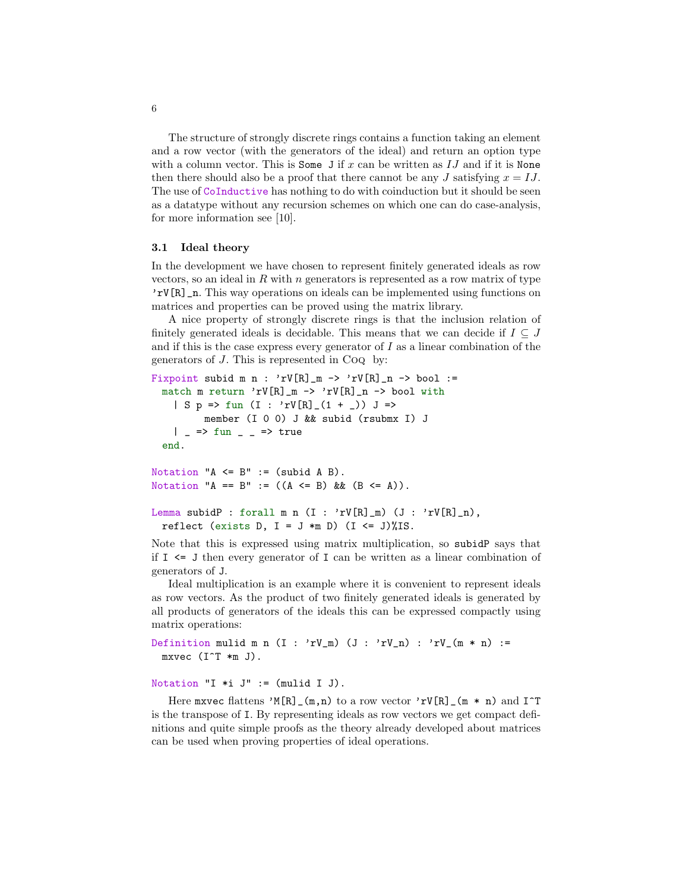The structure of strongly discrete rings contains a function taking an element and a row vector (with the generators of the ideal) and return an option type with a column vector. This is Some J if  $x$  can be written as  $IJ$  and if it is None then there should also be a proof that there cannot be any J satisfying  $x = IJ$ . The use of CoInductive has nothing to do with coinduction but it should be seen as a datatype without any recursion schemes on which one can do case-analysis, for more information see [10].

#### 3.1 Ideal theory

In the development we have chosen to represent finitely generated ideals as row vectors, so an ideal in  $R$  with  $n$  generators is represented as a row matrix of type 'rV[R]\_n. This way operations on ideals can be implemented using functions on matrices and properties can be proved using the matrix library.

A nice property of strongly discrete rings is that the inclusion relation of finitely generated ideals is decidable. This means that we can decide if  $I \subseteq J$ and if this is the case express every generator of  $I$  as a linear combination of the generators of J. This is represented in Coq by:

```
Fixpoint subid m n : 'rV[R]_m \rightarrow 'rV[R]_n \rightarrow bool :=
 match m return 'rV[R]_m -> 'rV[R]_n -> bool with
   | S p => fun (I : 'rV[R] (1 + _)) J =>
         member (I 0 0) J && subid (rsubmx I) J
    | _ => fun _ _ => true
  end.
```

```
Notation "A \leq B" := (subid A B).
Notation "A == B" := ((A \le B) \& (B \le A)).
```

```
Lemma subidP : forall m n (I : 'rV[R]_m) (J : 'rV[R]_n),
 reflect (exists D, I = J *m D) (I \leq J)%IS.
```
Note that this is expressed using matrix multiplication, so subidP says that if  $I \leq I$  then every generator of  $I$  can be written as a linear combination of generators of J.

Ideal multiplication is an example where it is convenient to represent ideals as row vectors. As the product of two finitely generated ideals is generated by all products of generators of the ideals this can be expressed compactly using matrix operations:

```
Definition mulid m n (I : 'rV_m) (J : 'rV_n) : 'rV_(m * n) :=
 mxvec (I^T * m J).
```
Notation "I  $*$ i J" := (mulid I J).

Here mxvec flattens 'M[R]<sub>\_</sub>(m,n) to a row vector 'rV[R]<sub>\_</sub>(m  $*$  n) and I<sup> $\tau$ </sup>T is the transpose of I. By representing ideals as row vectors we get compact definitions and quite simple proofs as the theory already developed about matrices can be used when proving properties of ideal operations.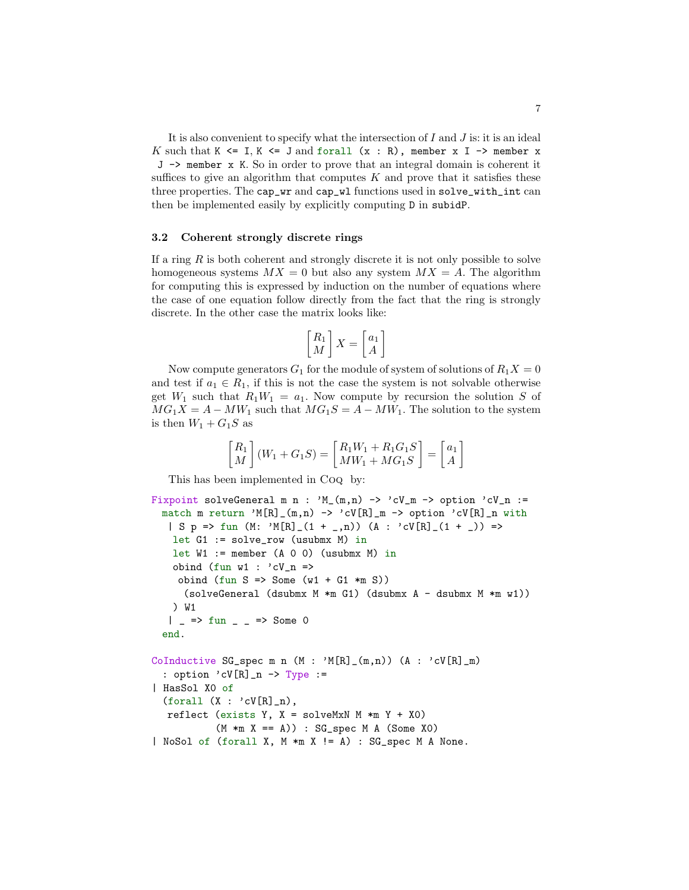It is also convenient to specify what the intersection of I and J is: it is an ideal K such that K  $\leq$  I, K  $\leq$  J and forall (x : R), member x I -> member x J -> member x K. So in order to prove that an integral domain is coherent it suffices to give an algorithm that computes  $K$  and prove that it satisfies these three properties. The cap\_wr and cap\_wl functions used in solve\_with\_int can then be implemented easily by explicitly computing D in subidP.

#### 3.2 Coherent strongly discrete rings

If a ring  $R$  is both coherent and strongly discrete it is not only possible to solve homogeneous systems  $MX = 0$  but also any system  $MX = A$ . The algorithm for computing this is expressed by induction on the number of equations where the case of one equation follow directly from the fact that the ring is strongly discrete. In the other case the matrix looks like:

$$
\begin{bmatrix} R_1 \\ M \end{bmatrix} X = \begin{bmatrix} a_1 \\ A \end{bmatrix}
$$

Now compute generators  $G_1$  for the module of system of solutions of  $R_1X = 0$ and test if  $a_1 \in R_1$ , if this is not the case the system is not solvable otherwise get  $W_1$  such that  $R_1W_1 = a_1$ . Now compute by recursion the solution S of  $MG_1X = A - MW_1$  such that  $MG_1S = A - MW_1$ . The solution to the system is then  $W_1 + G_1S$  as

$$
\begin{bmatrix} R_1 \\ M \end{bmatrix} (W_1 + G_1 S) = \begin{bmatrix} R_1 W_1 + R_1 G_1 S \\ M W_1 + M G_1 S \end{bmatrix} = \begin{bmatrix} a_1 \\ A \end{bmatrix}
$$

This has been implemented in Coq by:

```
Fixpoint solveGeneral m n : 'M_{(m,n)} \rightarrow 'cV_{m} \rightarrow option 'cV_n :=
  match m return 'M[R]_(m,n) -> 'cV[R]_m -> option 'cV[R]_n with
   | S p => fun (M: 'M[R]_1(1 + 1, n)) (A : 'cV[R]_1(1 + 1)) =>
   let G1 := solve_{row} (usubmx M) in
   let W1 := member (A \ 0 \ 0) (usubmx M) in
   obind (fun w1 : 'cV_n =>
    obind (fun S \Rightarrow Some (w1 + G1 *m S))
      (solveGeneral (dsubmx M *m G1) (dsubmx A - dsubmx M *m w1))
   ) W1
   | _ = > fun _ = = > Some 0
  end.
CoInductive SG\_spec \text{ m } (M : 'M[R]_{m,n}) (A : 'cV[R]_m)
  : option 'cV[R]_n \rightarrow Type :=
| HasSol X0 of
  (forall (X : 'cV[R]_n),reflect (exists Y, X = solveMxN M *m Y + X0)
            (M *m X == A)): SG_spec M A (Some XO)
| NoSol of (forall X, M *m X != A) : SG_spec M A None.
```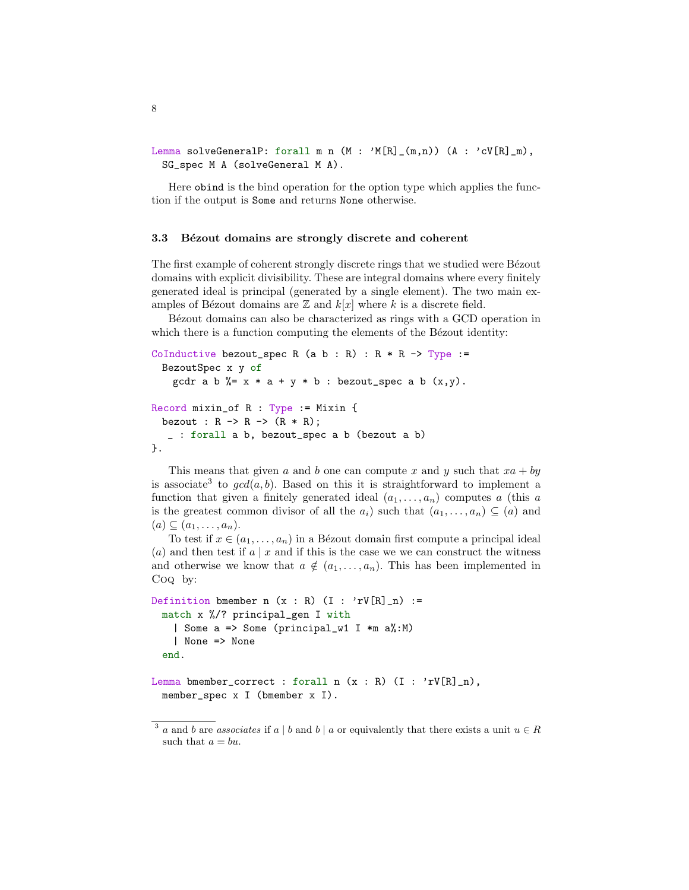Lemma solveGeneralP: forall m n  $(M : 'M[R]_-(m,n))$   $(A : 'cV[R]_m)$ , SG\_spec M A (solveGeneral M A).

Here obind is the bind operation for the option type which applies the function if the output is Some and returns None otherwise.

#### 3.3 Bézout domains are strongly discrete and coherent

The first example of coherent strongly discrete rings that we studied were Bézout domains with explicit divisibility. These are integral domains where every finitely generated ideal is principal (generated by a single element). The two main examples of Bézout domains are  $\mathbb{Z}$  and  $k[x]$  where k is a discrete field.

B´ezout domains can also be characterized as rings with a GCD operation in which there is a function computing the elements of the Bézout identity:

```
CoInductive bezout_spec R (a b : R) : R * R -> Type :=
 BezoutSpec x y of
    gcdr a b \frac{6}{6} x * a + y * b : bezout_spec a b (x, y).
Record mixin_of R : Type := Mixin {
 bezout : R \rightarrow R \rightarrow (R * R);
   _ : forall a b, bezout_spec a b (bezout a b)
}.
```
This means that given a and b one can compute x and y such that  $xa + by$ is associate<sup>3</sup> to  $gcd(a, b)$ . Based on this it is straightforward to implement a function that given a finitely generated ideal  $(a_1, \ldots, a_n)$  computes a (this a is the greatest common divisor of all the  $a_i$ ) such that  $(a_1, \ldots, a_n) \subseteq (a)$  and  $(a) \subseteq (a_1, \ldots, a_n).$ 

To test if  $x \in (a_1, \ldots, a_n)$  in a Bézout domain first compute a principal ideal  $(a)$  and then test if  $a \mid x$  and if this is the case we we can construct the witness and otherwise we know that  $a \notin (a_1, \ldots, a_n)$ . This has been implemented in Coq by:

```
Definition bmember n (x : R) (I : 'rV[R]_n) :=match x %/? principal_gen I with
   | Some a => Some (principal_w1 I *m a%:M)
   | None => None
 end.
```
Lemma bmember\_correct : forall  $n (x : R) (I : 'rV[R]_n)$ , member\_spec x I (bmember x I).

<sup>&</sup>lt;sup>3</sup> a and b are associates if a | b and b | a or equivalently that there exists a unit  $u \in R$ such that  $a = bu$ .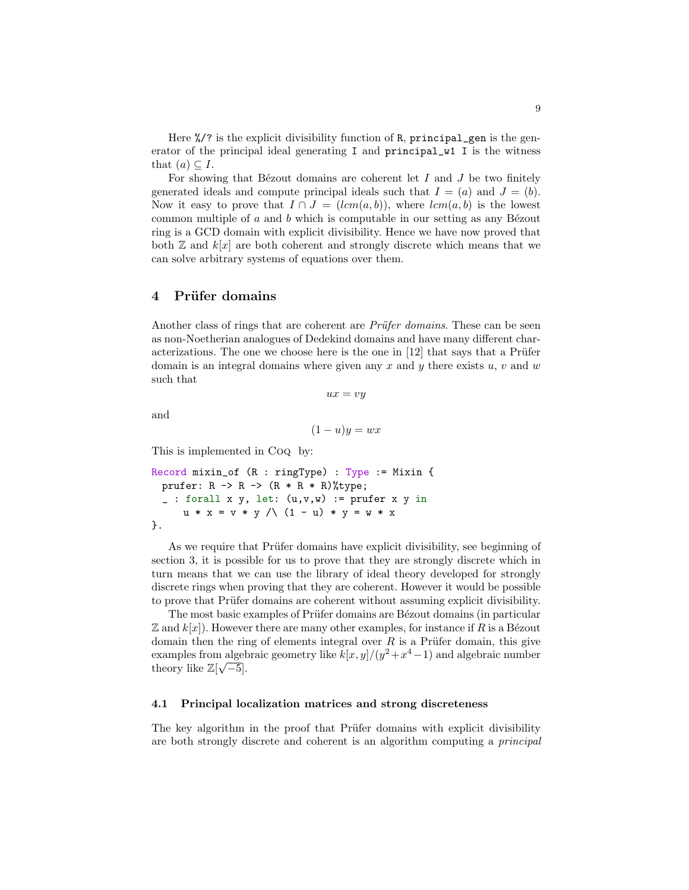Here  $\frac{9}{2}$ ? is the explicit divisibility function of R, principal general generator of the principal ideal generating I and principal\_w1 I is the witness that  $(a) \subseteq I$ .

For showing that Bézout domains are coherent let  $I$  and  $J$  be two finitely generated ideals and compute principal ideals such that  $I = (a)$  and  $J = (b)$ . Now it easy to prove that  $I \cap J = (lcm(a, b))$ , where  $lcm(a, b)$  is the lowest common multiple of  $a$  and  $b$  which is computable in our setting as any Bézout ring is a GCD domain with explicit divisibility. Hence we have now proved that both  $\mathbb{Z}$  and  $k[x]$  are both coherent and strongly discrete which means that we can solve arbitrary systems of equations over them.

# 4 Prüfer domains

Another class of rings that are coherent are  $Priifer\ domains$ . These can be seen as non-Noetherian analogues of Dedekind domains and have many different characterizations. The one we choose here is the one in  $[12]$  that says that a Prüfer domain is an integral domains where given any  $x$  and  $y$  there exists  $u, v$  and  $w$ such that

and

 $(1 - u)y = wx$ 

 $ux = vy$ 

This is implemented in Co<sub>Q</sub> by:

```
Record mixin_of (R : ringType) : Type := Mixin {
 prufer: R \rightarrow R \rightarrow (R * R * R)%type;
 \_: forall x y, let: (u,v,w) := prufer x y in
     u * x = v * y / \ (1 - u) * y = w * x}.
```
As we require that Prüfer domains have explicit divisibility, see beginning of section 3, it is possible for us to prove that they are strongly discrete which in turn means that we can use the library of ideal theory developed for strongly discrete rings when proving that they are coherent. However it would be possible to prove that Prüfer domains are coherent without assuming explicit divisibility.

The most basic examples of Prüfer domains are Bézout domains (in particular  $\mathbb Z$  and  $k[x]$ ). However there are many other examples, for instance if R is a Bézout domain then the ring of elements integral over  $R$  is a Prüfer domain, this give examples from algebraic geometry like  $k[x, y]/(y^2 + x^4 - 1)$  and algebraic number theory like  $\mathbb{Z}[\sqrt{-5}]$ .

#### 4.1 Principal localization matrices and strong discreteness

The key algorithm in the proof that Prüfer domains with explicit divisibility are both strongly discrete and coherent is an algorithm computing a principal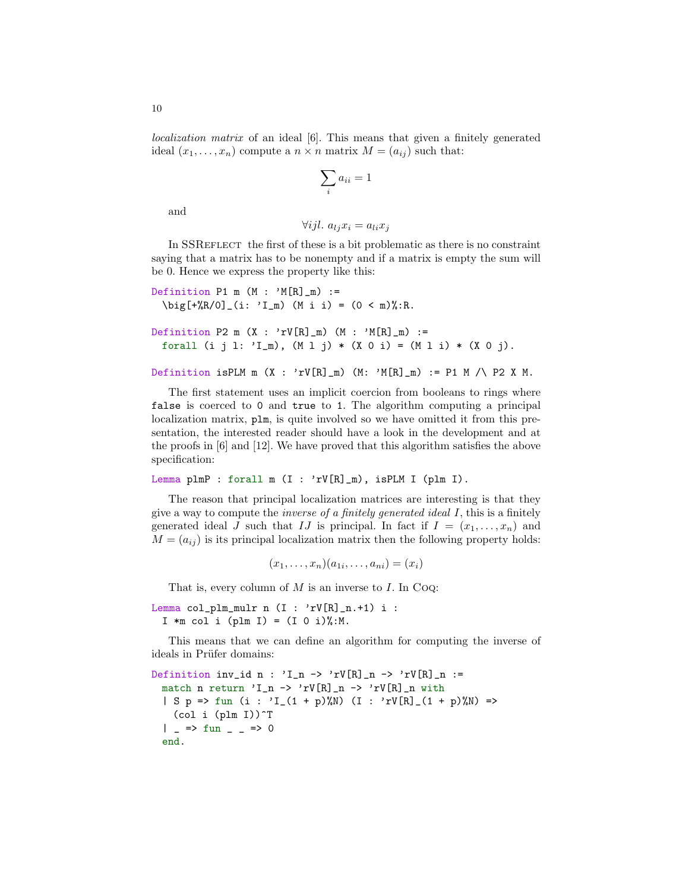localization matrix of an ideal [6]. This means that given a finitely generated ideal  $(x_1, \ldots, x_n)$  compute a  $n \times n$  matrix  $M = (a_{ij})$  such that:

$$
\sum_i a_{ii} = 1
$$

and

$$
\forall ijl. \ a_{lj}x_i = a_{li}x_j
$$

In SSREFLECT the first of these is a bit problematic as there is no constraint saying that a matrix has to be nonempty and if a matrix is empty the sum will be 0. Hence we express the property like this:

```
Definition P1 m (M : 'M[R]_m) :=
 \big[\frac{+}{R}/0\big]_{(i: 'I_m) (M i i) = (0 < m)_{i: R.}Definition P2 m (X : 'rV[R]_m) (M : 'M[R]_m) :=forall (i j l: 'I_m), (M 1 j) * (X 0 i) = (M 1 i) * (X 0 j).
```

```
Definition isPLM m (X : 'rV[R]_m) (M: 'M[R]_m) := P1 M / \neg P2 X M.
```
The first statement uses an implicit coercion from booleans to rings where false is coerced to 0 and true to 1. The algorithm computing a principal localization matrix, plm, is quite involved so we have omitted it from this presentation, the interested reader should have a look in the development and at the proofs in [6] and [12]. We have proved that this algorithm satisfies the above specification:

```
Lemma plmP : forall m (I : 'rV[R]_m), isPLM I (plm I).
```
The reason that principal localization matrices are interesting is that they give a way to compute the *inverse of a finitely generated ideal I*, this is a finitely generated ideal J such that IJ is principal. In fact if  $I = (x_1, \ldots, x_n)$  and  $M = (a_{ij})$  is its principal localization matrix then the following property holds:

 $(x_1, \ldots, x_n)(a_{1i}, \ldots, a_{ni}) = (x_i)$ 

That is, every column of  $M$  is an inverse to  $I$ . In Coq:

Lemma col\_plm\_mulr n  $(I : 'rV[R]_n.+1)$  i : I  $\text{*m}$  col i (plm I) = (I 0 i)%:M.

This means that we can define an algorithm for computing the inverse of ideals in Prüfer domains:

```
Definition inv_id n : 'I_n -> 'rV[R]_n -> 'rV[R]_n :=
 match n return 'I_n -> 'rV[R]_n -> 'rV[R]_n with
 | S p => fun (i : 'I_(1 + p)%N) (I : 'rV[R]_(1 + p)%N) =>
   (col i (plm I))^T| _ => fun _ _ => 0
 end.
```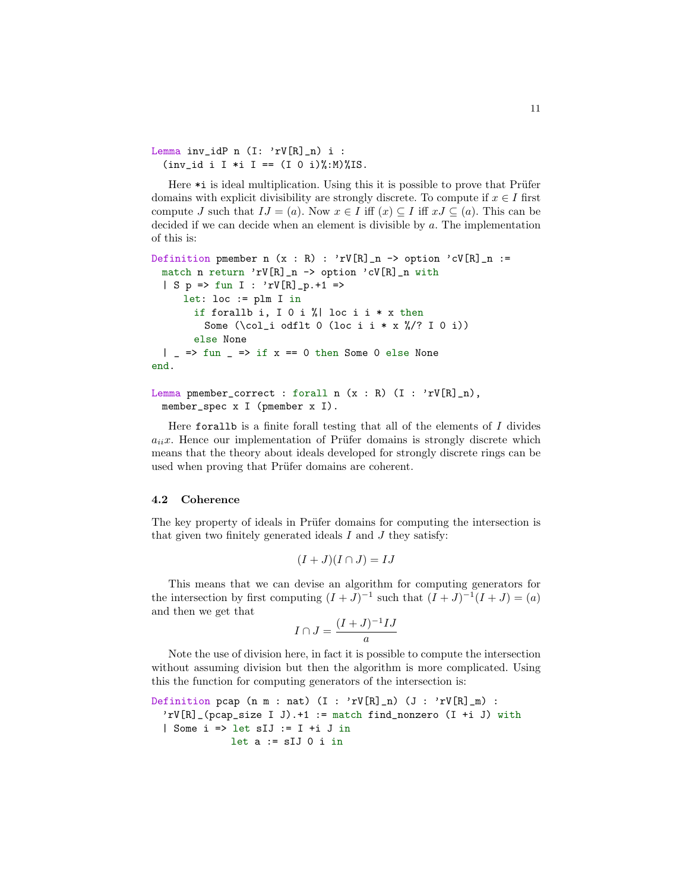Lemma  $inv_idP$  n  $(I: 'rV[R]_n)$  i :  $({\rm inv\_id}$  i I \*i I ==  $(I 0 i)$ %:M)%IS.

Here  $*$ i is ideal multiplication. Using this it is possible to prove that Prüfer domains with explicit divisibility are strongly discrete. To compute if  $x \in I$  first compute J such that  $IJ = (a)$ . Now  $x \in I$  iff  $(x) \subseteq I$  iff  $xJ \subseteq (a)$ . This can be decided if we can decide when an element is divisible by a. The implementation of this is:

```
Definition pmember n (x : R) : 'rV[R]_n -> option 'cV[R]_n :=
 match n return 'rV[R]_n -> option 'cV[R]_n with
 | S p => fun I : 'rV[R]_p.+1 =>
     let: loc := plm I in
       if forallb i, I 0 i %| loc i i * x then
         Some (\cdot col_i odd) odflt 0 (loc i i * x %/? I 0 i))
       else None
  | = > fun = > if x == 0 then Some 0 else None
end.
```

```
Lemma pmember_correct : forall n (x : R) (I : 'rV[R]_n),
 member_spec x I (pmember x I).
```
Here forallb is a finite forall testing that all of the elements of  $I$  divides  $a_{ii}x$ . Hence our implementation of Prüfer domains is strongly discrete which means that the theory about ideals developed for strongly discrete rings can be used when proving that Prüfer domains are coherent.

## 4.2 Coherence

The key property of ideals in Prüfer domains for computing the intersection is that given two finitely generated ideals  $I$  and  $J$  they satisfy:

$$
(I+J)(I\cap J)=IJ
$$

This means that we can devise an algorithm for computing generators for the intersection by first computing  $(I+J)^{-1}$  such that  $(I+J)^{-1}(I+J) = (a)$ and then we get that

$$
I \cap J = \frac{(I+J)^{-1}IJ}{a}
$$

Note the use of division here, in fact it is possible to compute the intersection without assuming division but then the algorithm is more complicated. Using this the function for computing generators of the intersection is:

Definition pcap (n m : nat)  $(I : 'rV[R]_n)$   $(J : 'rV[R]_m)$  :  $\lceil rV[R] \rceil$  (pcap\_size I J).+1 := match find\_nonzero (I +i J) with | Some i => let sIJ := I +i J in let  $a := sIJ$  0 i in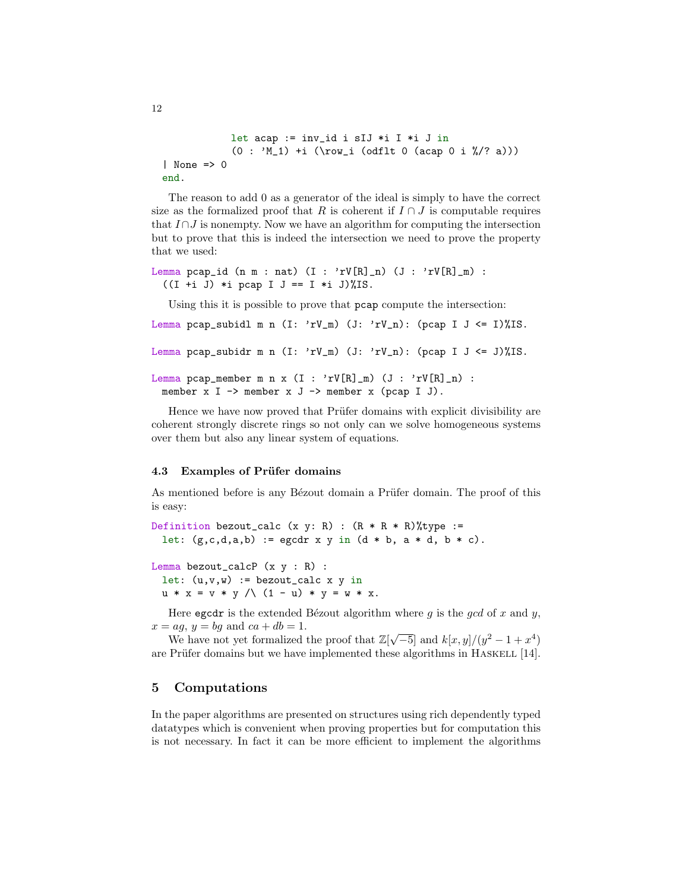```
let acap := inv_id i sIJ *i I *i J in
             (0 : 'M_1) +i (\row_i (odflt 0 (acap 0 i %/? a)))
| None \Rightarrow 0
end.
```
The reason to add 0 as a generator of the ideal is simply to have the correct size as the formalized proof that R is coherent if  $I \cap J$  is computable requires that  $I \cap J$  is nonempty. Now we have an algorithm for computing the intersection but to prove that this is indeed the intersection we need to prove the property that we used:

```
Lemma pcap_id (n m : nat) (I : 'rV[R]_n) (J : 'rV[R]_m) :
  ((I +i J) *i pcap I J == I *i J)
```
Using this it is possible to prove that pcap compute the intersection:

Lemma pcap\_subidl m n  $(I: 'rV_m)$   $(J: 'rV_n)$ :  $(pcap I J \le I)$ %IS. Lemma pcap\_subidr m n (I: 'rV\_m) (J: 'rV\_n): (pcap I J <= J)%IS. Lemma pcap\_member m n x  $(I : 'rV[R]_m) (J : 'rV[R]_n)$ : member x I -> member x J -> member x (pcap I J).

Hence we have now proved that Prüfer domains with explicit divisibility are coherent strongly discrete rings so not only can we solve homogeneous systems over them but also any linear system of equations.

#### 4.3 Examples of Prüfer domains

As mentioned before is any Bézout domain a Prüfer domain. The proof of this is easy:

```
Definition bezout_calc (x y: R) : (R * R * R)% type :=
 let: (g, c, d, a, b) := egcdr x y in (d * b, a * d, b * c).
```
Lemma bezout\_calcP  $(x, y : R)$ : let:  $(u,v,w)$  := bezout\_calc x y in  $u * x = v * y / \lambda (1 - u) * y = w * x.$ 

Here egcdr is the extended Bézout algorithm where g is the gcd of x and y,  $x = ag, y = bg$  and  $ca + db = 1$ .

We have not yet formalized the proof that  $\mathbb{Z}[\sqrt{-5}]$  and  $k[x, y]/(y^2 - 1 + x^4)$ are Prüfer domains but we have implemented these algorithms in HASKELL [14].

## 5 Computations

In the paper algorithms are presented on structures using rich dependently typed datatypes which is convenient when proving properties but for computation this is not necessary. In fact it can be more efficient to implement the algorithms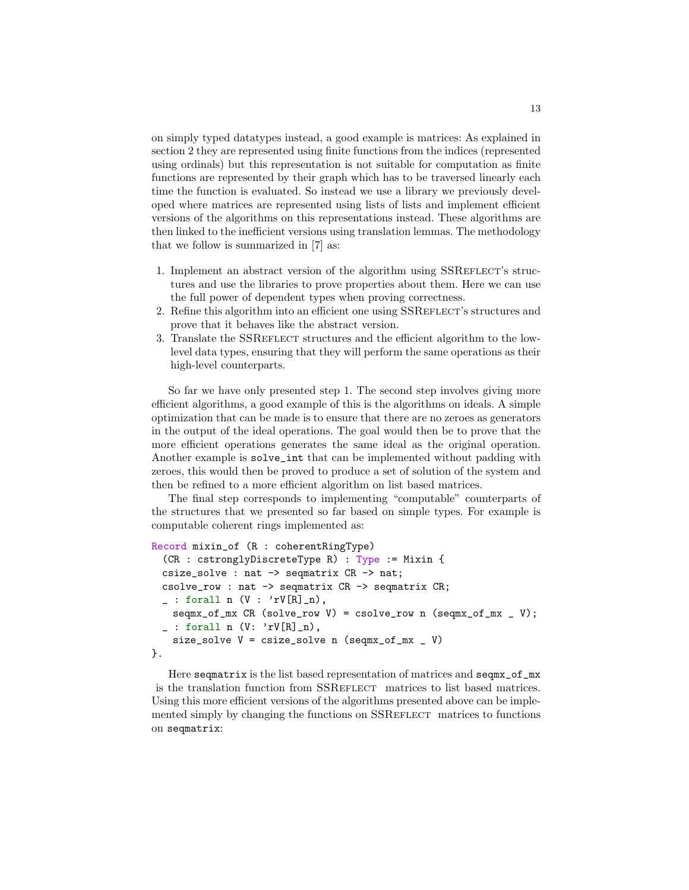on simply typed datatypes instead, a good example is matrices: As explained in section 2 they are represented using finite functions from the indices (represented using ordinals) but this representation is not suitable for computation as finite functions are represented by their graph which has to be traversed linearly each time the function is evaluated. So instead we use a library we previously developed where matrices are represented using lists of lists and implement efficient versions of the algorithms on this representations instead. These algorithms are then linked to the inefficient versions using translation lemmas. The methodology that we follow is summarized in [7] as:

- 1. Implement an abstract version of the algorithm using SSREFLECT's structures and use the libraries to prove properties about them. Here we can use the full power of dependent types when proving correctness.
- 2. Refine this algorithm into an efficient one using SSREFLECT's structures and prove that it behaves like the abstract version.
- 3. Translate the SSREFLECT structures and the efficient algorithm to the lowlevel data types, ensuring that they will perform the same operations as their high-level counterparts.

So far we have only presented step 1. The second step involves giving more efficient algorithms, a good example of this is the algorithms on ideals. A simple optimization that can be made is to ensure that there are no zeroes as generators in the output of the ideal operations. The goal would then be to prove that the more efficient operations generates the same ideal as the original operation. Another example is solve\_int that can be implemented without padding with zeroes, this would then be proved to produce a set of solution of the system and then be refined to a more efficient algorithm on list based matrices.

The final step corresponds to implementing "computable" counterparts of the structures that we presented so far based on simple types. For example is computable coherent rings implemented as:

```
Record mixin_of (R : coherentRingType)
  (CR : cstronglyDiscreteType R) : Type := Mixin {
 csize_solve : nat -> seqmatrix CR -> nat;
 csolve_row : nat -> seqmatrix CR -> seqmatrix CR;
 _ : forall n (V : 'rV[R]_n),
   seqmx_of_mx CR (solve_row V) = csolve_row n (seqmx_of_mx = V);
 _ : forall n (V: 'rV[R]_n),
   size_solve V = \text{csize\_solve} n (seqmx_of_mx _ V)
}.
```
Here seqmatrix is the list based representation of matrices and seqmx\_of\_mx is the translation function from SSREFLECT matrices to list based matrices. Using this more efficient versions of the algorithms presented above can be implemented simply by changing the functions on SSREFLECT matrices to functions on seqmatrix: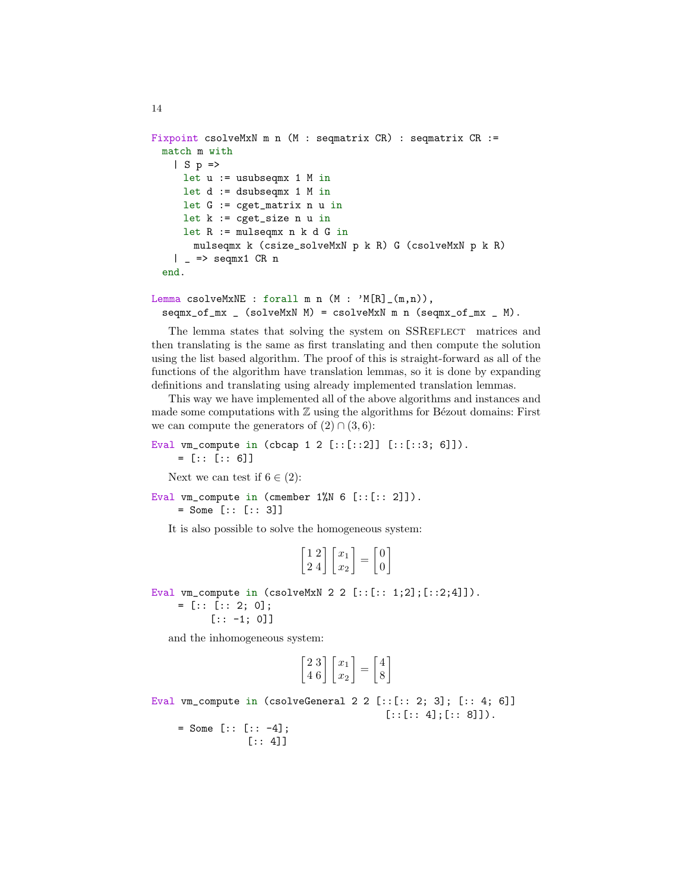```
Fixpoint csolveMxN m n (M : seqmatrix CR) : seqmatrix CR :=
 match m with
   | S p =>
     let u := usubseqmx 1 M in
     let d := dsubseqmx 1 M in
     let G := cget_matrix n u in
     let k := cget_size n u in
     let R := mulseqmx n k d G in
       mulseqmx k (csize_solveMxN p k R) G (csolveMxN p k R)
   | = > seqmx1 CR n
  end.
```

```
Lemma csolveMxNE : forall m n (M : 'M[R]_{m,n}),
 seqmx_of_mx _ (solveMxN M) = csolveMxN m n (seqmx_of_mx _ M).
```
The lemma states that solving the system on SSREFLECT matrices and then translating is the same as first translating and then compute the solution using the list based algorithm. The proof of this is straight-forward as all of the functions of the algorithm have translation lemmas, so it is done by expanding definitions and translating using already implemented translation lemmas.

This way we have implemented all of the above algorithms and instances and made some computations with  $\mathbb Z$  using the algorithms for Bézout domains: First we can compute the generators of  $(2) \cap (3, 6)$ :

Eval vm\_compute in (cbcap 1 2 [::[::2]] [::[::3; 6]]).

 $= [:: [:: 6]]$ 

Next we can test if  $6 \in (2)$ :

Eval vm\_compute in (cmember  $1/N$  6 [::[:: 2]]).  $=$  Some  $[:: [:: 3]]$ 

It is also possible to solve the homogeneous system:

$$
\begin{bmatrix} 1 & 2 \\ 2 & 4 \end{bmatrix} \begin{bmatrix} x_1 \\ x_2 \end{bmatrix} = \begin{bmatrix} 0 \\ 0 \end{bmatrix}
$$

Eval vm\_compute in  $(csolveMxN 2 2 [::[:: 1; 2]; [::2; 4]]).$ 

 $=$  [:: [:: 2; 0];  $[:: -1; 0]]$ 

and the inhomogeneous system:

$$
\begin{bmatrix} 2 & 3 \\ 4 & 6 \end{bmatrix} \begin{bmatrix} x_1 \\ x_2 \end{bmatrix} = \begin{bmatrix} 4 \\ 8 \end{bmatrix}
$$

Eval vm\_compute in  $(csolveGeneral 2 2 [::[:: 2; 3]; [:: 4; 6])$  $[::[:: 4];[:: 8]]$ .

 $=$  Some  $[:: [:: -4];$  $[:: 4]$ ]

14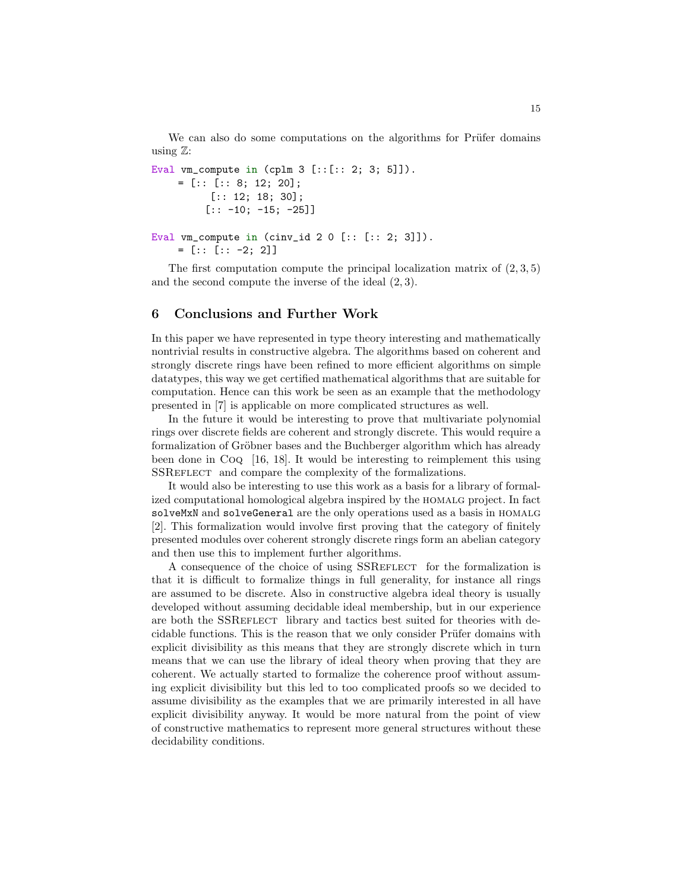We can also do some computations on the algorithms for Prüfer domains using  $\mathbb{Z}$ :

Eval vm\_compute in  $(cplm 3$  [ $::$ [ $::$  2; 3; 5]]).  $=$  [:: [:: 8; 12; 20]; [:: 12; 18; 30];  $[:: -10; -15; -25]$ 

```
Eval vm_compute in (cinv_id 2 0 [::[:2; 3]]).= [\colon : : : -2; 2]
```
The first computation compute the principal localization matrix of  $(2, 3, 5)$ and the second compute the inverse of the ideal (2, 3).

## 6 Conclusions and Further Work

In this paper we have represented in type theory interesting and mathematically nontrivial results in constructive algebra. The algorithms based on coherent and strongly discrete rings have been refined to more efficient algorithms on simple datatypes, this way we get certified mathematical algorithms that are suitable for computation. Hence can this work be seen as an example that the methodology presented in [7] is applicable on more complicated structures as well.

In the future it would be interesting to prove that multivariate polynomial rings over discrete fields are coherent and strongly discrete. This would require a formalization of Gröbner bases and the Buchberger algorithm which has already been done in Coq [16, 18]. It would be interesting to reimplement this using SSREFLECT and compare the complexity of the formalizations.

It would also be interesting to use this work as a basis for a library of formalized computational homological algebra inspired by the homalg project. In fact solveMxN and solveGeneral are the only operations used as a basis in HOMALG [2]. This formalization would involve first proving that the category of finitely presented modules over coherent strongly discrete rings form an abelian category and then use this to implement further algorithms.

A consequence of the choice of using SSREFLECT for the formalization is that it is difficult to formalize things in full generality, for instance all rings are assumed to be discrete. Also in constructive algebra ideal theory is usually developed without assuming decidable ideal membership, but in our experience are both the SSREFLECT library and tactics best suited for theories with decidable functions. This is the reason that we only consider Prüfer domains with explicit divisibility as this means that they are strongly discrete which in turn means that we can use the library of ideal theory when proving that they are coherent. We actually started to formalize the coherence proof without assuming explicit divisibility but this led to too complicated proofs so we decided to assume divisibility as the examples that we are primarily interested in all have explicit divisibility anyway. It would be more natural from the point of view of constructive mathematics to represent more general structures without these decidability conditions.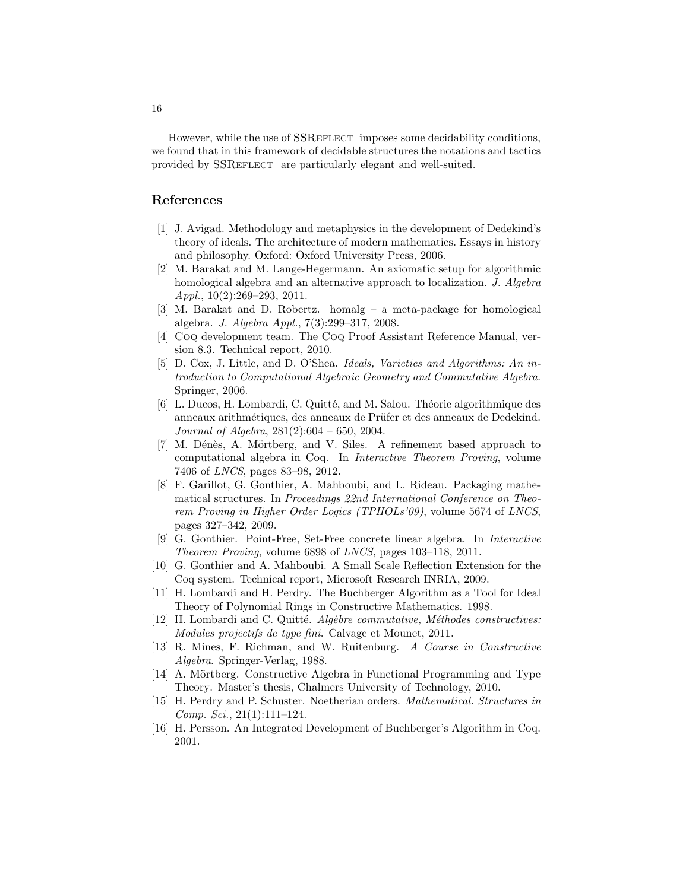However, while the use of SSREFLECT imposes some decidability conditions, we found that in this framework of decidable structures the notations and tactics provided by SSREFLECT are particularly elegant and well-suited.

# References

- [1] J. Avigad. Methodology and metaphysics in the development of Dedekind's theory of ideals. The architecture of modern mathematics. Essays in history and philosophy. Oxford: Oxford University Press, 2006.
- [2] M. Barakat and M. Lange-Hegermann. An axiomatic setup for algorithmic homological algebra and an alternative approach to localization. J. Algebra Appl., 10(2):269–293, 2011.
- [3] M. Barakat and D. Robertz. homalg a meta-package for homological algebra. J. Algebra Appl., 7(3):299–317, 2008.
- [4] Coq development team. The Coq Proof Assistant Reference Manual, version 8.3. Technical report, 2010.
- [5] D. Cox, J. Little, and D. O'Shea. Ideals, Varieties and Algorithms: An introduction to Computational Algebraic Geometry and Commutative Algebra. Springer, 2006.
- [6] L. Ducos, H. Lombardi, C. Quitté, and M. Salou. Théorie algorithmique des anneaux arithmétiques, des anneaux de Prüfer et des anneaux de Dedekind. Journal of Algebra, 281(2):604 – 650, 2004.
- [7] M. Dénès, A. Mörtberg, and V. Siles. A refinement based approach to computational algebra in Coq. In Interactive Theorem Proving, volume 7406 of LNCS, pages 83–98, 2012.
- [8] F. Garillot, G. Gonthier, A. Mahboubi, and L. Rideau. Packaging mathematical structures. In Proceedings 22nd International Conference on Theorem Proving in Higher Order Logics (TPHOLs'09), volume 5674 of LNCS, pages 327–342, 2009.
- [9] G. Gonthier. Point-Free, Set-Free concrete linear algebra. In Interactive Theorem Proving, volume 6898 of LNCS, pages 103–118, 2011.
- [10] G. Gonthier and A. Mahboubi. A Small Scale Reflection Extension for the Coq system. Technical report, Microsoft Research INRIA, 2009.
- [11] H. Lombardi and H. Perdry. The Buchberger Algorithm as a Tool for Ideal Theory of Polynomial Rings in Constructive Mathematics. 1998.
- $[12]$  H. Lombardi and C. Quitté. Algèbre commutative, Méthodes constructives: Modules projectifs de type fini. Calvage et Mounet, 2011.
- [13] R. Mines, F. Richman, and W. Ruitenburg. A Course in Constructive Algebra. Springer-Verlag, 1988.
- [14] A. Mörtberg. Constructive Algebra in Functional Programming and Type Theory. Master's thesis, Chalmers University of Technology, 2010.
- [15] H. Perdry and P. Schuster. Noetherian orders. Mathematical. Structures in Comp. Sci., 21(1):111–124.
- [16] H. Persson. An Integrated Development of Buchberger's Algorithm in Coq. 2001.

16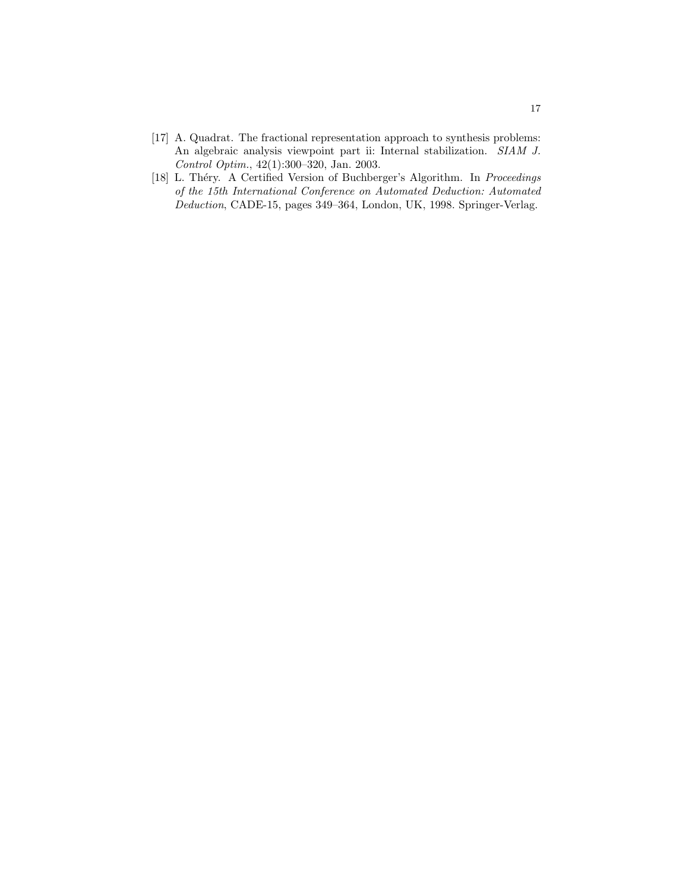- [17] A. Quadrat. The fractional representation approach to synthesis problems: An algebraic analysis viewpoint part ii: Internal stabilization. SIAM J. Control Optim., 42(1):300–320, Jan. 2003.
- [18] L. Théry. A Certified Version of Buchberger's Algorithm. In Proceedings of the 15th International Conference on Automated Deduction: Automated Deduction, CADE-15, pages 349–364, London, UK, 1998. Springer-Verlag.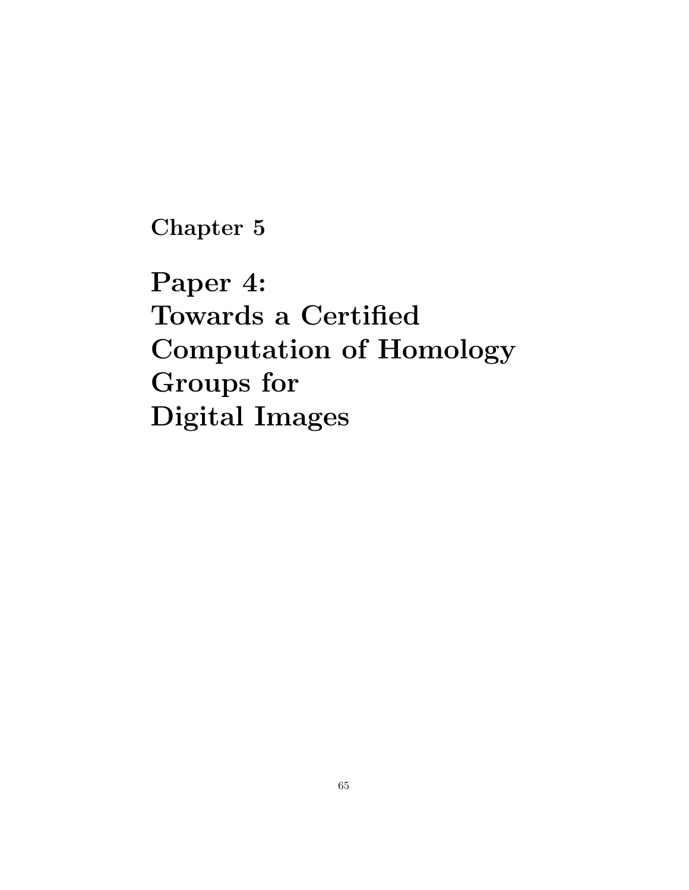Chapter 5

Paper 4: Towards a Certified Computation of Homology Groups for Digital Images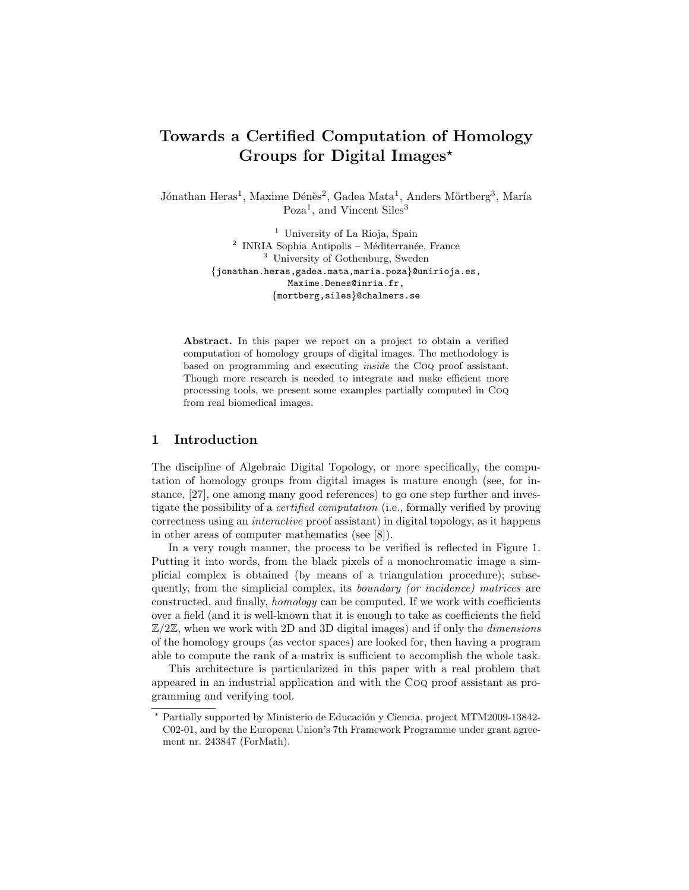# Towards a Certified Computation of Homology Groups for Digital Images<sup>\*</sup>

Jónathan Heras<sup>1</sup>, Maxime Dénès<sup>2</sup>, Gadea Mata<sup>1</sup>, Anders Mörtberg<sup>3</sup>, María Poza<sup>1</sup>, and Vincent Siles<sup>3</sup>

> <sup>1</sup> University of La Rioja, Spain <sup>2</sup> INRIA Sophia Antipolis – Méditerranée, France <sup>3</sup> University of Gothenburg, Sweden {jonathan.heras,gadea.mata,maria.poza}@unirioja.es, Maxime.Denes@inria.fr, {mortberg,siles}@chalmers.se

Abstract. In this paper we report on a project to obtain a verified computation of homology groups of digital images. The methodology is based on programming and executing inside the Coq proof assistant. Though more research is needed to integrate and make efficient more processing tools, we present some examples partially computed in Coq from real biomedical images.

## 1 Introduction

The discipline of Algebraic Digital Topology, or more specifically, the computation of homology groups from digital images is mature enough (see, for instance, [27], one among many good references) to go one step further and investigate the possibility of a certified computation (i.e., formally verified by proving correctness using an interactive proof assistant) in digital topology, as it happens in other areas of computer mathematics (see [8]).

In a very rough manner, the process to be verified is reflected in Figure 1. Putting it into words, from the black pixels of a monochromatic image a simplicial complex is obtained (by means of a triangulation procedure); subsequently, from the simplicial complex, its *boundary (or incidence) matrices* are constructed, and finally, homology can be computed. If we work with coefficients over a field (and it is well-known that it is enough to take as coefficients the field  $\mathbb{Z}/2\mathbb{Z}$ , when we work with 2D and 3D digital images) and if only the *dimensions* of the homology groups (as vector spaces) are looked for, then having a program able to compute the rank of a matrix is sufficient to accomplish the whole task.

This architecture is particularized in this paper with a real problem that appeared in an industrial application and with the Coq proof assistant as programming and verifying tool.

Partially supported by Ministerio de Educación y Ciencia, project MTM2009-13842-C02-01, and by the European Union's 7th Framework Programme under grant agreement nr. 243847 (ForMath).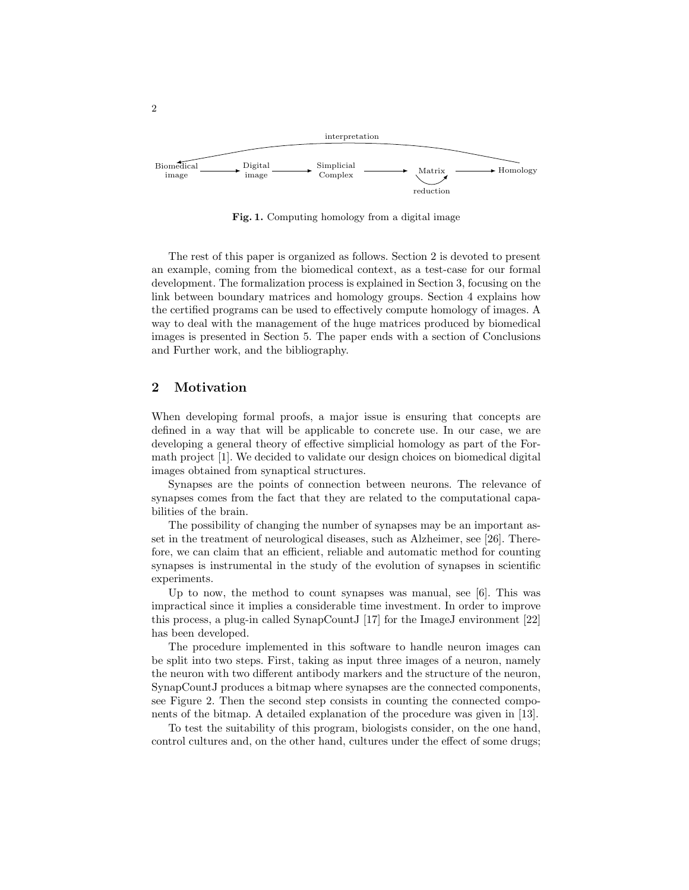

Fig. 1. Computing homology from a digital image

The rest of this paper is organized as follows. Section 2 is devoted to present an example, coming from the biomedical context, as a test-case for our formal development. The formalization process is explained in Section 3, focusing on the link between boundary matrices and homology groups. Section 4 explains how the certified programs can be used to effectively compute homology of images. A way to deal with the management of the huge matrices produced by biomedical images is presented in Section 5. The paper ends with a section of Conclusions and Further work, and the bibliography.

## 2 Motivation

2

When developing formal proofs, a major issue is ensuring that concepts are defined in a way that will be applicable to concrete use. In our case, we are developing a general theory of effective simplicial homology as part of the Formath project [1]. We decided to validate our design choices on biomedical digital images obtained from synaptical structures.

Synapses are the points of connection between neurons. The relevance of synapses comes from the fact that they are related to the computational capabilities of the brain.

The possibility of changing the number of synapses may be an important asset in the treatment of neurological diseases, such as Alzheimer, see [26]. Therefore, we can claim that an efficient, reliable and automatic method for counting synapses is instrumental in the study of the evolution of synapses in scientific experiments.

Up to now, the method to count synapses was manual, see [6]. This was impractical since it implies a considerable time investment. In order to improve this process, a plug-in called SynapCountJ [17] for the ImageJ environment [22] has been developed.

The procedure implemented in this software to handle neuron images can be split into two steps. First, taking as input three images of a neuron, namely the neuron with two different antibody markers and the structure of the neuron, SynapCountJ produces a bitmap where synapses are the connected components, see Figure 2. Then the second step consists in counting the connected components of the bitmap. A detailed explanation of the procedure was given in [13].

To test the suitability of this program, biologists consider, on the one hand, control cultures and, on the other hand, cultures under the effect of some drugs;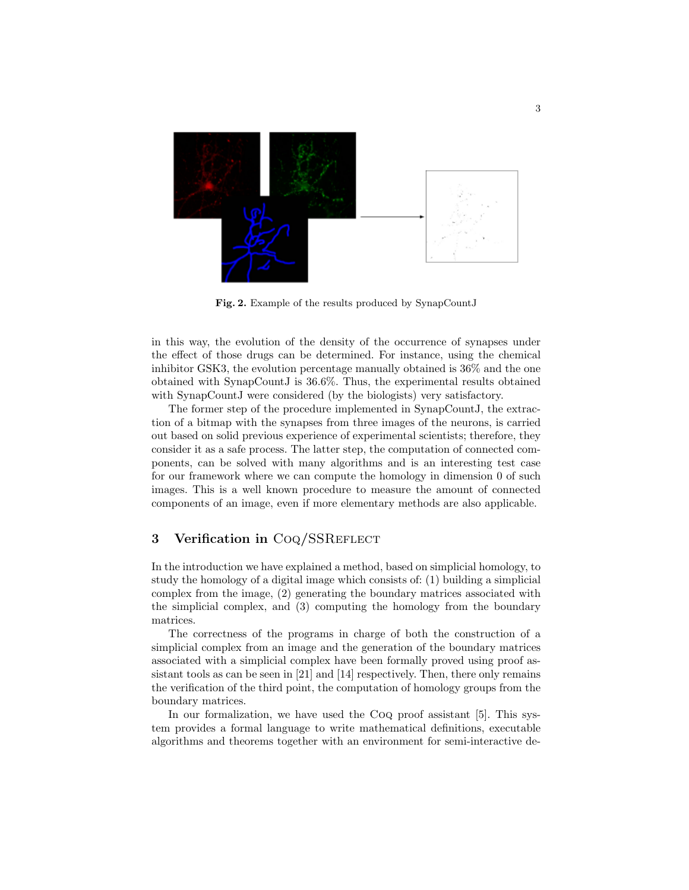

Fig. 2. Example of the results produced by SynapCountJ

in this way, the evolution of the density of the occurrence of synapses under the effect of those drugs can be determined. For instance, using the chemical inhibitor GSK3, the evolution percentage manually obtained is 36% and the one obtained with SynapCountJ is 36.6%. Thus, the experimental results obtained with SynapCountJ were considered (by the biologists) very satisfactory.

The former step of the procedure implemented in SynapCountJ, the extraction of a bitmap with the synapses from three images of the neurons, is carried out based on solid previous experience of experimental scientists; therefore, they consider it as a safe process. The latter step, the computation of connected components, can be solved with many algorithms and is an interesting test case for our framework where we can compute the homology in dimension 0 of such images. This is a well known procedure to measure the amount of connected components of an image, even if more elementary methods are also applicable.

# 3 Verification in CoQ/SSREFLECT

In the introduction we have explained a method, based on simplicial homology, to study the homology of a digital image which consists of: (1) building a simplicial complex from the image, (2) generating the boundary matrices associated with the simplicial complex, and (3) computing the homology from the boundary matrices.

The correctness of the programs in charge of both the construction of a simplicial complex from an image and the generation of the boundary matrices associated with a simplicial complex have been formally proved using proof assistant tools as can be seen in [21] and [14] respectively. Then, there only remains the verification of the third point, the computation of homology groups from the boundary matrices.

In our formalization, we have used the Coq proof assistant [5]. This system provides a formal language to write mathematical definitions, executable algorithms and theorems together with an environment for semi-interactive de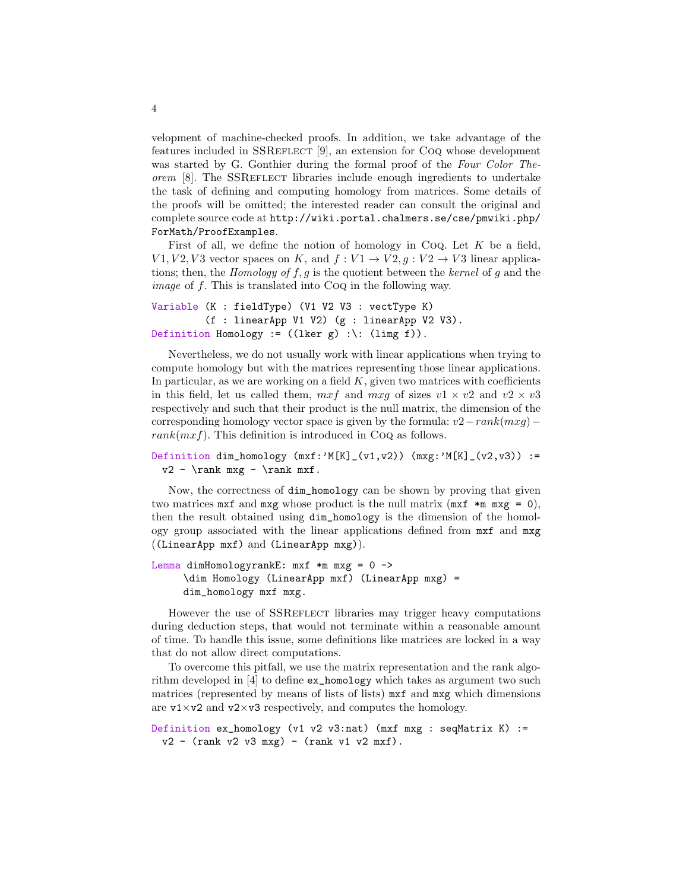velopment of machine-checked proofs. In addition, we take advantage of the features included in SSREFLECT  $[9]$ , an extension for CoQ whose development was started by G. Gonthier during the formal proof of the Four Color Theorem [8]. The SSREFLECT libraries include enough ingredients to undertake the task of defining and computing homology from matrices. Some details of the proofs will be omitted; the interested reader can consult the original and complete source code at http://wiki.portal.chalmers.se/cse/pmwiki.php/ ForMath/ProofExamples.

First of all, we define the notion of homology in Coq. Let  $K$  be a field,  $V1, V2, V3$  vector spaces on K, and  $f: V1 \rightarrow V2, g: V2 \rightarrow V3$  linear applications; then, the *Homology of f, g* is the quotient between the *kernel* of g and the image of f. This is translated into Coq in the following way.

```
Variable (K : fieldType) (V1 V2 V3 : vectType K)
          (f : linearApp V1 V2) (g : linearApp V2 V3).
Definition Homology := ((\text{lker } g) : \{ : \text{(lim } f) \}.
```
Nevertheless, we do not usually work with linear applications when trying to compute homology but with the matrices representing those linear applications. In particular, as we are working on a field  $K$ , given two matrices with coefficients in this field, let us called them,  $mxf$  and  $mxg$  of sizes  $v1 \times v2$  and  $v2 \times v3$ respectively and such that their product is the null matrix, the dimension of the corresponding homology vector space is given by the formula:  $v2-rank(mxg)$  −  $rank(mxf)$ . This definition is introduced in Coq as follows.

Definition dim\_homology  $(mxf: 'M[K]_-(v1,v2))$   $(mxg: 'M[K]_-(v2,v3))$  :=  $v2 - \rank mxg - \rank mxf$ .

Now, the correctness of dim\_homology can be shown by proving that given two matrices  $m \times f$  and  $m \times g$  whose product is the null matrix  $(m \times f * m)$   $m \times g = 0$ , then the result obtained using dim\_homology is the dimension of the homology group associated with the linear applications defined from mxf and mxg ((LinearApp mxf) and (LinearApp mxg)).

#### Lemma dimHomologyrankE:  $mxf *m$   $mxe = 0$  -> \dim Homology (LinearApp mxf) (LinearApp mxg) = dim\_homology mxf mxg.

However the use of SSREFLECT libraries may trigger heavy computations during deduction steps, that would not terminate within a reasonable amount of time. To handle this issue, some definitions like matrices are locked in a way that do not allow direct computations.

To overcome this pitfall, we use the matrix representation and the rank algorithm developed in [4] to define ex\_homology which takes as argument two such matrices (represented by means of lists of lists)  $mxf$  and  $mxf$  which dimensions are  $v1 \times v2$  and  $v2 \times v3$  respectively, and computes the homology.

```
Definition ex_homology (v1 v2 v3:nat) (mxf mxg : seqMatrix K) :=
 v2 - (rank v2 v3 m xg) - (rank v1 v2 m xf).
```
4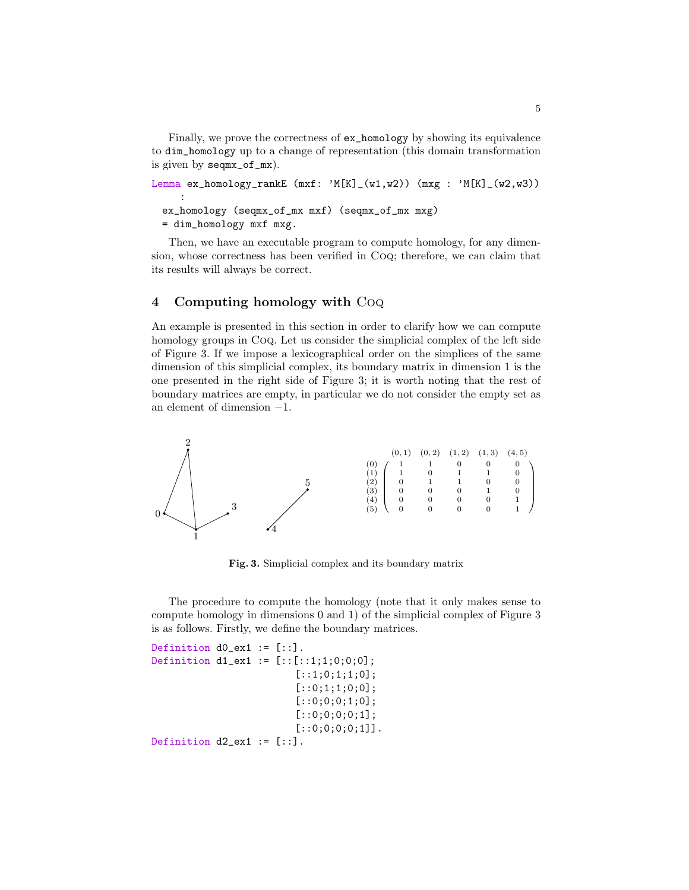Finally, we prove the correctness of ex\_homology by showing its equivalence to dim\_homology up to a change of representation (this domain transformation is given by seqmx\_of\_mx).

```
Lemma ex_homology_rankE (mxf: 'M[K] (w1,w2)) (mxg : 'M[K] (w2,w3)):
 ex_homology (seqmx_of_mx mxf) (seqmx_of_mx mxg)
 = dim_homology mxf mxg.
```
Then, we have an executable program to compute homology, for any dimension, whose correctness has been verified in Coq; therefore, we can claim that its results will always be correct.

# 4 Computing homology with Coq

An example is presented in this section in order to clarify how we can compute homology groups in CoQ. Let us consider the simplicial complex of the left side of Figure 3. If we impose a lexicographical order on the simplices of the same dimension of this simplicial complex, its boundary matrix in dimension 1 is the one presented in the right side of Figure 3; it is worth noting that the rest of boundary matrices are empty, in particular we do not consider the empty set as an element of dimension −1.



Fig. 3. Simplicial complex and its boundary matrix

The procedure to compute the homology (note that it only makes sense to compute homology in dimensions 0 and 1) of the simplicial complex of Figure 3 is as follows. Firstly, we define the boundary matrices.

```
Definition d0_ex1 := ['::].
Definition d1\_ex1 := [::[:1;1;0;0;0];[::1;0;1;1;0];[::0;1;1;0;0];[::0;0;0;1;0];[::0;0;0;0;1];[::0;0;0;0;1]].
Definition d2<sub>-</sub>ex1 := [:.].
```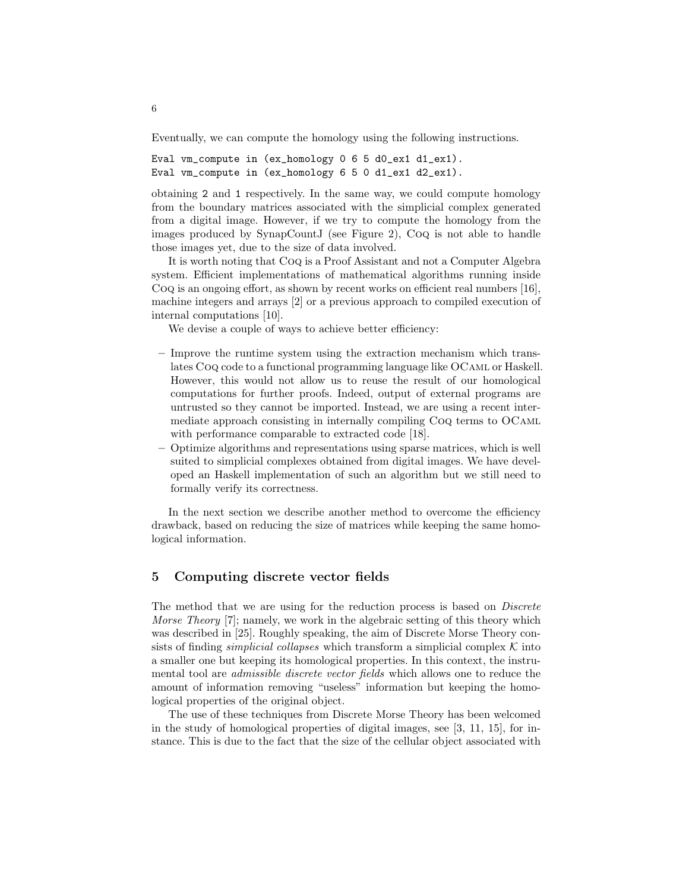Eventually, we can compute the homology using the following instructions.

```
Eval vm_compute in (ex_homology 0 6 5 d0_ex1 d1_ex1).
Eval vm_compute in (ex_homology 6 5 0 d1_ex1 d2_ex1).
```
obtaining 2 and 1 respectively. In the same way, we could compute homology from the boundary matrices associated with the simplicial complex generated from a digital image. However, if we try to compute the homology from the images produced by SynapCountJ (see Figure 2), Coq is not able to handle those images yet, due to the size of data involved.

It is worth noting that Coq is a Proof Assistant and not a Computer Algebra system. Efficient implementations of mathematical algorithms running inside Coq is an ongoing effort, as shown by recent works on efficient real numbers [16], machine integers and arrays [2] or a previous approach to compiled execution of internal computations [10].

We devise a couple of ways to achieve better efficiency:

- Improve the runtime system using the extraction mechanism which translates Coq code to a functional programming language like OCaml or Haskell. However, this would not allow us to reuse the result of our homological computations for further proofs. Indeed, output of external programs are untrusted so they cannot be imported. Instead, we are using a recent intermediate approach consisting in internally compiling Coq terms to OCaml with performance comparable to extracted code [18].
- Optimize algorithms and representations using sparse matrices, which is well suited to simplicial complexes obtained from digital images. We have developed an Haskell implementation of such an algorithm but we still need to formally verify its correctness.

In the next section we describe another method to overcome the efficiency drawback, based on reducing the size of matrices while keeping the same homological information.

# 5 Computing discrete vector fields

The method that we are using for the reduction process is based on Discrete Morse Theory [7]; namely, we work in the algebraic setting of this theory which was described in [25]. Roughly speaking, the aim of Discrete Morse Theory consists of finding *simplicial collapses* which transform a simplicial complex  $K$  into a smaller one but keeping its homological properties. In this context, the instrumental tool are admissible discrete vector fields which allows one to reduce the amount of information removing "useless" information but keeping the homological properties of the original object.

The use of these techniques from Discrete Morse Theory has been welcomed in the study of homological properties of digital images, see [3, 11, 15], for instance. This is due to the fact that the size of the cellular object associated with

6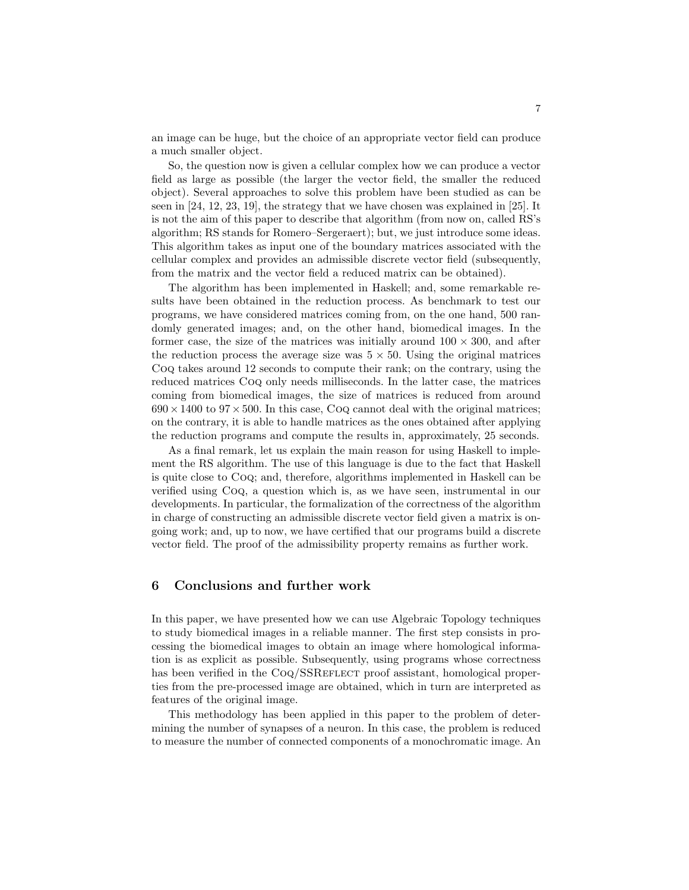an image can be huge, but the choice of an appropriate vector field can produce a much smaller object.

So, the question now is given a cellular complex how we can produce a vector field as large as possible (the larger the vector field, the smaller the reduced object). Several approaches to solve this problem have been studied as can be seen in [24, 12, 23, 19], the strategy that we have chosen was explained in [25]. It is not the aim of this paper to describe that algorithm (from now on, called RS's algorithm; RS stands for Romero–Sergeraert); but, we just introduce some ideas. This algorithm takes as input one of the boundary matrices associated with the cellular complex and provides an admissible discrete vector field (subsequently, from the matrix and the vector field a reduced matrix can be obtained).

The algorithm has been implemented in Haskell; and, some remarkable results have been obtained in the reduction process. As benchmark to test our programs, we have considered matrices coming from, on the one hand, 500 randomly generated images; and, on the other hand, biomedical images. In the former case, the size of the matrices was initially around  $100 \times 300$ , and after the reduction process the average size was  $5 \times 50$ . Using the original matrices Coq takes around 12 seconds to compute their rank; on the contrary, using the reduced matrices Coq only needs milliseconds. In the latter case, the matrices coming from biomedical images, the size of matrices is reduced from around  $690 \times 1400$  to  $97 \times 500$ . In this case, Coq cannot deal with the original matrices; on the contrary, it is able to handle matrices as the ones obtained after applying the reduction programs and compute the results in, approximately, 25 seconds.

As a final remark, let us explain the main reason for using Haskell to implement the RS algorithm. The use of this language is due to the fact that Haskell is quite close to Coq; and, therefore, algorithms implemented in Haskell can be verified using Coq, a question which is, as we have seen, instrumental in our developments. In particular, the formalization of the correctness of the algorithm in charge of constructing an admissible discrete vector field given a matrix is ongoing work; and, up to now, we have certified that our programs build a discrete vector field. The proof of the admissibility property remains as further work.

#### 6 Conclusions and further work

In this paper, we have presented how we can use Algebraic Topology techniques to study biomedical images in a reliable manner. The first step consists in processing the biomedical images to obtain an image where homological information is as explicit as possible. Subsequently, using programs whose correctness has been verified in the COQ/SSREFLECT proof assistant, homological properties from the pre-processed image are obtained, which in turn are interpreted as features of the original image.

This methodology has been applied in this paper to the problem of determining the number of synapses of a neuron. In this case, the problem is reduced to measure the number of connected components of a monochromatic image. An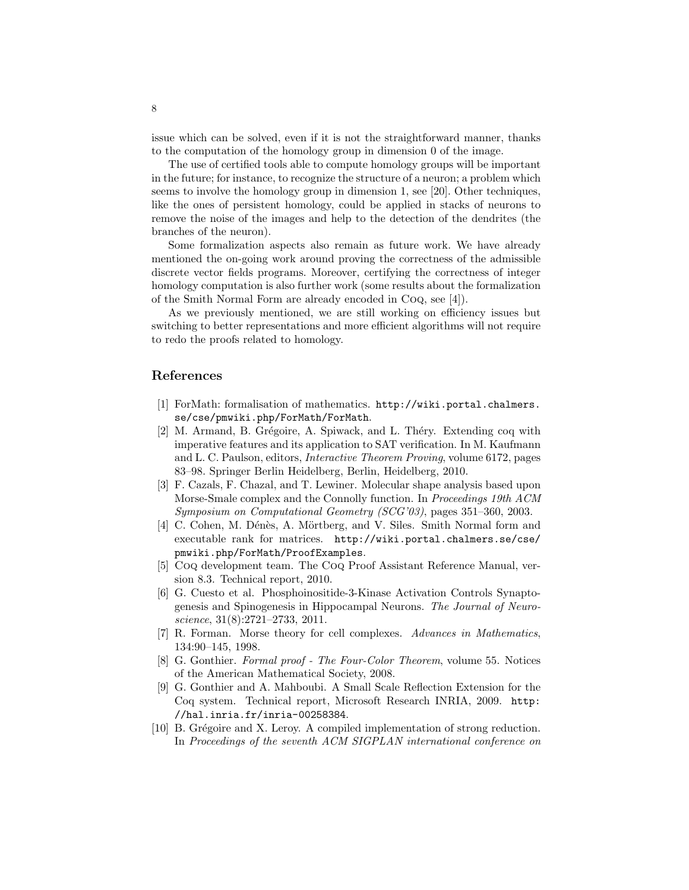issue which can be solved, even if it is not the straightforward manner, thanks to the computation of the homology group in dimension 0 of the image.

The use of certified tools able to compute homology groups will be important in the future; for instance, to recognize the structure of a neuron; a problem which seems to involve the homology group in dimension 1, see [20]. Other techniques, like the ones of persistent homology, could be applied in stacks of neurons to remove the noise of the images and help to the detection of the dendrites (the branches of the neuron).

Some formalization aspects also remain as future work. We have already mentioned the on-going work around proving the correctness of the admissible discrete vector fields programs. Moreover, certifying the correctness of integer homology computation is also further work (some results about the formalization of the Smith Normal Form are already encoded in Coq, see [4]).

As we previously mentioned, we are still working on efficiency issues but switching to better representations and more efficient algorithms will not require to redo the proofs related to homology.

## References

- [1] ForMath: formalisation of mathematics. http://wiki.portal.chalmers. se/cse/pmwiki.php/ForMath/ForMath.
- [2] M. Armand, B. Grégoire, A. Spiwack, and L. Théry. Extending coq with imperative features and its application to SAT verification. In M. Kaufmann and L. C. Paulson, editors, Interactive Theorem Proving, volume 6172, pages 83–98. Springer Berlin Heidelberg, Berlin, Heidelberg, 2010.
- [3] F. Cazals, F. Chazal, and T. Lewiner. Molecular shape analysis based upon Morse-Smale complex and the Connolly function. In *Proceedings 19th ACM* Symposium on Computational Geometry (SCG'03), pages 351–360, 2003.
- [4] C. Cohen, M. Dénès, A. Mörtberg, and V. Siles. Smith Normal form and executable rank for matrices. http://wiki.portal.chalmers.se/cse/ pmwiki.php/ForMath/ProofExamples.
- [5] Coq development team. The Coq Proof Assistant Reference Manual, version 8.3. Technical report, 2010.
- [6] G. Cuesto et al. Phosphoinositide-3-Kinase Activation Controls Synaptogenesis and Spinogenesis in Hippocampal Neurons. The Journal of Neuroscience, 31(8):2721–2733, 2011.
- [7] R. Forman. Morse theory for cell complexes. Advances in Mathematics, 134:90–145, 1998.
- [8] G. Gonthier. Formal proof The Four-Color Theorem, volume 55. Notices of the American Mathematical Society, 2008.
- [9] G. Gonthier and A. Mahboubi. A Small Scale Reflection Extension for the Coq system. Technical report, Microsoft Research INRIA, 2009. http: //hal.inria.fr/inria-00258384.
- [10] B. Grégoire and X. Leroy. A compiled implementation of strong reduction. In Proceedings of the seventh ACM SIGPLAN international conference on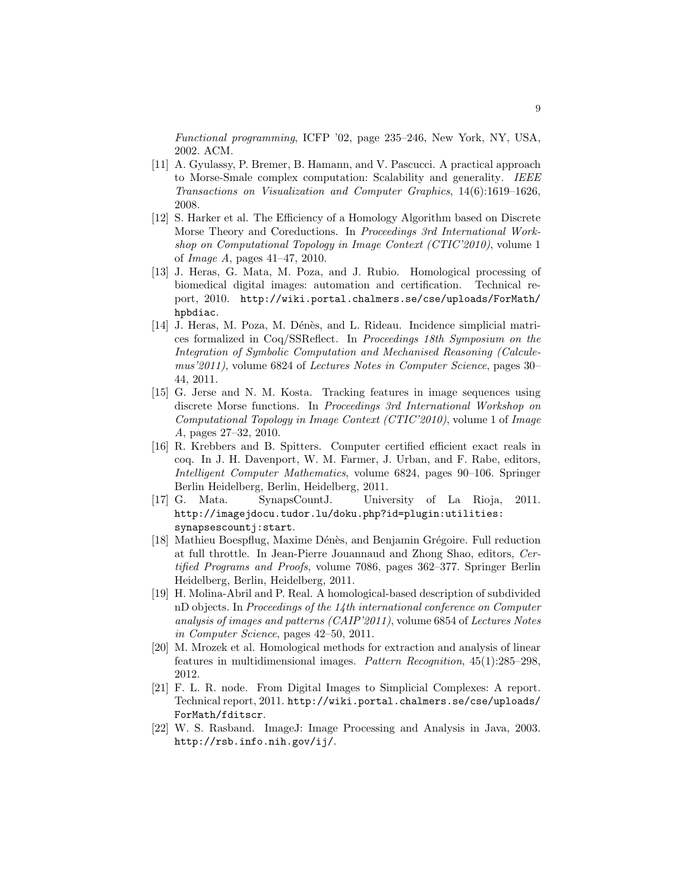Functional programming, ICFP '02, page 235–246, New York, NY, USA, 2002. ACM.

- [11] A. Gyulassy, P. Bremer, B. Hamann, and V. Pascucci. A practical approach to Morse-Smale complex computation: Scalability and generality. IEEE Transactions on Visualization and Computer Graphics, 14(6):1619–1626, 2008.
- [12] S. Harker et al. The Efficiency of a Homology Algorithm based on Discrete Morse Theory and Coreductions. In Proceedings 3rd International Workshop on Computational Topology in Image Context (CTIC'2010), volume 1 of *Image A*, pages  $41-47$ ,  $2010$ .
- [13] J. Heras, G. Mata, M. Poza, and J. Rubio. Homological processing of biomedical digital images: automation and certification. Technical report, 2010. http://wiki.portal.chalmers.se/cse/uploads/ForMath/ hpbdiac.
- [14] J. Heras, M. Poza, M. Dénès, and L. Rideau. Incidence simplicial matrices formalized in Coq/SSReflect. In Proceedings 18th Symposium on the Integration of Symbolic Computation and Mechanised Reasoning (Calculemus'2011), volume 6824 of Lectures Notes in Computer Science, pages 30– 44, 2011.
- [15] G. Jerse and N. M. Kosta. Tracking features in image sequences using discrete Morse functions. In Proceedings 3rd International Workshop on Computational Topology in Image Context (CTIC'2010), volume 1 of Image A, pages 27–32, 2010.
- [16] R. Krebbers and B. Spitters. Computer certified efficient exact reals in coq. In J. H. Davenport, W. M. Farmer, J. Urban, and F. Rabe, editors, Intelligent Computer Mathematics, volume 6824, pages 90–106. Springer Berlin Heidelberg, Berlin, Heidelberg, 2011.
- [17] G. Mata. SynapsCountJ. University of La Rioja, 2011. http://imagejdocu.tudor.lu/doku.php?id=plugin:utilities: synapsescountj:start.
- [18] Mathieu Boespflug, Maxime Dénès, and Benjamin Grégoire. Full reduction at full throttle. In Jean-Pierre Jouannaud and Zhong Shao, editors, Certified Programs and Proofs, volume 7086, pages 362–377. Springer Berlin Heidelberg, Berlin, Heidelberg, 2011.
- [19] H. Molina-Abril and P. Real. A homological-based description of subdivided nD objects. In Proceedings of the  $14$ th international conference on Computer analysis of images and patterns (CAIP'2011), volume 6854 of Lectures Notes in Computer Science, pages 42–50, 2011.
- [20] M. Mrozek et al. Homological methods for extraction and analysis of linear features in multidimensional images. Pattern Recognition, 45(1):285–298, 2012.
- [21] F. L. R. node. From Digital Images to Simplicial Complexes: A report. Technical report, 2011. http://wiki.portal.chalmers.se/cse/uploads/ ForMath/fditscr.
- [22] W. S. Rasband. ImageJ: Image Processing and Analysis in Java, 2003. http://rsb.info.nih.gov/ij/.